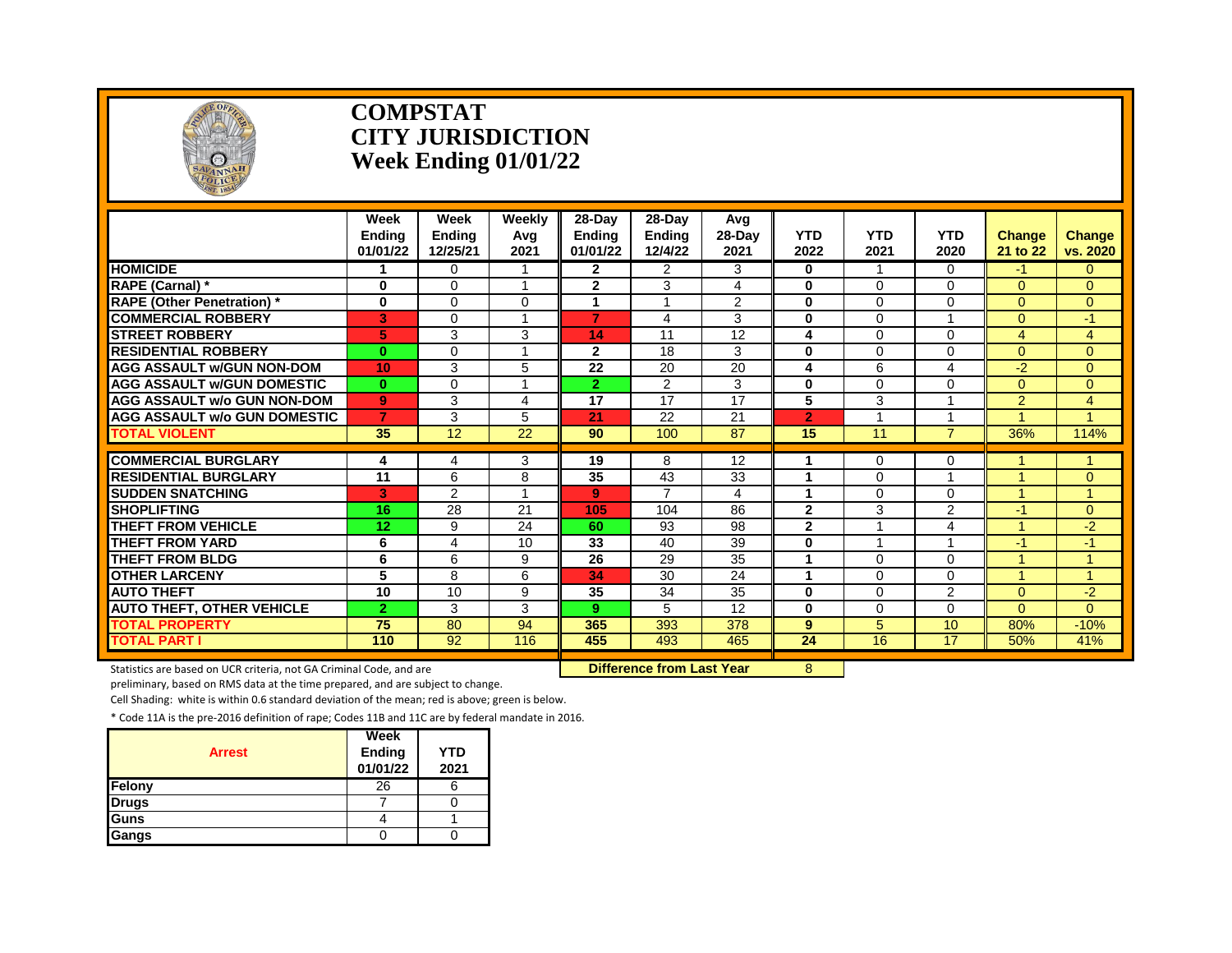

#### **COMPSTAT CITY JURISDICTION Week Ending 01/01/22**

|                                     | Week<br><b>Endina</b><br>01/01/22 | Week<br><b>Endina</b><br>12/25/21 | Weekly<br>Avg<br>2021 | 28-Day<br><b>Ending</b><br>01/01/22 | 28-Day<br><b>Ending</b><br>12/4/22 | Avq<br>28-Day<br>2021 | <b>YTD</b><br>2022 | <b>YTD</b><br>2021      | <b>YTD</b><br>2020      | <b>Change</b><br>21 to 22 | <b>Change</b><br>vs. 2020 |
|-------------------------------------|-----------------------------------|-----------------------------------|-----------------------|-------------------------------------|------------------------------------|-----------------------|--------------------|-------------------------|-------------------------|---------------------------|---------------------------|
| <b>HOMICIDE</b>                     |                                   | 0                                 |                       | 2                                   | 2                                  | 3                     | 0                  |                         | 0                       | -1                        | 0                         |
| <b>RAPE (Carnal) *</b>              | $\bf{0}$                          | $\Omega$                          | $\overline{A}$        | $\overline{2}$                      | 3                                  | 4                     | $\bf{0}$           | $\Omega$                | $\Omega$                | $\Omega$                  | $\Omega$                  |
| <b>RAPE (Other Penetration)</b> *   | $\bf{0}$                          | $\Omega$                          | $\Omega$              | 1                                   | $\overline{A}$                     | 2                     | $\bf{0}$           | $\Omega$                | $\Omega$                | $\Omega$                  | $\Omega$                  |
| <b>COMMERCIAL ROBBERY</b>           | 3                                 | $\Omega$                          |                       | $\overline{7}$                      | 4                                  | 3                     | $\bf{0}$           | $\Omega$                |                         | $\Omega$                  | -1                        |
| <b>STREET ROBBERY</b>               | 5                                 | 3                                 | 3                     | 14                                  | 11                                 | 12                    | 4                  | $\Omega$                | $\Omega$                | $\overline{4}$            | $\overline{4}$            |
| <b>RESIDENTIAL ROBBERY</b>          | $\bf{0}$                          | $\Omega$                          | 1                     | $\mathbf{2}$                        | 18                                 | 3                     | $\bf{0}$           | $\Omega$                | $\Omega$                | $\Omega$                  | $\Omega$                  |
| <b>AGG ASSAULT w/GUN NON-DOM</b>    | 10                                | 3                                 | 5                     | 22                                  | 20                                 | 20                    | 4                  | 6                       | 4                       | $-2$                      | $\Omega$                  |
| <b>AGG ASSAULT W/GUN DOMESTIC</b>   | $\bf{0}$                          | $\Omega$                          | 4                     | $\overline{2}$                      | 2                                  | 3                     | $\bf{0}$           | $\Omega$                | $\Omega$                | $\Omega$                  | $\overline{0}$            |
| <b>AGG ASSAULT w/o GUN NON-DOM</b>  | 9                                 | 3                                 | 4                     | 17                                  | 17                                 | 17                    | 5                  | 3                       | 4                       | $\overline{2}$            | 4                         |
| <b>AGG ASSAULT W/o GUN DOMESTIC</b> | $\overline{7}$                    | 3                                 | 5                     | 21                                  | 22                                 | 21                    | $\overline{2}$     |                         |                         |                           |                           |
| <b>TOTAL VIOLENT</b>                | 35                                | 12                                | 22                    | 90                                  | 100                                | 87                    | 15                 | 11                      | $\overline{7}$          | 36%                       | 114%                      |
| <b>COMMERCIAL BURGLARY</b>          | 4                                 | 4                                 | 3                     | 19                                  | 8                                  | 12                    |                    | 0                       | 0                       |                           |                           |
| <b>RESIDENTIAL BURGLARY</b>         | 11                                | 6                                 | 8                     | 35                                  | 43                                 | 33                    | 1                  | $\Omega$                | ۸                       |                           | $\Omega$                  |
| <b>SUDDEN SNATCHING</b>             | 3                                 | 2                                 | $\overline{ }$        | 9                                   | $\overline{7}$                     | 4                     | 1                  | $\Omega$                | $\Omega$                |                           | $\blacktriangleleft$      |
| <b>SHOPLIFTING</b>                  | 16                                | 28                                | 21                    | 105                                 | 104                                | 86                    | $\mathbf{2}$       | 3                       | $\overline{2}$          | -1                        | $\Omega$                  |
| <b>THEFT FROM VEHICLE</b>           | 12                                | 9                                 | 24                    | 60                                  | 93                                 | 98                    | $\mathbf{2}$       | $\overline{\mathbf{A}}$ | 4                       |                           | $-2$                      |
| <b>THEFT FROM YARD</b>              | 6                                 | 4                                 | 10                    | 33                                  | 40                                 | 39                    | $\bf{0}$           | $\overline{\mathbf{A}}$ | $\overline{\mathbf{A}}$ | $-1$                      | -1                        |
| <b>THEFT FROM BLDG</b>              | 6                                 | 6                                 | 9                     | 26                                  | 29                                 | 35                    | 1                  | $\Omega$                | $\Omega$                |                           | $\overline{\mathbf{A}}$   |
| <b>OTHER LARCENY</b>                | 5                                 | 8                                 | 6                     | 34                                  | 30                                 | 24                    | $\mathbf{1}$       | $\Omega$                | 0                       |                           | $\overline{A}$            |
| <b>AUTO THEFT</b>                   | 10                                | 10                                | 9                     | 35                                  | 34                                 | 35                    | $\bf{0}$           | $\Omega$                | $\overline{2}$          | $\Omega$                  | $-2$                      |
| <b>AUTO THEFT, OTHER VEHICLE</b>    | $\overline{2}$                    | 3                                 | 3                     | 9                                   | 5                                  | 12                    | $\bf{0}$           | $\Omega$                | $\Omega$                | $\Omega$                  | $\Omega$                  |
| <b>TOTAL PROPERTY</b>               | 75                                | 80                                | 94                    | 365                                 | 393                                | 378                   | 9                  | 5                       | 10                      | 80%                       | $-10%$                    |
| <b>TOTAL PART I</b>                 | 110                               | 92                                | 116                   | 455                                 | 493                                | 465                   | 24                 | 16                      | 17                      | 50%                       | 41%                       |
|                                     |                                   |                                   |                       |                                     |                                    |                       |                    |                         |                         |                           |                           |

Statistics are based on UCR criteria, not GA Criminal Code, and are **Difference from Last Year** 8

preliminary, based on RMS data at the time prepared, and are subject to change.

Cell Shading: white is within 0.6 standard deviation of the mean; red is above; green is below.

| <b>Arrest</b> | Week<br>Ending<br>01/01/22 | <b>YTD</b><br>2021 |
|---------------|----------------------------|--------------------|
| Felony        | 26                         |                    |
| <b>Drugs</b>  |                            |                    |
| Guns          |                            |                    |
| Gangs         |                            |                    |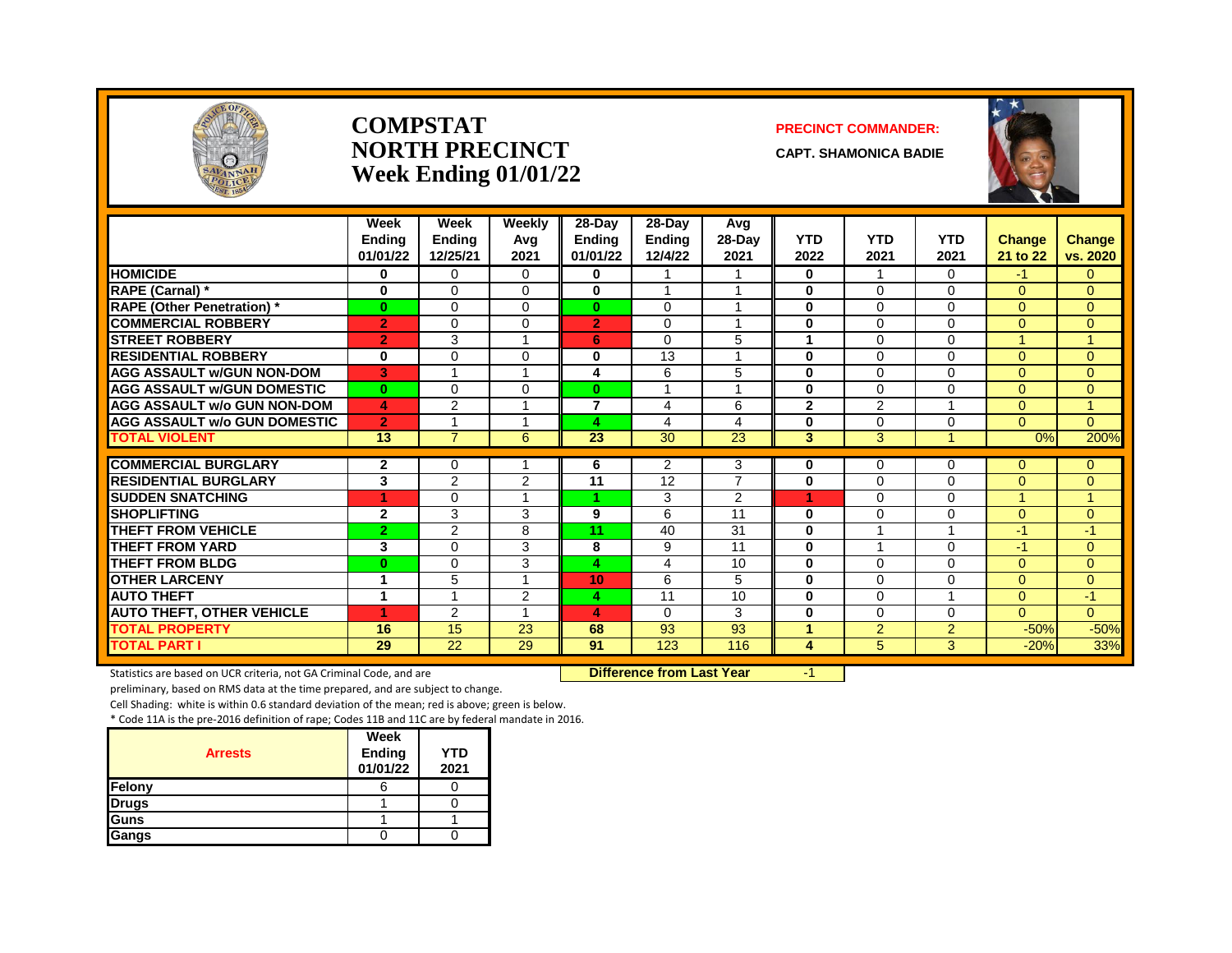

#### **COMPSTAT PRECINCT COMMANDER: NORTH PRECINCT CAPT. SHAMONICA BADIE Week Ending 01/01/22**



|                                    | Week           | Week            | Weekly   | 28-Day         | 28-Day        | Avg            |                |                |                |               |                |
|------------------------------------|----------------|-----------------|----------|----------------|---------------|----------------|----------------|----------------|----------------|---------------|----------------|
|                                    | <b>Endina</b>  | Ending          | Avg      | <b>Ending</b>  | <b>Ending</b> | 28-Day         | <b>YTD</b>     | <b>YTD</b>     | <b>YTD</b>     | <b>Change</b> | <b>Change</b>  |
|                                    | 01/01/22       | 12/25/21        | 2021     | 01/01/22       | 12/4/22       | 2021           | 2022           | 2021           | 2021           | 21 to 22      | vs. 2020       |
| <b>HOMICIDE</b>                    | 0              | $\Omega$        | 0        | 0              |               |                | 0              | -1             | 0              | $-1$          | 0              |
| RAPE (Carnal) *                    | 0              | $\Omega$        | $\Omega$ | 0              |               |                | 0              | $\Omega$       | $\Omega$       | $\Omega$      | $\Omega$       |
| <b>RAPE (Other Penetration) *</b>  | $\bf{0}$       | $\Omega$        | $\Omega$ | $\bf{0}$       | $\Omega$      | $\overline{A}$ | $\bf{0}$       | $\Omega$       | $\Omega$       | $\Omega$      | $\Omega$       |
| <b>COMMERCIAL ROBBERY</b>          | $\overline{2}$ | $\Omega$        | $\Omega$ | $\overline{2}$ | $\Omega$      |                | $\bf{0}$       | $\Omega$       | $\Omega$       | $\Omega$      | $\Omega$       |
| <b>STREET ROBBERY</b>              | $\overline{2}$ | 3               |          | 6              | $\Omega$      | 5              | 1              | $\Omega$       | $\Omega$       | 4.            | 1.             |
| <b>RESIDENTIAL ROBBERY</b>         | 0              | $\Omega$        | 0        | 0              | 13            |                | $\bf{0}$       | $\Omega$       | $\Omega$       | $\Omega$      | $\Omega$       |
| <b>AGG ASSAULT w/GUN NON-DOM</b>   | 3              |                 |          | 4              | 6             | 5              | 0              | $\Omega$       | $\Omega$       | 0             | $\Omega$       |
| <b>AGG ASSAULT w/GUN DOMESTIC</b>  | $\bf{0}$       | $\Omega$        | $\Omega$ | $\bf{0}$       |               | $\overline{A}$ | $\bf{0}$       | $\Omega$       | $\mathbf 0$    | $\Omega$      | $\overline{0}$ |
| <b>AGG ASSAULT w/o GUN NON-DOM</b> | 4              | 2               |          | $\overline{7}$ | 4             | 6              | $\overline{2}$ | 2              |                | $\Omega$      | $\mathbf{1}$   |
| AGG ASSAULT w/o GUN DOMESTIC       | $\overline{2}$ |                 |          | 4              | 4             | $\overline{4}$ | 0              | $\Omega$       | $\Omega$       | $\Omega$      | $\Omega$       |
| <b>TOTAL VIOLENT</b>               | 13             | $\overline{7}$  | 6        | 23             | 30            | 23             | 3              | 3              |                | 0%            | 200%           |
| <b>COMMERCIAL BURGLARY</b>         | $\overline{2}$ | $\Omega$        |          | 6              | 2             | 3              | 0              | $\Omega$       | $\Omega$       | $\Omega$      | $\overline{0}$ |
| <b>RESIDENTIAL BURGLARY</b>        | 3              | 2               | 2        | 11             | 12            | $\overline{7}$ | 0              | $\Omega$       | $\Omega$       | $\Omega$      | $\Omega$       |
| <b>SUDDEN SNATCHING</b>            | 1              | $\mathbf 0$     |          |                | 3             | $\overline{2}$ | 4              | $\Omega$       | $\Omega$       | 1             | $\mathbf{1}$   |
| <b>SHOPLIFTING</b>                 | $\mathbf{2}$   | 3               | 3        | 9              | 6             | 11             | $\bf{0}$       | $\Omega$       | $\Omega$       | $\Omega$      | $\Omega$       |
| <b>THEFT FROM VEHICLE</b>          | $\overline{2}$ | 2               | 8        | 11             | 40            | 31             | 0              |                |                | $-1$          | $-1$           |
| <b>THEFT FROM YARD</b>             | 3              | $\Omega$        | 3        | 8              | 9             | 11             | $\bf{0}$       | -4             | $\Omega$       | $-1$          | $\Omega$       |
| <b>THEFT FROM BLDG</b>             | $\bf{0}$       | $\Omega$        | 3        | 4              | 4             | 10             | $\bf{0}$       | $\Omega$       | $\Omega$       | $\mathbf{0}$  | $\overline{0}$ |
| <b>OTHER LARCENY</b>               | 1              | 5               |          | 10             | 6             | 5              | $\bf{0}$       | $\Omega$       | $\Omega$       | $\Omega$      | $\overline{0}$ |
| <b>AUTO THEFT</b>                  | 1              |                 | 2        | 4              | 11            | 10             | 0              | $\Omega$       |                | $\Omega$      | $-1$           |
| <b>AUTO THEFT, OTHER VEHICLE</b>   | и              | 2               |          | 4              | $\Omega$      | 3              | $\bf{0}$       | $\Omega$       | $\Omega$       | 0             | $\Omega$       |
| <b>TOTAL PROPERTY</b>              | 16             | 15              | 23       | 68             | 93            | 93             | 1              | $\overline{2}$ | $\overline{2}$ | $-50%$        | $-50%$         |
| <b>TOTAL PART I</b>                | 29             | $\overline{22}$ | 29       | 91             | 123           | 116            | 4              | 5              | 3              | $-20%$        | 33%            |

Statistics are based on UCR criteria, not GA Criminal Code, and are **Difference from Last Year** -1

preliminary, based on RMS data at the time prepared, and are subject to change.

Cell Shading: white is within 0.6 standard deviation of the mean; red is above; green is below.

| <b>Arrests</b> | Week<br><b>Ending</b><br>01/01/22 | YTD<br>2021 |
|----------------|-----------------------------------|-------------|
| Felony         |                                   |             |
| <b>Drugs</b>   |                                   |             |
| <b>I</b> Guns  |                                   |             |
| Gangs          |                                   |             |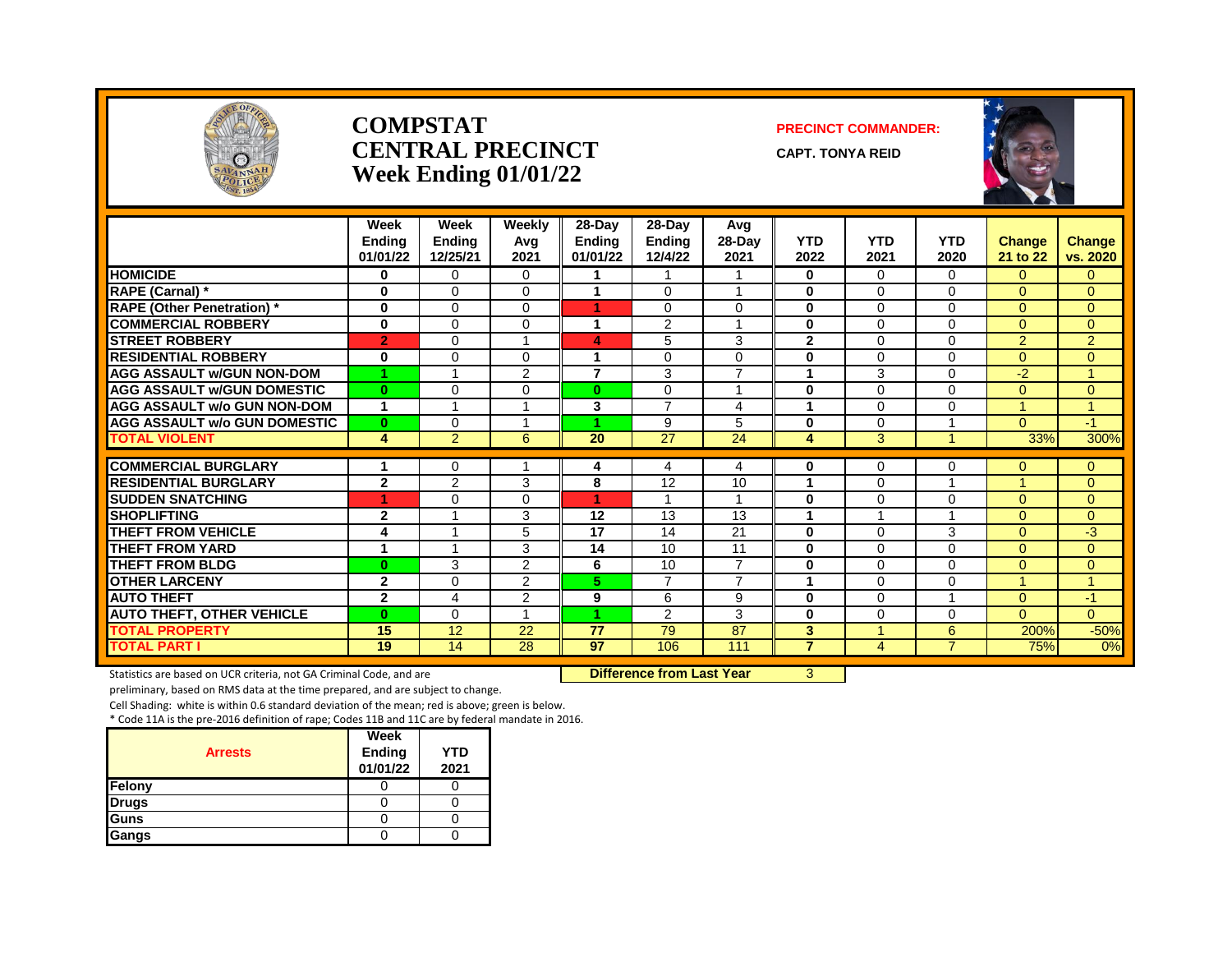

#### **COMPSTAT PRECINCT COMMANDER: CENTRAL PRECINCT** CAPT. TONYA REID **Week Ending 01/01/22**





|                                     | Week<br><b>Endina</b><br>01/01/22 | Week<br><b>Ending</b><br>12/25/21 | Weekly<br>Avg<br>2021 | 28-Day<br><b>Ending</b><br>01/01/22 | 28-Day<br><b>Ending</b><br>12/4/22 | Avg<br>$28-Day$<br>2021 | <b>YTD</b><br>2022 | <b>YTD</b><br>2021      | <b>YTD</b><br>2020      | <b>Change</b><br>21 to 22 | <b>Change</b><br>vs. 2020 |
|-------------------------------------|-----------------------------------|-----------------------------------|-----------------------|-------------------------------------|------------------------------------|-------------------------|--------------------|-------------------------|-------------------------|---------------------------|---------------------------|
| <b>HOMICIDE</b>                     | $\bf{0}$                          | $\Omega$                          | 0                     | 1                                   | 1                                  | 1                       | $\bf{0}$           | $\Omega$                | 0                       | $\Omega$                  | $\mathbf{0}$              |
| <b>RAPE (Carnal)</b> *              | $\bf{0}$                          | $\Omega$                          | 0                     | 1                                   | $\Omega$                           | -1                      | 0                  | $\Omega$                | 0                       | $\Omega$                  | $\Omega$                  |
| <b>RAPE (Other Penetration) *</b>   | $\bf{0}$                          | $\Omega$                          | 0                     | 1                                   | $\Omega$                           | $\Omega$                | $\bf{0}$           | $\Omega$                | 0                       | $\Omega$                  | $\mathbf{0}$              |
| <b>COMMERCIAL ROBBERY</b>           | $\bf{0}$                          | $\Omega$                          | 0                     | $\mathbf 1$                         | 2                                  | $\overline{ }$          | $\bf{0}$           | $\Omega$                | 0                       | $\mathbf{0}$              | $\overline{0}$            |
| <b>STREET ROBBERY</b>               | $\overline{2}$                    | $\Omega$                          |                       | 4                                   | 5                                  | 3                       | $\overline{2}$     | $\Omega$                | 0                       | 2                         | 2                         |
| <b>RESIDENTIAL ROBBERY</b>          | $\bf{0}$                          | $\Omega$                          | 0                     | $\mathbf 1$                         | $\Omega$                           | $\Omega$                | 0                  | $\Omega$                | 0                       | $\Omega$                  | $\Omega$                  |
| <b>AGG ASSAULT w/GUN NON-DOM</b>    | и                                 |                                   | $\overline{2}$        | $\overline{7}$                      | 3                                  | $\overline{7}$          | 1                  | 3                       | 0                       | $-2$                      | $\mathbf{1}$              |
| <b>AGG ASSAULT w/GUN DOMESTIC</b>   | $\bf{0}$                          | $\Omega$                          | 0                     | $\bf{0}$                            | $\Omega$                           | 4                       | $\bf{0}$           | $\Omega$                | 0                       | $\Omega$                  | $\mathbf{0}$              |
| <b>AGG ASSAULT w/o GUN NON-DOM</b>  | 1                                 | 1                                 |                       | 3                                   | $\overline{7}$                     | 4                       | -1                 | $\Omega$                | 0                       | 1                         | 1                         |
| <b>AGG ASSAULT w/o GUN DOMESTIC</b> | $\bf{0}$                          | $\Omega$                          |                       |                                     | 9                                  | 5                       | 0                  | $\Omega$                |                         | $\Omega$                  | $-1$                      |
| <b>TOTAL VIOLENT</b>                | 4                                 | $\overline{2}$                    | 6                     | $\overline{20}$                     | $\overline{27}$                    | 24                      | 4                  | 3                       |                         | 33%                       | 300%                      |
|                                     |                                   |                                   |                       |                                     |                                    |                         |                    |                         |                         |                           |                           |
| <b>COMMERCIAL BURGLARY</b>          | 1                                 | $\Omega$                          |                       | 4                                   | 4                                  | 4                       | 0                  | $\Omega$                | 0                       | $\Omega$                  | $\mathbf{0}$              |
| <b>RESIDENTIAL BURGLARY</b>         | $\mathbf{2}$                      | $\overline{2}$                    | 3                     | 8                                   | 12                                 | 10                      | 4                  | $\Omega$                |                         |                           | $\Omega$                  |
| <b>SUDDEN SNATCHING</b>             | 1                                 | $\Omega$                          | 0                     | 1                                   | 1                                  | $\overline{A}$          | $\bf{0}$           | $\Omega$                | 0                       | $\Omega$                  | $\mathbf{0}$              |
| <b>SHOPLIFTING</b>                  | $\overline{2}$                    | $\overline{\mathbf{A}}$           | 3                     | 12                                  | 13                                 | 13                      | 1                  | $\overline{\mathbf{A}}$ | $\overline{\mathbf{A}}$ | $\Omega$                  | $\Omega$                  |
| <b>THEFT FROM VEHICLE</b>           | 4                                 |                                   | 5                     | 17                                  | 14                                 | 21                      | 0                  | $\Omega$                | 3                       | $\Omega$                  | -3                        |
| <b>THEFT FROM YARD</b>              | 1                                 | 4                                 | 3                     | 14                                  | 10                                 | 11                      | $\bf{0}$           | $\Omega$                | 0                       | $\Omega$                  | $\Omega$                  |
| <b>THEFT FROM BLDG</b>              | $\bf{0}$                          | 3                                 | $\overline{2}$        | 6                                   | 10                                 | $\overline{7}$          | $\bf{0}$           | $\Omega$                | 0                       | $\Omega$                  | $\mathbf{0}$              |
| <b>OTHER LARCENY</b>                | $\overline{2}$                    | $\Omega$                          | 2                     | 5.                                  | $\overline{7}$                     | $\overline{7}$          | 1                  | $\Omega$                | 0                       | и                         | $\blacktriangleleft$      |
| <b>AUTO THEFT</b>                   | $\mathbf{2}$                      | 4                                 | $\overline{2}$        | 9                                   | 6                                  | 9                       | $\bf{0}$           | $\Omega$                |                         | $\Omega$                  | $-1$                      |
| <b>AUTO THEFT, OTHER VEHICLE</b>    | $\bf{0}$                          | $\Omega$                          |                       | 4                                   | 2                                  | 3                       | $\bf{0}$           | $\Omega$                | 0                       | $\Omega$                  | $\Omega$                  |
| <b>TOTAL PROPERTY</b>               | 15                                | 12                                | 22                    | 77                                  | 79                                 | 87                      | 3                  | $\overline{A}$          | 6                       | 200%                      | $-50%$                    |
| <b>TOTAL PART I</b>                 | 19                                | 14                                | $\overline{28}$       | 97                                  | 106                                | 111                     | $\overline{7}$     | 4                       | $\overline{7}$          | 75%                       | 0%                        |

Statistics are based on UCR criteria, not GA Criminal Code, and are **Difference from Last Year** 3

preliminary, based on RMS data at the time prepared, and are subject to change.

Cell Shading: white is within 0.6 standard deviation of the mean; red is above; green is below.

| <b>Arrests</b> | Week<br>Ending<br>01/01/22 | YTD<br>2021 |
|----------------|----------------------------|-------------|
| Felony         |                            |             |
| <b>Drugs</b>   |                            |             |
| <b>Guns</b>    |                            |             |
| Gangs          |                            |             |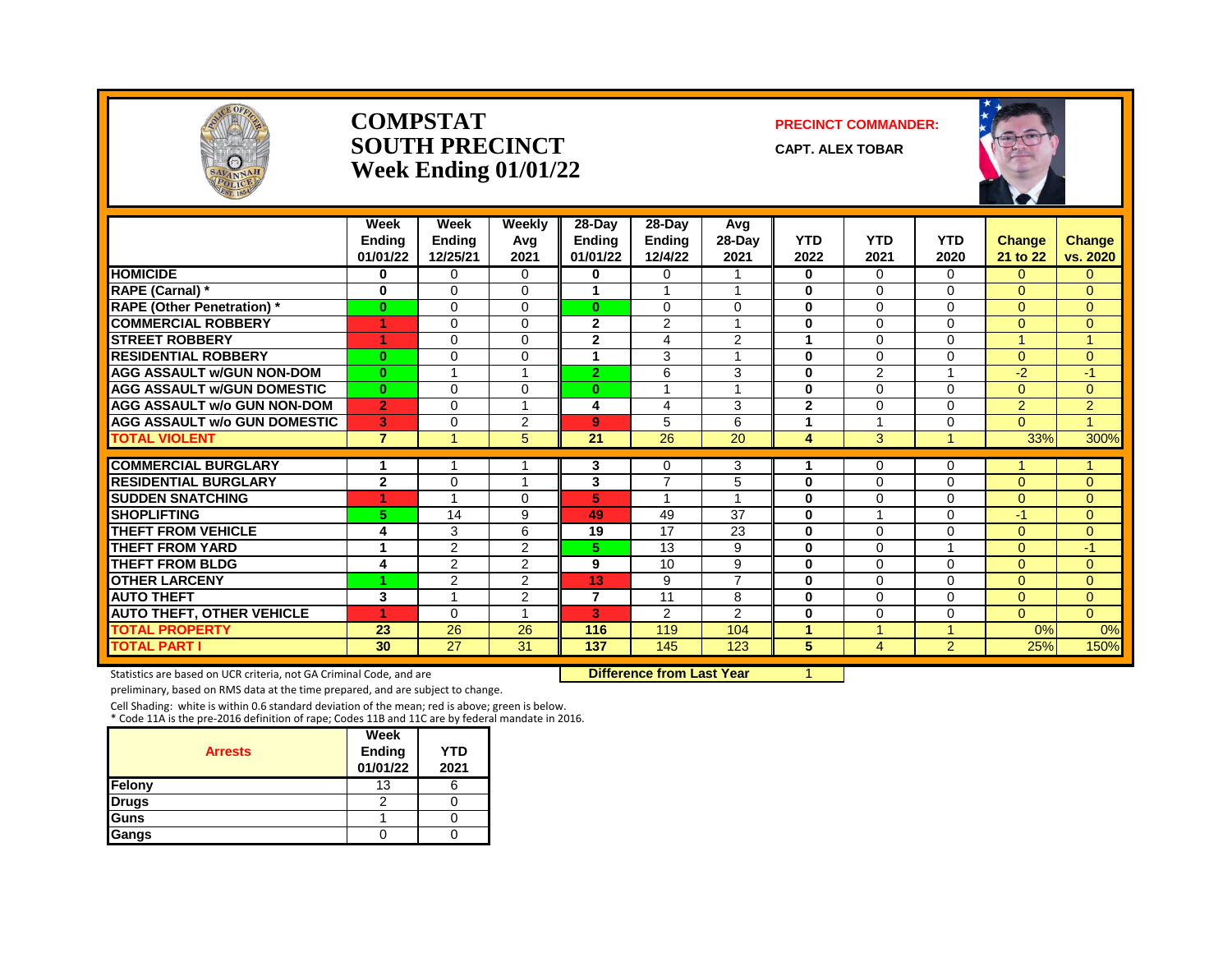

#### **COMPSTAT PRECINCT COMMANDER: SOUTH PRECINCT** CAPT. ALEX TOBAR **Week Ending 01/01/22**



|                                     | Week           | Week            | Weekly   | 28-Day          | $28-Day$                | Avg             |                |                |                |                |                |
|-------------------------------------|----------------|-----------------|----------|-----------------|-------------------------|-----------------|----------------|----------------|----------------|----------------|----------------|
|                                     | <b>Endina</b>  | Ending          | Avg      | Ending          | <b>Ending</b>           | $28-Day$        | <b>YTD</b>     | <b>YTD</b>     | <b>YTD</b>     | <b>Change</b>  | <b>Change</b>  |
|                                     | 01/01/22       | 12/25/21        | 2021     | 01/01/22        | 12/4/22                 | 2021            | 2022           | 2021           | 2020           | 21 to 22       | vs. 2020       |
| <b>HOMICIDE</b>                     | 0              | $\Omega$        | $\Omega$ | 0               | $\Omega$                |                 | 0              | $\Omega$       | $\Omega$       | $\Omega$       | 0              |
| RAPE (Carnal) *                     | 0              | $\Omega$        | $\Omega$ | 1               |                         |                 | 0              | $\Omega$       | 0              | $\overline{0}$ | $\overline{0}$ |
| <b>RAPE (Other Penetration)*</b>    | $\bf{0}$       | $\Omega$        | $\Omega$ | $\bf{0}$        | $\Omega$                | $\Omega$        | $\bf{0}$       | $\Omega$       | $\Omega$       | $\Omega$       | $\overline{0}$ |
| <b>COMMERCIAL ROBBERY</b>           | 4              | $\Omega$        | $\Omega$ | $\overline{2}$  | 2                       |                 | $\bf{0}$       | $\Omega$       | 0              | $\Omega$       | $\Omega$       |
| <b>STREET ROBBERY</b>               | 4              | $\Omega$        | $\Omega$ | $\mathbf{2}$    | 4                       | 2               | 1              | $\Omega$       | 0              | и              |                |
| <b>RESIDENTIAL ROBBERY</b>          | $\bf{0}$       | $\Omega$        | $\Omega$ | 1               | 3                       |                 | $\bf{0}$       | $\Omega$       | $\Omega$       | $\Omega$       | $\Omega$       |
| <b>AGG ASSAULT w/GUN NON-DOM</b>    | $\bf{0}$       | и               |          | $\overline{2}$  | 6                       | 3               | $\bf{0}$       | 2              |                | $-2$           | $-1$           |
| <b>AGG ASSAULT W/GUN DOMESTIC</b>   | $\bf{0}$       | $\Omega$        | $\Omega$ | $\bf{0}$        | $\overline{\mathbf{A}}$ |                 | $\bf{0}$       | $\Omega$       | 0              | $\Omega$       | $\overline{0}$ |
| <b>AGG ASSAULT w/o GUN NON-DOM</b>  | $\overline{2}$ | $\Omega$        |          | 4               | 4                       | 3               | $\overline{2}$ | $\Omega$       | 0              | $\overline{2}$ | $\overline{2}$ |
| <b>AGG ASSAULT W/o GUN DOMESTIC</b> | 3              | $\Omega$        | 2        | 9               | 5                       | 6               | 1              |                | 0              | $\Omega$       | и              |
| <b>TOTAL VIOLENT</b>                | $\overline{7}$ |                 | 5        | $\overline{21}$ | $\overline{26}$         | $\overline{20}$ | 4              | 3              |                | 33%            | 300%           |
| <b>COMMERCIAL BURGLARY</b>          | 1              |                 |          | 3               | 0                       | 3               | 1              | $\Omega$       | 0              |                |                |
| <b>RESIDENTIAL BURGLARY</b>         | $\mathbf{2}$   | $\Omega$        |          | 3               | $\overline{ }$          | 5               | 0              | $\Omega$       | 0              | $\Omega$       | $\Omega$       |
| <b>SUDDEN SNATCHING</b>             | 4              |                 | $\Omega$ | 5               | 4                       |                 | $\bf{0}$       | $\Omega$       | 0              | $\Omega$       | $\Omega$       |
| <b>SHOPLIFTING</b>                  | 5.             | 14              | 9        | 49              | 49                      | 37              | $\bf{0}$       | -4             | 0              | $-1$           | 0              |
| THEFT FROM VEHICLE                  | 4              | 3               | 6        | 19              | 17                      | 23              | 0              | $\Omega$       | 0              | $\Omega$       | 0              |
| <b>THEFT FROM YARD</b>              | 1              | $\overline{2}$  | 2        | 5.              | 13                      | 9               | $\bf{0}$       | $\Omega$       |                | $\Omega$       | $-1$           |
| <b>THEFT FROM BLDG</b>              | 4              | 2               | 2        | 9               | 10                      | 9               | $\bf{0}$       | $\Omega$       | $\Omega$       | $\Omega$       | 0              |
| <b>OTHER LARCENY</b>                |                | 2               | 2        | 13              | 9                       | $\overline{7}$  | $\bf{0}$       | $\Omega$       | 0              | $\Omega$       | 0              |
| <b>AUTO THEFT</b>                   | 3              | и               | 2        | 7               | 11                      | 8               | $\bf{0}$       | $\Omega$       | 0              | $\Omega$       | 0              |
| <b>AUTO THEFT, OTHER VEHICLE</b>    | 4              | $\Omega$        |          | 3               | 2                       | 2               | $\bf{0}$       | $\Omega$       | 0              | $\Omega$       | $\overline{0}$ |
| <b>TOTAL PROPERTY</b>               | 23             | 26              | 26       | 116             | 119                     | 104             | 1              | $\overline{A}$ | 4              | 0%             | 0%             |
| <b>TOTAL PART I</b>                 | 30             | $\overline{27}$ | 31       | 137             | 145                     | 123             | 5              | 4              | $\overline{2}$ | 25%            | 150%           |
|                                     |                |                 |          |                 |                         |                 |                |                |                |                |                |

Statistics are based on UCR criteria, not GA Criminal Code, and are **Difference from Last Year** 1

preliminary, based on RMS data at the time prepared, and are subject to change.

Cell Shading: white is within 0.6 standard deviation of the mean; red is above; green is below. \* Code 11A is the pre-2016 definition of rape; Codes 11B and 11C are by federal mandate in 2016.

| <b>Arrests</b> | Week<br><b>Ending</b><br>01/01/22 | YTD<br>2021 |
|----------------|-----------------------------------|-------------|
| Felony         | 13                                |             |
| <b>Drugs</b>   | っ                                 |             |
| Guns           |                                   |             |
| Gangs          |                                   |             |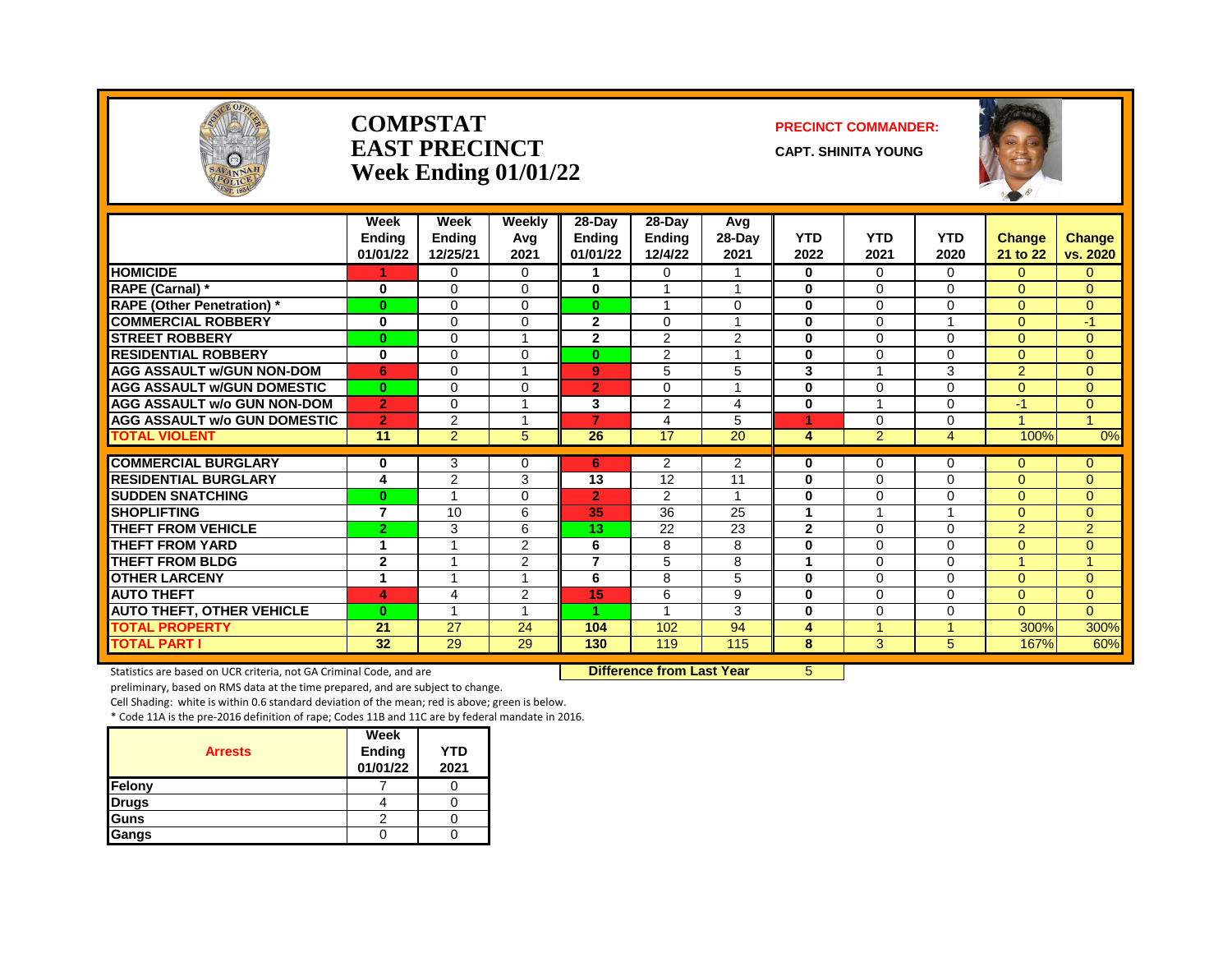

#### **COMPSTAT PRECINCT COMMANDER: EAST PRECINCT CAPT.** SHINITA YOUNG **Week Ending 01/01/22**



|                                     | Week<br>Endina<br>01/01/22 | Week<br><b>Ending</b><br>12/25/21 | Weekly<br>Avg<br>2021    | 28-Day<br><b>Endina</b><br>01/01/22 | $28-Day$<br><b>Ending</b><br>12/4/22 | Avg<br>28-Day<br>2021 | <b>YTD</b><br>2022 | <b>YTD</b><br>2021      | <b>YTD</b><br>2020      | Change<br>21 to 22 | Change<br>vs. 2020 |
|-------------------------------------|----------------------------|-----------------------------------|--------------------------|-------------------------------------|--------------------------------------|-----------------------|--------------------|-------------------------|-------------------------|--------------------|--------------------|
| <b>HOMICIDE</b>                     |                            | $\Omega$                          | $\Omega$                 |                                     | 0                                    | 1                     | $\bf{0}$           | $\Omega$                | $\Omega$                | $\Omega$           | $\Omega$           |
| RAPE (Carnal) *                     | 0                          | $\Omega$                          | $\Omega$                 | 0                                   | $\overline{ }$                       | 1                     | $\bf{0}$           | $\Omega$                | 0                       | $\Omega$           | $\Omega$           |
| <b>RAPE (Other Penetration)</b> *   | $\bf{0}$                   | $\Omega$                          | $\Omega$                 | $\mathbf{0}$                        | 1                                    | 0                     | $\bf{0}$           | $\Omega$                | 0                       | $\Omega$           | $\Omega$           |
| <b>COMMERCIAL ROBBERY</b>           | $\bf{0}$                   | $\Omega$                          | $\Omega$                 | $\mathbf{2}$                        | $\Omega$                             | 1                     | $\bf{0}$           | $\Omega$                | $\overline{\mathbf{A}}$ | $\Omega$           | $-1$               |
| <b>STREET ROBBERY</b>               | $\bf{0}$                   | $\Omega$                          | $\overline{\phantom{a}}$ | $\overline{2}$                      | 2                                    | 2                     | $\bf{0}$           | $\Omega$                | 0                       | $\Omega$           | $\Omega$           |
| <b>RESIDENTIAL ROBBERY</b>          | $\bf{0}$                   | $\Omega$                          | 0                        | $\bf{0}$                            | 2                                    | 4                     | $\bf{0}$           | $\Omega$                | 0                       | $\Omega$           | $\Omega$           |
| <b>AGG ASSAULT w/GUN NON-DOM</b>    | 6                          | $\Omega$                          |                          | 9                                   | 5                                    | 5                     | 3                  |                         | 3                       | 2                  | $\Omega$           |
| <b>AGG ASSAULT w/GUN DOMESTIC</b>   | $\bf{0}$                   | $\Omega$                          | $\Omega$                 | $\overline{2}$                      | $\Omega$                             | 4                     | $\bf{0}$           | $\Omega$                | 0                       | $\Omega$           | $\Omega$           |
| <b>AGG ASSAULT w/o GUN NON-DOM</b>  | $\overline{2}$             | $\Omega$                          | -1                       | 3                                   | 2                                    | 4                     | $\bf{0}$           | $\overline{\mathbf{A}}$ | 0                       | -1                 | $\Omega$           |
| <b>AGG ASSAULT w/o GUN DOMESTIC</b> | $\overline{2}$             | $\overline{2}$                    |                          | 7                                   | 4                                    | 5                     |                    | $\Omega$                | $\Omega$                |                    |                    |
| <b>TOTAL VIOLENT</b>                | 11                         | $\overline{2}$                    | 5                        | 26                                  | 17                                   | 20                    | 4                  | $\overline{2}$          | $\overline{4}$          | 100%               | $0\%$              |
| <b>COMMERCIAL BURGLARY</b>          | 0                          | 3                                 | $\Omega$                 | 6                                   | $\overline{2}$                       | $\overline{2}$        | $\bf{0}$           | $\Omega$                | 0                       | $\Omega$           | $\Omega$           |
| <b>RESIDENTIAL BURGLARY</b>         | 4                          | $\overline{2}$                    | 3                        | 13                                  | 12                                   | 11                    | $\bf{0}$           | $\Omega$                | 0                       | $\Omega$           | $\Omega$           |
| <b>SUDDEN SNATCHING</b>             | $\bf{0}$                   |                                   | $\Omega$                 | $\overline{2}$                      | 2                                    | 1                     | $\bf{0}$           | $\Omega$                | 0                       | $\Omega$           | $\Omega$           |
| <b>SHOPLIFTING</b>                  | $\overline{7}$             | 10                                | 6                        | 35                                  | 36                                   | 25                    | 1                  | 1                       | 1                       | $\Omega$           | $\Omega$           |
| THEFT FROM VEHICLE                  | 2                          | 3                                 | 6                        | 13                                  | 22                                   | 23                    | $\mathbf{2}$       | $\Omega$                | $\Omega$                | 2                  | $\overline{2}$     |
| <b>THEFT FROM YARD</b>              | 1                          |                                   | 2                        | 6                                   | 8                                    | 8                     | $\mathbf 0$        | $\Omega$                | 0                       | $\overline{0}$     | $\overline{0}$     |
| <b>THEFT FROM BLDG</b>              | $\mathbf{2}$               | 4                                 | $\overline{2}$           | $\overline{7}$                      | 5                                    | 8                     | 1                  | $\Omega$                | 0                       |                    | $\overline{A}$     |
| <b>OTHER LARCENY</b>                |                            |                                   |                          | 6                                   | 8                                    | 5                     | $\bf{0}$           | $\Omega$                | 0                       | $\Omega$           | $\Omega$           |
| <b>AUTO THEFT</b>                   | 4                          | $\overline{4}$                    | 2                        | 15                                  | 6                                    | 9                     | $\bf{0}$           | $\Omega$                | 0                       | $\Omega$           | $\Omega$           |
| <b>AUTO THEFT, OTHER VEHICLE</b>    | $\bf{0}$                   | $\overline{ }$                    |                          | 4                                   | $\overline{A}$                       | 3                     | $\bf{0}$           | $\Omega$                | 0                       | $\Omega$           | $\Omega$           |
| <b>TOTAL PROPERTY</b>               | 21                         | 27                                | 24                       | 104                                 | 102                                  | 94                    | 4                  |                         | и                       | 300%               | 300%               |
| <b>TOTAL PART I</b>                 | 32                         | 29                                | 29                       | 130                                 | 119                                  | 115                   | 8                  | 3                       | 5                       | 167%               | 60%                |

Statistics are based on UCR criteria, not GA Criminal Code, and are **Dufference from Last Year** 5

preliminary, based on RMS data at the time prepared, and are subject to change.

Cell Shading: white is within 0.6 standard deviation of the mean; red is above; green is below.

|                | Week                      |                    |
|----------------|---------------------------|--------------------|
| <b>Arrests</b> | <b>Ending</b><br>01/01/22 | <b>YTD</b><br>2021 |
| Felony         |                           |                    |
| <b>Drugs</b>   |                           |                    |
| Guns           |                           |                    |
| Gangs          |                           |                    |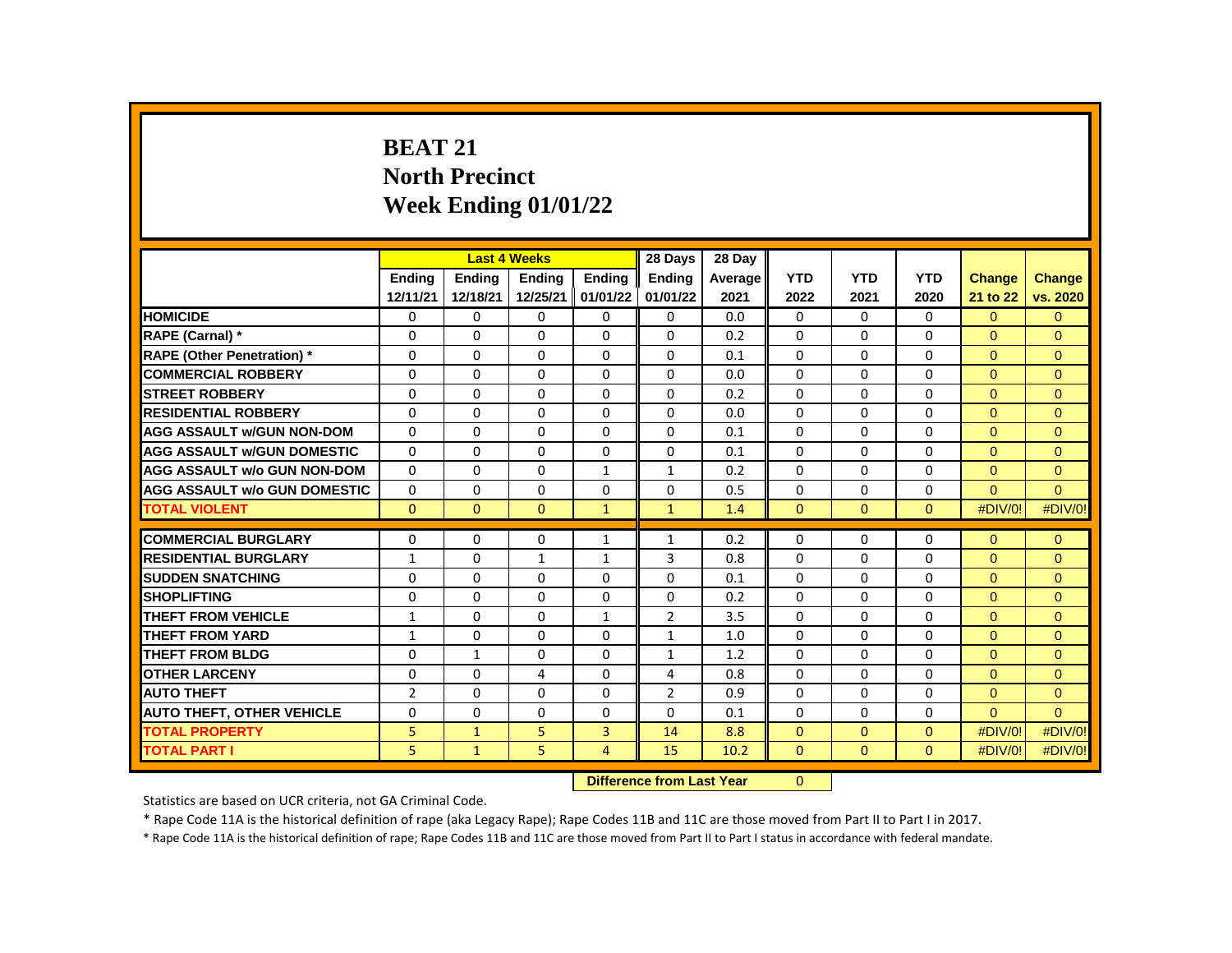# **BEAT 21 North Precinct Week Ending 01/01/22**

|                                     |                |               | <b>Last 4 Weeks</b> |                | 28 Days        | 28 Day  |              |              |              |               |               |
|-------------------------------------|----------------|---------------|---------------------|----------------|----------------|---------|--------------|--------------|--------------|---------------|---------------|
|                                     | <b>Endina</b>  | <b>Endina</b> | <b>Endina</b>       | <b>Endina</b>  | <b>Endina</b>  | Average | <b>YTD</b>   | <b>YTD</b>   | <b>YTD</b>   | <b>Change</b> | <b>Change</b> |
|                                     | 12/11/21       | 12/18/21      | 12/25/21            | 01/01/22       | 01/01/22       | 2021    | 2022         | 2021         | 2020         | 21 to 22      | vs. 2020      |
| <b>HOMICIDE</b>                     | 0              | 0             | 0                   | 0              | $\mathbf{0}$   | 0.0     | $\mathbf{0}$ | $\mathbf{0}$ | $\mathbf{0}$ | $\Omega$      | $\mathbf{0}$  |
| RAPE (Carnal) *                     | $\Omega$       | $\Omega$      | 0                   | $\Omega$       | 0              | 0.2     | $\Omega$     | $\Omega$     | $\Omega$     | $\Omega$      | $\Omega$      |
| <b>RAPE (Other Penetration) *</b>   | $\Omega$       | $\Omega$      | $\Omega$            | $\Omega$       | $\Omega$       | 0.1     | $\Omega$     | $\Omega$     | $\Omega$     | $\Omega$      | $\Omega$      |
| <b>COMMERCIAL ROBBERY</b>           | $\Omega$       | $\Omega$      | $\Omega$            | $\Omega$       | 0              | 0.0     | $\Omega$     | $\Omega$     | $\Omega$     | $\Omega$      | $\Omega$      |
| <b>STREET ROBBERY</b>               | $\Omega$       | $\Omega$      | 0                   | 0              | 0              | 0.2     | $\Omega$     | 0            | $\Omega$     | $\Omega$      | $\Omega$      |
| <b>RESIDENTIAL ROBBERY</b>          | $\Omega$       | 0             | $\Omega$            | 0              | $\Omega$       | 0.0     | $\Omega$     | $\mathbf{0}$ | $\Omega$     | $\Omega$      | $\mathbf{0}$  |
| <b>AGG ASSAULT w/GUN NON-DOM</b>    | $\Omega$       | $\Omega$      | 0                   | 0              | 0              | 0.1     | $\Omega$     | $\Omega$     | $\Omega$     | $\Omega$      | $\Omega$      |
| <b>AGG ASSAULT w/GUN DOMESTIC</b>   | $\Omega$       | 0             | 0                   | 0              | 0              | 0.1     | $\Omega$     | $\mathbf{0}$ | $\Omega$     | $\Omega$      | $\Omega$      |
| <b>AGG ASSAULT w/o GUN NON-DOM</b>  | $\Omega$       | 0             | 0                   | $\mathbf{1}$   | 1              | 0.2     | $\Omega$     | $\Omega$     | $\Omega$     | $\Omega$      | $\mathbf{0}$  |
| <b>AGG ASSAULT w/o GUN DOMESTIC</b> | $\Omega$       | $\Omega$      | 0                   | 0              | 0              | 0.5     | $\Omega$     | 0            | $\Omega$     | $\Omega$      | $\Omega$      |
| <b>TOTAL VIOLENT</b>                | $\Omega$       | $\mathbf{0}$  | $\mathbf{0}$        | $\mathbf{1}$   | $\mathbf{1}$   | 1.4     | $\mathbf{0}$ | $\mathbf{0}$ | $\Omega$     | #DIV/0!       | #DIV/0!       |
|                                     |                |               |                     |                |                |         |              |              |              |               |               |
| <b>COMMERCIAL BURGLARY</b>          | 0              | 0             | 0                   | $\mathbf{1}$   | $\mathbf{1}$   | 0.2     | 0            | 0            | $\Omega$     | $\Omega$      | $\mathbf{0}$  |
| <b>RESIDENTIAL BURGLARY</b>         | $\mathbf{1}$   | $\Omega$      | $\mathbf{1}$        | $\mathbf{1}$   | 3              | 0.8     | $\Omega$     | 0            | 0            | $\Omega$      | $\Omega$      |
| <b>SUDDEN SNATCHING</b>             | 0              | 0             | 0                   | 0              | 0              | 0.1     | 0            | $\mathbf{0}$ | 0            | $\Omega$      | $\Omega$      |
| <b>SHOPLIFTING</b>                  | $\Omega$       | $\Omega$      | $\Omega$            | 0              | $\Omega$       | 0.2     | $\Omega$     | $\Omega$     | $\Omega$     | $\Omega$      | $\Omega$      |
| THEFT FROM VEHICLE                  | 1              | 0             | 0                   | $\mathbf{1}$   | $\overline{2}$ | 3.5     | $\Omega$     | $\mathbf{0}$ | $\Omega$     | $\Omega$      | $\Omega$      |
| <b>THEFT FROM YARD</b>              | $\mathbf{1}$   | $\Omega$      | $\Omega$            | $\Omega$       | $\mathbf{1}$   | 1.0     | $\Omega$     | $\Omega$     | $\Omega$     | $\Omega$      | $\Omega$      |
| <b>THEFT FROM BLDG</b>              | $\Omega$       | $\mathbf{1}$  | $\Omega$            | $\Omega$       | $\mathbf{1}$   | 1.2     | $\Omega$     | $\Omega$     | $\Omega$     | $\Omega$      | $\Omega$      |
| <b>OTHER LARCENY</b>                | $\Omega$       | $\Omega$      | 4                   | $\Omega$       | 4              | 0.8     | $\Omega$     | $\mathbf{0}$ | $\Omega$     | $\Omega$      | $\Omega$      |
| <b>AUTO THEFT</b>                   | $\overline{2}$ | $\Omega$      | $\Omega$            | $\Omega$       | $\overline{2}$ | 0.9     | $\Omega$     | $\Omega$     | $\Omega$     | $\Omega$      | $\Omega$      |
| <b>AUTO THEFT, OTHER VEHICLE</b>    | $\Omega$       | $\Omega$      | $\Omega$            | $\Omega$       | $\Omega$       | 0.1     | $\Omega$     | $\Omega$     | $\Omega$     | $\Omega$      | $\Omega$      |
| <b>TOTAL PROPERTY</b>               | 5              | $\mathbf{1}$  | 5                   | 3              | 14             | 8.8     | $\mathbf{0}$ | $\mathbf{0}$ | $\Omega$     | #DIV/0!       | #DIV/0!       |
| <b>TOTAL PART I</b>                 | 5              | $\mathbf{1}$  | 5                   | $\overline{4}$ | 15             | 10.2    | $\mathbf{0}$ | $\Omega$     | $\Omega$     | #DIV/0!       | #DIV/0!       |

**Difference from Last Year** 0 |

Statistics are based on UCR criteria, not GA Criminal Code.

\* Rape Code 11A is the historical definition of rape (aka Legacy Rape); Rape Codes 11B and 11C are those moved from Part II to Part I in 2017.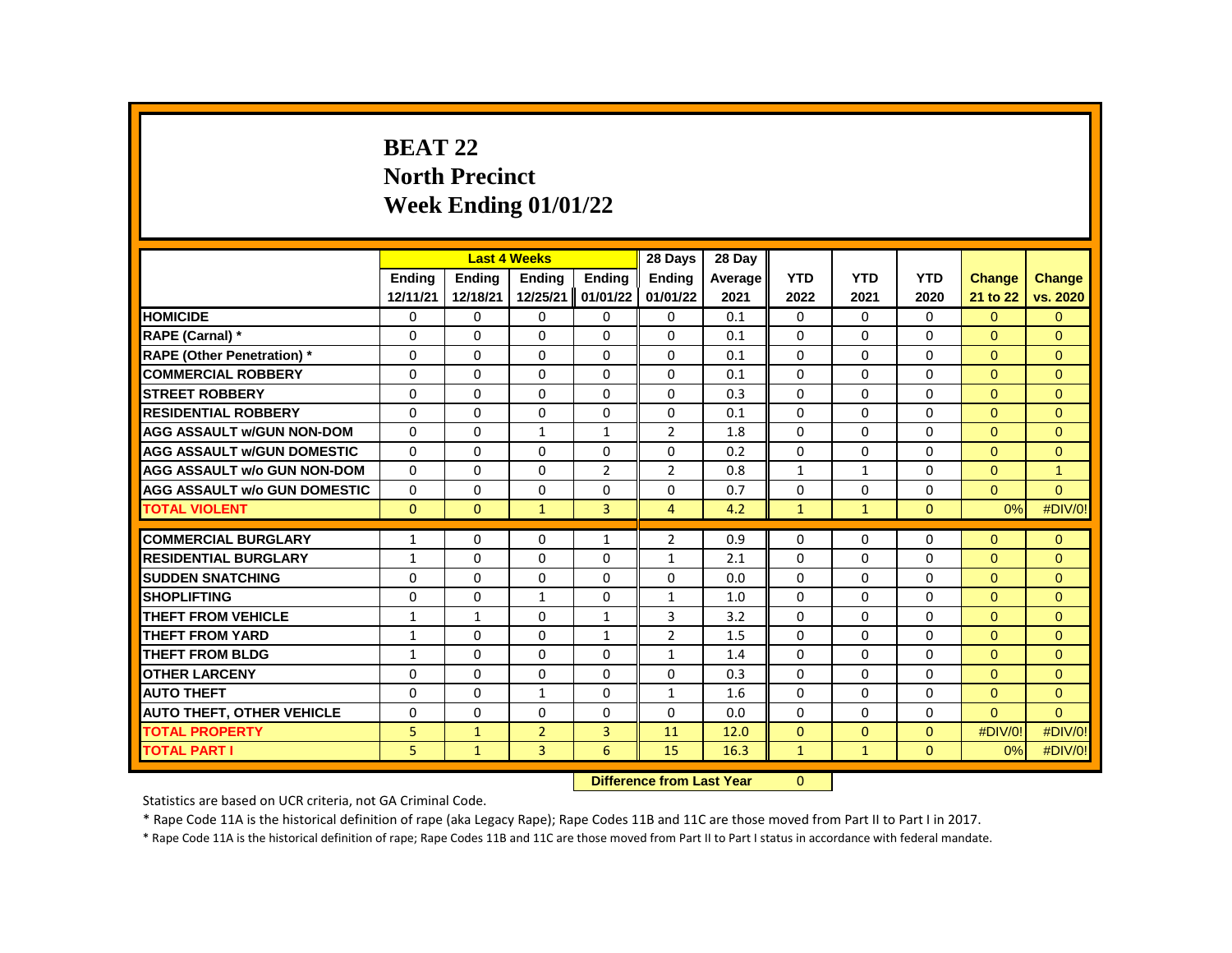# **BEAT 22 North Precinct Week Ending 01/01/22**

|                                     |               |               | <b>Last 4 Weeks</b> |                | 28 Days        | 28 Day              |              |              |              |                |               |
|-------------------------------------|---------------|---------------|---------------------|----------------|----------------|---------------------|--------------|--------------|--------------|----------------|---------------|
|                                     | <b>Endina</b> | <b>Endina</b> | <b>Endina</b>       | <b>Endina</b>  | <b>Endina</b>  | Average             | <b>YTD</b>   | <b>YTD</b>   | <b>YTD</b>   | <b>Change</b>  | <b>Change</b> |
|                                     | 12/11/21      | 12/18/21      | 12/25/21            | 01/01/22       | 01/01/22       | 2021                | 2022         | 2021         | 2020         | 21 to 22       | vs. 2020      |
| <b>HOMICIDE</b>                     | 0             | 0             | 0                   | 0              | 0              | 0.1                 | 0            | 0            | $\mathbf{0}$ | $\overline{0}$ | $\mathbf{0}$  |
| RAPE (Carnal) *                     | $\Omega$      | $\Omega$      | $\Omega$            | $\Omega$       | $\Omega$       | 0.1                 | $\Omega$     | $\Omega$     | $\Omega$     | $\Omega$       | $\Omega$      |
| RAPE (Other Penetration) *          | $\Omega$      | $\Omega$      | $\Omega$            | $\Omega$       | $\Omega$       | 0.1                 | $\Omega$     | $\Omega$     | $\Omega$     | $\Omega$       | $\Omega$      |
| <b>COMMERCIAL ROBBERY</b>           | $\Omega$      | $\Omega$      | $\Omega$            | $\Omega$       | $\Omega$       | 0.1                 | $\Omega$     | $\Omega$     | $\Omega$     | $\Omega$       | $\Omega$      |
| <b>STREET ROBBERY</b>               | 0             | 0             | $\Omega$            | $\Omega$       | $\Omega$       | 0.3                 | $\Omega$     | $\mathbf{0}$ | $\Omega$     | $\Omega$       | $\Omega$      |
| <b>RESIDENTIAL ROBBERY</b>          | $\Omega$      | $\Omega$      | $\Omega$            | $\Omega$       | $\Omega$       | 0.1                 | $\Omega$     | $\Omega$     | $\Omega$     | $\Omega$       | $\Omega$      |
| <b>AGG ASSAULT w/GUN NON-DOM</b>    | $\Omega$      | $\Omega$      | $\mathbf{1}$        | $\mathbf{1}$   | $\overline{2}$ | 1.8                 | $\Omega$     | $\mathbf{0}$ | $\Omega$     | $\Omega$       | $\Omega$      |
| <b>AGG ASSAULT W/GUN DOMESTIC</b>   | $\Omega$      | $\Omega$      | $\Omega$            | $\Omega$       | 0              | 0.2                 | $\Omega$     | $\mathbf{0}$ | $\Omega$     | $\Omega$       | $\Omega$      |
| <b>AGG ASSAULT w/o GUN NON-DOM</b>  | $\Omega$      | $\Omega$      | $\Omega$            | $\overline{2}$ | $\overline{2}$ | 0.8                 | $\mathbf{1}$ | $\mathbf{1}$ | $\Omega$     | $\Omega$       | $\mathbf{1}$  |
| <b>AGG ASSAULT w/o GUN DOMESTIC</b> | $\Omega$      | $\Omega$      | $\Omega$            | $\Omega$       | $\Omega$       | 0.7                 | $\Omega$     | $\Omega$     | $\Omega$     | $\Omega$       | $\Omega$      |
| <b>TOTAL VIOLENT</b>                | $\mathbf{0}$  | $\mathbf{0}$  | $\mathbf{1}$        | 3              | 4              | 4.2                 | $\mathbf{1}$ | $\mathbf{1}$ | $\mathbf{0}$ | $0\%$          | #DIV/0!       |
|                                     |               |               |                     |                |                |                     |              |              |              |                |               |
| <b>COMMERCIAL BURGLARY</b>          | $\mathbf{1}$  | 0             | 0                   | $\mathbf{1}$   | $\overline{2}$ | 0.9                 | $\Omega$     | 0            | 0            | $\mathbf{0}$   | $\mathbf{0}$  |
| <b>RESIDENTIAL BURGLARY</b>         | $\mathbf{1}$  | 0             | $\Omega$            | 0              | 1              | 2.1                 | $\Omega$     | 0            | $\Omega$     | $\Omega$       | $\mathbf{0}$  |
| <b>SUDDEN SNATCHING</b>             | $\Omega$      | $\Omega$      | $\Omega$            | $\Omega$       | $\Omega$       | 0.0                 | $\Omega$     | $\Omega$     | $\Omega$     | $\Omega$       | $\Omega$      |
| <b>SHOPLIFTING</b>                  | $\Omega$      | $\Omega$      | $\mathbf{1}$        | $\Omega$       | $\mathbf{1}$   | 1.0                 | $\Omega$     | 0            | $\Omega$     | $\Omega$       | $\Omega$      |
| THEFT FROM VEHICLE                  | $\mathbf{1}$  | $\mathbf{1}$  | 0                   | $\mathbf{1}$   | 3              | 3.2                 | 0            | $\mathbf{0}$ | $\Omega$     | $\Omega$       | $\Omega$      |
| <b>THEFT FROM YARD</b>              | $\mathbf{1}$  | $\Omega$      | $\Omega$            | $\mathbf{1}$   | $\overline{2}$ | 1.5                 | $\Omega$     | $\Omega$     | $\Omega$     | $\Omega$       | $\Omega$      |
| <b>THEFT FROM BLDG</b>              | $\mathbf{1}$  | $\Omega$      | $\Omega$            | $\Omega$       | $\mathbf{1}$   | 1.4                 | $\Omega$     | 0            | $\Omega$     | $\Omega$       | $\mathbf{0}$  |
| <b>OTHER LARCENY</b>                | $\Omega$      | $\Omega$      | $\Omega$            | $\Omega$       | $\Omega$       | 0.3                 | $\Omega$     | $\Omega$     | $\Omega$     | $\Omega$       | $\Omega$      |
| <b>AUTO THEFT</b>                   | $\Omega$      | $\Omega$      | $\mathbf{1}$        | $\Omega$       | $\mathbf{1}$   | 1.6                 | $\Omega$     | $\Omega$     | $\Omega$     | $\Omega$       | $\Omega$      |
| <b>AUTO THEFT, OTHER VEHICLE</b>    | 0             | 0             | 0                   | 0              | 0              | 0.0                 | 0            | 0            | 0            | $\Omega$       | $\Omega$      |
| <b>TOTAL PROPERTY</b>               | 5             | $\mathbf{1}$  | $\overline{2}$      | 3              | 11             | 12.0                | $\Omega$     | $\mathbf{0}$ | $\Omega$     | #DIV/0!        | #DIV/0!       |
| <b>TOTAL PART I</b>                 | 5             | $\mathbf{1}$  | 3                   | 6              | 15             | 16.3                | $\mathbf{1}$ | $\mathbf{1}$ | $\mathbf{0}$ | $0\%$          | #DIV/0!       |
|                                     |               |               |                     |                |                | and the same way to | $\sim$       |              |              |                |               |

**Difference from Last Year** 0

Statistics are based on UCR criteria, not GA Criminal Code.

\* Rape Code 11A is the historical definition of rape (aka Legacy Rape); Rape Codes 11B and 11C are those moved from Part II to Part I in 2017.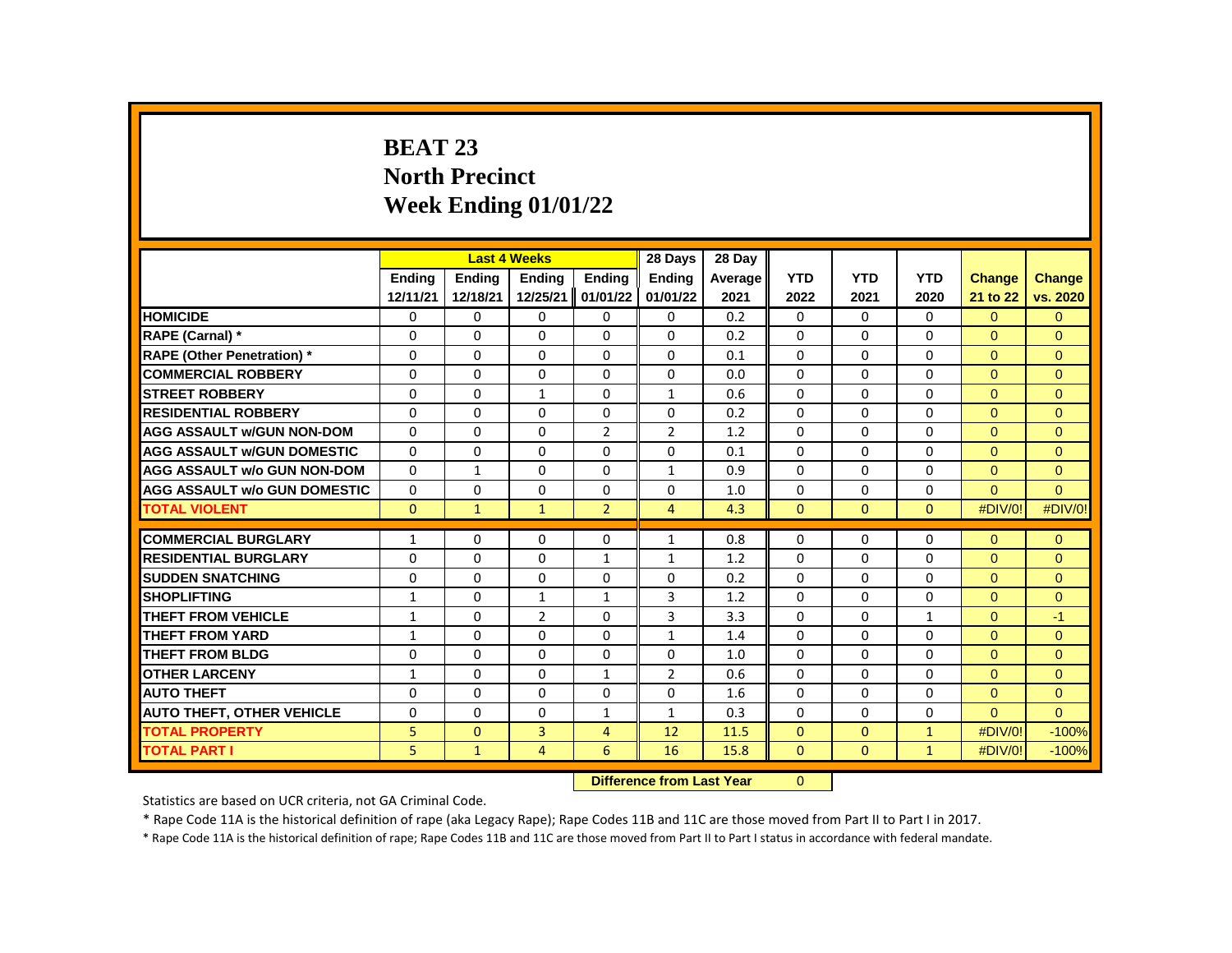# **BEAT 23 North Precinct Week Ending 01/01/22**

|                                     |               |               | <b>Last 4 Weeks</b> |                | 28 Days        | 28 Day  |              |              |              |               |               |
|-------------------------------------|---------------|---------------|---------------------|----------------|----------------|---------|--------------|--------------|--------------|---------------|---------------|
|                                     | <b>Ending</b> | <b>Endina</b> | <b>Ending</b>       | <b>Endina</b>  | <b>Endina</b>  | Average | <b>YTD</b>   | <b>YTD</b>   | <b>YTD</b>   | <b>Change</b> | <b>Change</b> |
|                                     | 12/11/21      | 12/18/21      | 12/25/21            | 01/01/22       | 01/01/22       | 2021    | 2022         | 2021         | 2020         | 21 to 22      | vs. 2020      |
| <b>HOMICIDE</b>                     | 0             | 0             | 0                   | 0              | 0              | 0.2     | 0            | 0            | 0            | $\Omega$      | $\mathbf{0}$  |
| RAPE (Carnal) *                     | $\Omega$      | $\Omega$      | $\Omega$            | $\Omega$       | $\Omega$       | 0.2     | $\Omega$     | $\Omega$     | $\Omega$     | $\Omega$      | $\Omega$      |
| <b>RAPE (Other Penetration)</b> *   | $\Omega$      | $\Omega$      | $\Omega$            | $\Omega$       | $\Omega$       | 0.1     | $\Omega$     | $\Omega$     | $\Omega$     | $\Omega$      | $\Omega$      |
| <b>COMMERCIAL ROBBERY</b>           | 0             | 0             | 0                   | 0              | 0              | 0.0     | $\Omega$     | 0            | $\Omega$     | $\Omega$      | $\Omega$      |
| <b>STREET ROBBERY</b>               | $\Omega$      | 0             | $\mathbf{1}$        | $\Omega$       | $\mathbf{1}$   | 0.6     | $\Omega$     | $\Omega$     | $\Omega$     | $\Omega$      | $\Omega$      |
| <b>RESIDENTIAL ROBBERY</b>          | $\Omega$      | $\Omega$      | $\Omega$            | $\Omega$       | $\Omega$       | 0.2     | $\Omega$     | $\Omega$     | $\Omega$     | $\Omega$      | $\Omega$      |
| <b>AGG ASSAULT w/GUN NON-DOM</b>    | 0             | 0             | 0                   | $\overline{2}$ | $\overline{2}$ | 1.2     | $\Omega$     | 0            | 0            | $\mathbf{0}$  | $\mathbf{0}$  |
| <b>AGG ASSAULT W/GUN DOMESTIC</b>   | $\Omega$      | 0             | $\Omega$            | $\Omega$       | $\Omega$       | 0.1     | $\Omega$     | $\Omega$     | $\Omega$     | $\Omega$      | $\Omega$      |
| <b>AGG ASSAULT w/o GUN NON-DOM</b>  | $\Omega$      | $\mathbf{1}$  | $\Omega$            | $\Omega$       | $\mathbf{1}$   | 0.9     | $\Omega$     | $\Omega$     | $\Omega$     | $\Omega$      | $\Omega$      |
| <b>AGG ASSAULT w/o GUN DOMESTIC</b> | $\Omega$      | $\Omega$      | $\Omega$            | $\Omega$       | $\Omega$       | 1.0     | $\Omega$     | $\Omega$     | $\Omega$     | $\Omega$      | $\Omega$      |
| <b>TOTAL VIOLENT</b>                | $\Omega$      | $\mathbf{1}$  | $\mathbf{1}$        | $\overline{2}$ | $\overline{4}$ | 4.3     | $\Omega$     | $\Omega$     | $\Omega$     | #DIV/0!       | #DIV/0!       |
|                                     |               |               |                     |                |                |         |              |              |              |               |               |
| <b>COMMERCIAL BURGLARY</b>          | $\mathbf{1}$  | 0             | 0                   | 0              | $\mathbf{1}$   | 0.8     | $\Omega$     | 0            | $\Omega$     | $\Omega$      | $\mathbf{0}$  |
| <b>RESIDENTIAL BURGLARY</b>         | $\Omega$      | 0             | $\Omega$            | $\mathbf{1}$   | $\mathbf{1}$   | 1.2     | $\Omega$     | $\Omega$     | $\Omega$     | $\Omega$      | $\Omega$      |
| <b>SUDDEN SNATCHING</b>             | $\Omega$      | $\Omega$      | $\Omega$            | $\Omega$       | $\Omega$       | 0.2     | $\Omega$     | $\Omega$     | $\Omega$     | $\Omega$      | $\Omega$      |
| <b>SHOPLIFTING</b>                  | $\mathbf{1}$  | $\Omega$      | $\mathbf{1}$        | $\mathbf{1}$   | 3              | 1.2     | $\Omega$     | 0            | $\Omega$     | $\Omega$      | $\Omega$      |
| THEFT FROM VEHICLE                  | $\mathbf{1}$  | $\Omega$      | $\overline{2}$      | $\Omega$       | 3              | 3.3     | $\Omega$     | 0            | $\mathbf{1}$ | $\Omega$      | $-1$          |
| <b>THEFT FROM YARD</b>              | $\mathbf{1}$  | $\Omega$      | $\Omega$            | $\Omega$       | $\mathbf{1}$   | 1.4     | $\Omega$     | $\Omega$     | $\Omega$     | $\Omega$      | $\Omega$      |
| <b>THEFT FROM BLDG</b>              | $\Omega$      | $\Omega$      | $\Omega$            | $\Omega$       | $\Omega$       | 1.0     | $\Omega$     | 0            | $\Omega$     | $\Omega$      | $\Omega$      |
| <b>OTHER LARCENY</b>                | $\mathbf{1}$  | 0             | $\Omega$            | $\mathbf{1}$   | $\overline{2}$ | 0.6     | $\Omega$     | $\Omega$     | $\Omega$     | $\Omega$      | $\Omega$      |
| <b>AUTO THEFT</b>                   | $\Omega$      | $\Omega$      | $\Omega$            | $\Omega$       | $\Omega$       | 1.6     | $\Omega$     | $\Omega$     | $\Omega$     | $\Omega$      | $\mathbf{0}$  |
| <b>AUTO THEFT, OTHER VEHICLE</b>    | $\Omega$      | 0             | $\Omega$            | $\mathbf{1}$   | $\mathbf{1}$   | 0.3     | $\Omega$     | 0            | $\Omega$     | $\Omega$      | $\Omega$      |
| <b>TOTAL PROPERTY</b>               | 5             | $\mathbf{0}$  | 3                   | $\overline{4}$ | 12             | 11.5    | $\mathbf 0$  | $\mathbf{0}$ | $\mathbf{1}$ | #DIV/0!       | $-100%$       |
| <b>TOTAL PART I</b>                 | 5             | $\mathbf{1}$  | $\overline{4}$      | 6              | 16             | 15.8    | $\mathbf{0}$ | $\mathbf{0}$ | $\mathbf{1}$ | #DIV/0!       | $-100%$       |
|                                     |               |               |                     |                |                |         |              |              |              |               |               |

**Difference from Last Year** 0

Statistics are based on UCR criteria, not GA Criminal Code.

\* Rape Code 11A is the historical definition of rape (aka Legacy Rape); Rape Codes 11B and 11C are those moved from Part II to Part I in 2017.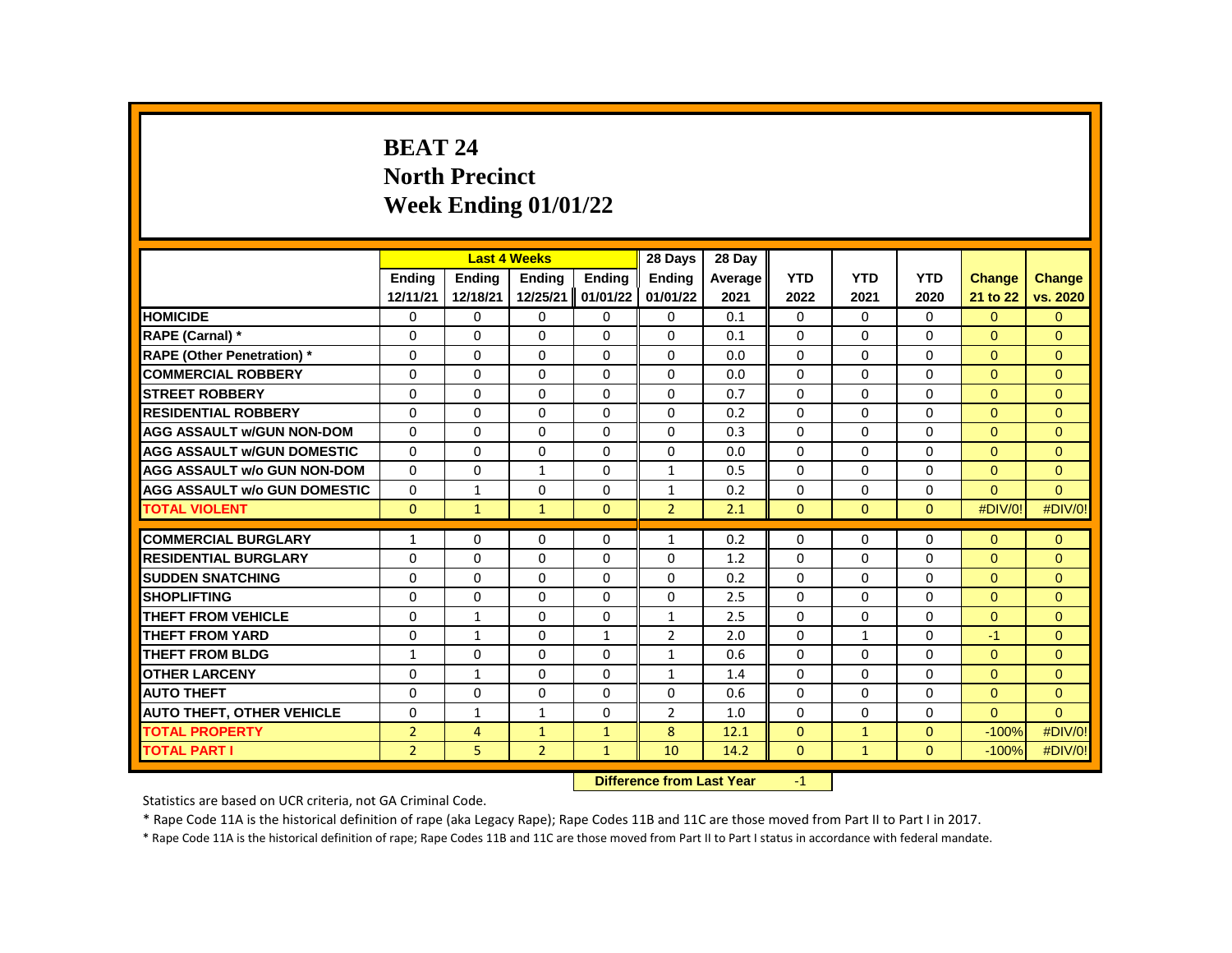# **BEAT 24 North Precinct Week Ending 01/01/22**

|                                     |                |                | <b>Last 4 Weeks</b> |                    | 28 Days        | 28 Day                                     |              |              |              |                |               |
|-------------------------------------|----------------|----------------|---------------------|--------------------|----------------|--------------------------------------------|--------------|--------------|--------------|----------------|---------------|
|                                     | <b>Endina</b>  | <b>Endina</b>  | <b>Endina</b>       | <b>Endina</b>      | <b>Endina</b>  | Average                                    | <b>YTD</b>   | <b>YTD</b>   | <b>YTD</b>   | <b>Change</b>  | <b>Change</b> |
|                                     | 12/11/21       | 12/18/21       | 12/25/21            | 01/01/22           | 01/01/22       | 2021                                       | 2022         | 2021         | 2020         | 21 to 22       | vs. 2020      |
| <b>HOMICIDE</b>                     | 0              | 0              | 0                   | 0                  | 0              | 0.1                                        | 0            | 0            | $\mathbf{0}$ | $\overline{0}$ | $\mathbf{0}$  |
| RAPE (Carnal) *                     | $\Omega$       | $\Omega$       | $\Omega$            | $\Omega$           | $\Omega$       | 0.1                                        | $\Omega$     | $\Omega$     | $\Omega$     | $\Omega$       | $\Omega$      |
| RAPE (Other Penetration) *          | $\Omega$       | $\Omega$       | $\Omega$            | $\Omega$           | $\Omega$       | 0.0                                        | $\Omega$     | $\Omega$     | $\Omega$     | $\Omega$       | $\Omega$      |
| <b>COMMERCIAL ROBBERY</b>           | $\Omega$       | $\Omega$       | $\Omega$            | $\Omega$           | $\Omega$       | 0.0                                        | $\Omega$     | $\Omega$     | $\Omega$     | $\Omega$       | $\Omega$      |
| <b>STREET ROBBERY</b>               | 0              | 0              | $\Omega$            | $\Omega$           | $\Omega$       | 0.7                                        | $\Omega$     | $\mathbf{0}$ | $\Omega$     | $\Omega$       | $\Omega$      |
| <b>RESIDENTIAL ROBBERY</b>          | $\Omega$       | $\Omega$       | $\Omega$            | $\Omega$           | $\Omega$       | 0.2                                        | $\Omega$     | $\Omega$     | $\Omega$     | $\Omega$       | $\mathbf{0}$  |
| <b>AGG ASSAULT w/GUN NON-DOM</b>    | $\Omega$       | $\Omega$       | $\Omega$            | $\Omega$           | $\Omega$       | 0.3                                        | $\Omega$     | $\mathbf{0}$ | $\Omega$     | $\Omega$       | $\Omega$      |
| <b>AGG ASSAULT W/GUN DOMESTIC</b>   | $\Omega$       | $\Omega$       | $\Omega$            | $\Omega$           | 0              | 0.0                                        | $\Omega$     | $\mathbf{0}$ | $\Omega$     | $\Omega$       | $\Omega$      |
| <b>AGG ASSAULT w/o GUN NON-DOM</b>  | $\Omega$       | $\Omega$       | $\mathbf{1}$        | $\Omega$           | $\mathbf{1}$   | 0.5                                        | $\Omega$     | $\Omega$     | $\Omega$     | $\Omega$       | $\mathbf{0}$  |
| <b>AGG ASSAULT w/o GUN DOMESTIC</b> | $\Omega$       | $\mathbf{1}$   | $\Omega$            | $\Omega$           | $\mathbf{1}$   | 0.2                                        | $\Omega$     | $\Omega$     | $\Omega$     | $\Omega$       | $\Omega$      |
| <b>TOTAL VIOLENT</b>                | $\mathbf{0}$   | $\mathbf{1}$   | $\mathbf{1}$        | $\mathbf{0}$       | $\overline{2}$ | 2.1                                        | $\mathbf{0}$ | $\mathbf{0}$ | $\mathbf{0}$ | #DIV/0!        | #DIV/0!       |
|                                     |                |                |                     |                    |                |                                            |              |              |              |                |               |
| <b>COMMERCIAL BURGLARY</b>          | $\mathbf{1}$   | 0              | 0                   | 0                  | $\mathbf{1}$   | 0.2                                        | 0            | 0            | 0            | $\Omega$       | $\mathbf{0}$  |
| <b>RESIDENTIAL BURGLARY</b>         | 0              | 0              | $\Omega$            | 0                  | 0              | 1.2                                        | $\Omega$     | 0            | $\Omega$     | $\Omega$       | $\mathbf{0}$  |
| <b>SUDDEN SNATCHING</b>             | $\Omega$       | $\Omega$       | $\Omega$            | $\Omega$           | $\Omega$       | 0.2                                        | $\Omega$     | $\Omega$     | $\Omega$     | $\Omega$       | $\Omega$      |
| <b>SHOPLIFTING</b>                  | $\Omega$       | $\Omega$       | $\Omega$            | $\Omega$           | 0              | 2.5                                        | $\Omega$     | 0            | $\Omega$     | $\Omega$       | $\Omega$      |
| THEFT FROM VEHICLE                  | 0              | $\mathbf{1}$   | 0                   | 0                  | $\mathbf{1}$   | 2.5                                        | 0            | $\mathbf{0}$ | $\Omega$     | $\Omega$       | $\Omega$      |
| <b>THEFT FROM YARD</b>              | $\Omega$       | $\mathbf{1}$   | $\Omega$            | $\mathbf{1}$       | $\overline{2}$ | 2.0                                        | $\Omega$     | $\mathbf{1}$ | $\Omega$     | $-1$           | $\Omega$      |
| <b>THEFT FROM BLDG</b>              | $\mathbf{1}$   | $\Omega$       | $\Omega$            | $\Omega$           | $\mathbf{1}$   | 0.6                                        | $\Omega$     | 0            | $\Omega$     | $\Omega$       | $\mathbf{0}$  |
| <b>OTHER LARCENY</b>                | $\Omega$       | $\mathbf{1}$   | $\Omega$            | $\Omega$           | $\mathbf{1}$   | 1.4                                        | $\Omega$     | $\Omega$     | $\Omega$     | $\Omega$       | $\Omega$      |
| <b>AUTO THEFT</b>                   | $\Omega$       | $\Omega$       | $\Omega$            | $\Omega$           | $\Omega$       | 0.6                                        | $\Omega$     | $\Omega$     | $\Omega$     | $\Omega$       | $\Omega$      |
| <b>AUTO THEFT, OTHER VEHICLE</b>    | 0              | $\mathbf{1}$   | $\mathbf{1}$        | 0                  | $\overline{2}$ | 1.0                                        | 0            | 0            | 0            | $\Omega$       | $\Omega$      |
| <b>TOTAL PROPERTY</b>               | $\overline{2}$ | $\overline{4}$ | $\mathbf{1}$        | $\mathbf{1}$       | 8              | 12.1                                       | $\Omega$     | $\mathbf{1}$ | $\Omega$     | $-100%$        | #DIV/0!       |
| <b>TOTAL PART I</b>                 | $\overline{2}$ | 5              | $\overline{2}$      | $\mathbf{1}$       | 10             | 14.2                                       | $\mathbf{0}$ | $\mathbf{1}$ | $\mathbf{0}$ | $-100%$        | #DIV/0!       |
|                                     |                |                |                     | <b>CARLO CARDS</b> |                | <b>Contract Contract Contract Contract</b> |              |              |              |                |               |

**Difference from Last Year** -1

Statistics are based on UCR criteria, not GA Criminal Code.

\* Rape Code 11A is the historical definition of rape (aka Legacy Rape); Rape Codes 11B and 11C are those moved from Part II to Part I in 2017.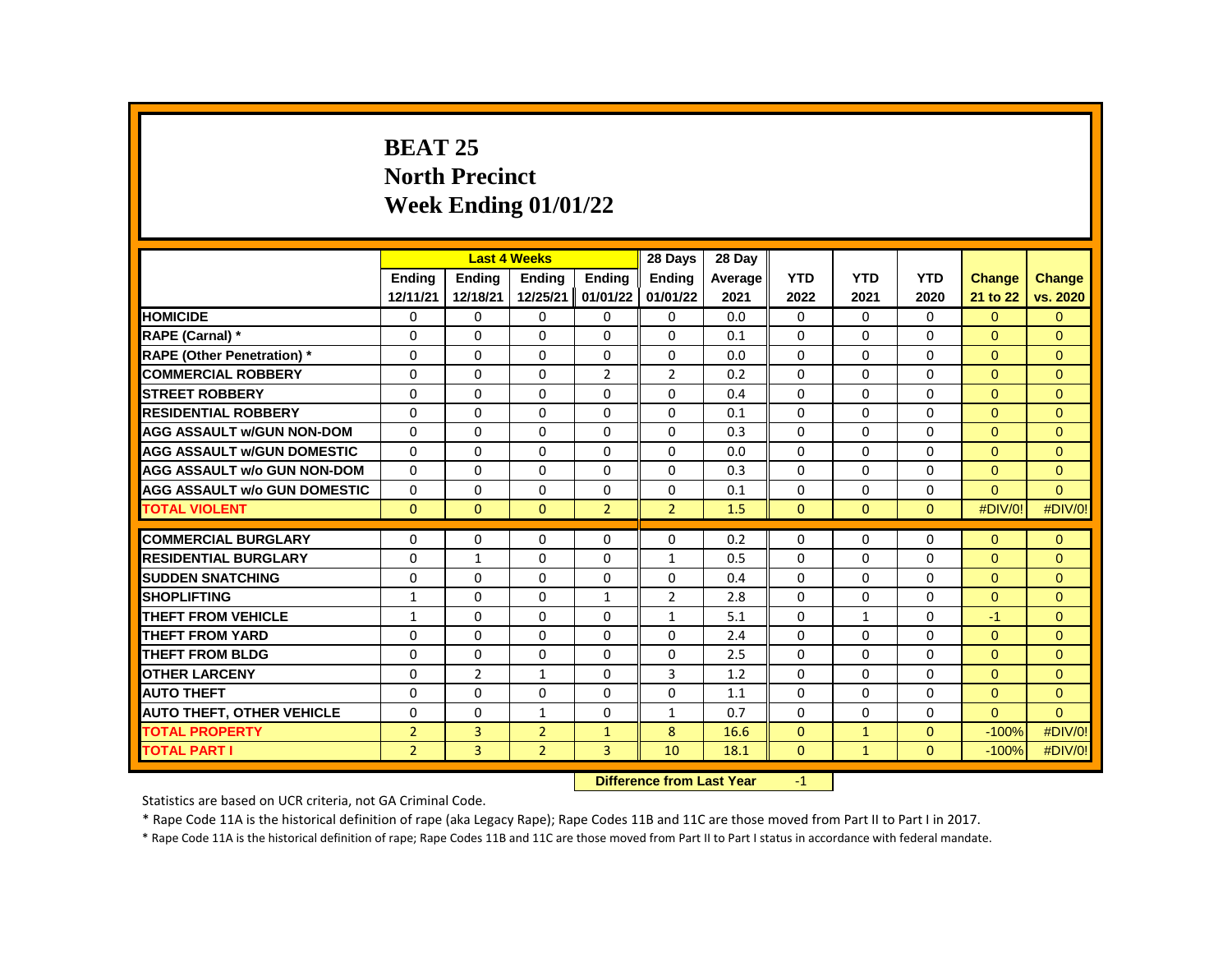# **BEAT 25 North Precinct Week Ending 01/01/22**

|                                     |                |                | <b>Last 4 Weeks</b> |                   | 28 Days        | 28 Day    |              |              |              |                |                |
|-------------------------------------|----------------|----------------|---------------------|-------------------|----------------|-----------|--------------|--------------|--------------|----------------|----------------|
|                                     | <b>Endina</b>  | <b>Endina</b>  | <b>Endina</b>       | <b>Endina</b>     | <b>Endina</b>  | Average   | <b>YTD</b>   | <b>YTD</b>   | <b>YTD</b>   | <b>Change</b>  | <b>Change</b>  |
|                                     | 12/11/21       | 12/18/21       | 12/25/21            | 01/01/22          | 01/01/22       | 2021      | 2022         | 2021         | 2020         | 21 to 22       | vs. 2020       |
| <b>HOMICIDE</b>                     | 0              | $\Omega$       | $\Omega$            | $\Omega$          | 0              | 0.0       | 0            | $\Omega$     | 0            | $\overline{0}$ | $\overline{0}$ |
| RAPE (Carnal) *                     | $\Omega$       | $\Omega$       | $\Omega$            | $\Omega$          | $\Omega$       | 0.1       | $\Omega$     | $\Omega$     | $\Omega$     | $\Omega$       | $\Omega$       |
| <b>RAPE (Other Penetration) *</b>   | $\Omega$       | $\Omega$       | $\Omega$            | $\Omega$          | $\Omega$       | 0.0       | $\Omega$     | $\Omega$     | $\Omega$     | $\Omega$       | $\Omega$       |
| <b>COMMERCIAL ROBBERY</b>           | 0              | $\Omega$       | $\Omega$            | $\overline{2}$    | $\overline{2}$ | 0.2       | $\Omega$     | $\Omega$     | $\Omega$     | $\Omega$       | $\Omega$       |
| <b>STREET ROBBERY</b>               | $\Omega$       | $\Omega$       | $\Omega$            | $\Omega$          | $\Omega$       | 0.4       | $\Omega$     | $\Omega$     | $\Omega$     | $\Omega$       | $\Omega$       |
| <b>RESIDENTIAL ROBBERY</b>          | $\Omega$       | $\Omega$       | $\Omega$            | $\Omega$          | $\Omega$       | 0.1       | $\Omega$     | $\Omega$     | $\Omega$     | $\Omega$       | $\Omega$       |
| <b>AGG ASSAULT W/GUN NON-DOM</b>    | $\Omega$       | $\Omega$       | $\Omega$            | $\Omega$          | $\Omega$       | 0.3       | $\Omega$     | $\Omega$     | $\Omega$     | $\Omega$       | $\Omega$       |
| <b>AGG ASSAULT W/GUN DOMESTIC</b>   | $\Omega$       | $\Omega$       | $\Omega$            | $\Omega$          | $\Omega$       | 0.0       | $\Omega$     | $\Omega$     | $\Omega$     | $\Omega$       | $\Omega$       |
| <b>AGG ASSAULT w/o GUN NON-DOM</b>  | $\Omega$       | $\Omega$       | $\Omega$            | $\Omega$          | $\Omega$       | 0.3       | $\Omega$     | $\Omega$     | $\Omega$     | $\Omega$       | $\mathbf{0}$   |
| <b>AGG ASSAULT w/o GUN DOMESTIC</b> | $\Omega$       | $\Omega$       | $\Omega$            | $\Omega$          | $\Omega$       | 0.1       | $\Omega$     | $\Omega$     | $\Omega$     | $\Omega$       | $\Omega$       |
| <b>TOTAL VIOLENT</b>                | $\mathbf{0}$   | $\mathbf{0}$   | $\mathbf{0}$        | $\overline{2}$    | $\overline{2}$ | 1.5       | $\mathbf{0}$ | $\mathbf{0}$ | $\mathbf{0}$ | #DIV/0!        | #DIV/0!        |
|                                     |                |                |                     |                   |                |           |              |              |              |                |                |
| <b>COMMERCIAL BURGLARY</b>          | 0              | $\mathbf{0}$   | $\mathbf{0}$        | $\mathbf{0}$      | 0              | 0.2       | 0            | 0            | 0            | $\overline{0}$ | $\mathbf{0}$   |
| <b>RESIDENTIAL BURGLARY</b>         | $\Omega$       | 1              | $\Omega$            | $\Omega$          | $\mathbf{1}$   | 0.5       | $\Omega$     | 0            | $\Omega$     | $\Omega$       | $\mathbf{0}$   |
| <b>SUDDEN SNATCHING</b>             | $\Omega$       | $\Omega$       | $\Omega$            | $\Omega$          | $\Omega$       | 0.4       | $\Omega$     | $\Omega$     | $\Omega$     | $\Omega$       | $\Omega$       |
| <b>SHOPLIFTING</b>                  | $\mathbf{1}$   | $\Omega$       | $\Omega$            | $\mathbf{1}$      | $\overline{2}$ | 2.8       | $\Omega$     | $\Omega$     | $\Omega$     | $\Omega$       | $\Omega$       |
| <b>THEFT FROM VEHICLE</b>           | $\mathbf{1}$   | $\mathbf{0}$   | $\mathbf{0}$        | $\mathbf{0}$      | $\mathbf{1}$   | 5.1       | $\Omega$     | $\mathbf{1}$ | $\Omega$     | $-1$           | $\Omega$       |
| <b>THEFT FROM YARD</b>              | $\Omega$       | $\Omega$       | $\Omega$            | $\Omega$          | $\Omega$       | 2.4       | $\Omega$     | $\Omega$     | $\Omega$     | $\Omega$       | $\Omega$       |
| <b>THEFT FROM BLDG</b>              | $\Omega$       | $\Omega$       | $\Omega$            | $\Omega$          | $\Omega$       | 2.5       | $\Omega$     | $\Omega$     | $\Omega$     | $\Omega$       | $\mathbf{0}$   |
| <b>OTHER LARCENY</b>                | $\Omega$       | $\overline{2}$ | $\mathbf{1}$        | $\Omega$          | 3              | 1.2       | $\Omega$     | $\Omega$     | $\Omega$     | $\Omega$       | $\Omega$       |
| <b>AUTO THEFT</b>                   | $\Omega$       | $\Omega$       | $\Omega$            | $\Omega$          | $\Omega$       | 1.1       | $\Omega$     | $\Omega$     | $\Omega$     | $\Omega$       | $\Omega$       |
| <b>AUTO THEFT, OTHER VEHICLE</b>    | 0              | $\mathbf{0}$   | $\mathbf{1}$        | $\mathbf{0}$      | $\mathbf{1}$   | 0.7       | $\Omega$     | 0            | 0            | $\Omega$       | $\Omega$       |
| <b>TOTAL PROPERTY</b>               | $\overline{2}$ | $\overline{3}$ | $\overline{2}$      | $\mathbf{1}$      | 8              | 16.6      | $\Omega$     | $\mathbf{1}$ | $\Omega$     | $-100%$        | #DIV/0!        |
| <b>TOTAL PART I</b>                 | $\overline{2}$ | 3              | $\overline{2}$      | $\overline{3}$    | 10             | 18.1      | $\mathbf{0}$ | $\mathbf{1}$ | $\mathbf{0}$ | $-100%$        | #DIV/0!        |
|                                     |                |                |                     | <b>CONTRACTOR</b> |                | $-1.32 -$ |              |              |              |                |                |

**Difference from Last Year** -1

Statistics are based on UCR criteria, not GA Criminal Code.

\* Rape Code 11A is the historical definition of rape (aka Legacy Rape); Rape Codes 11B and 11C are those moved from Part II to Part I in 2017.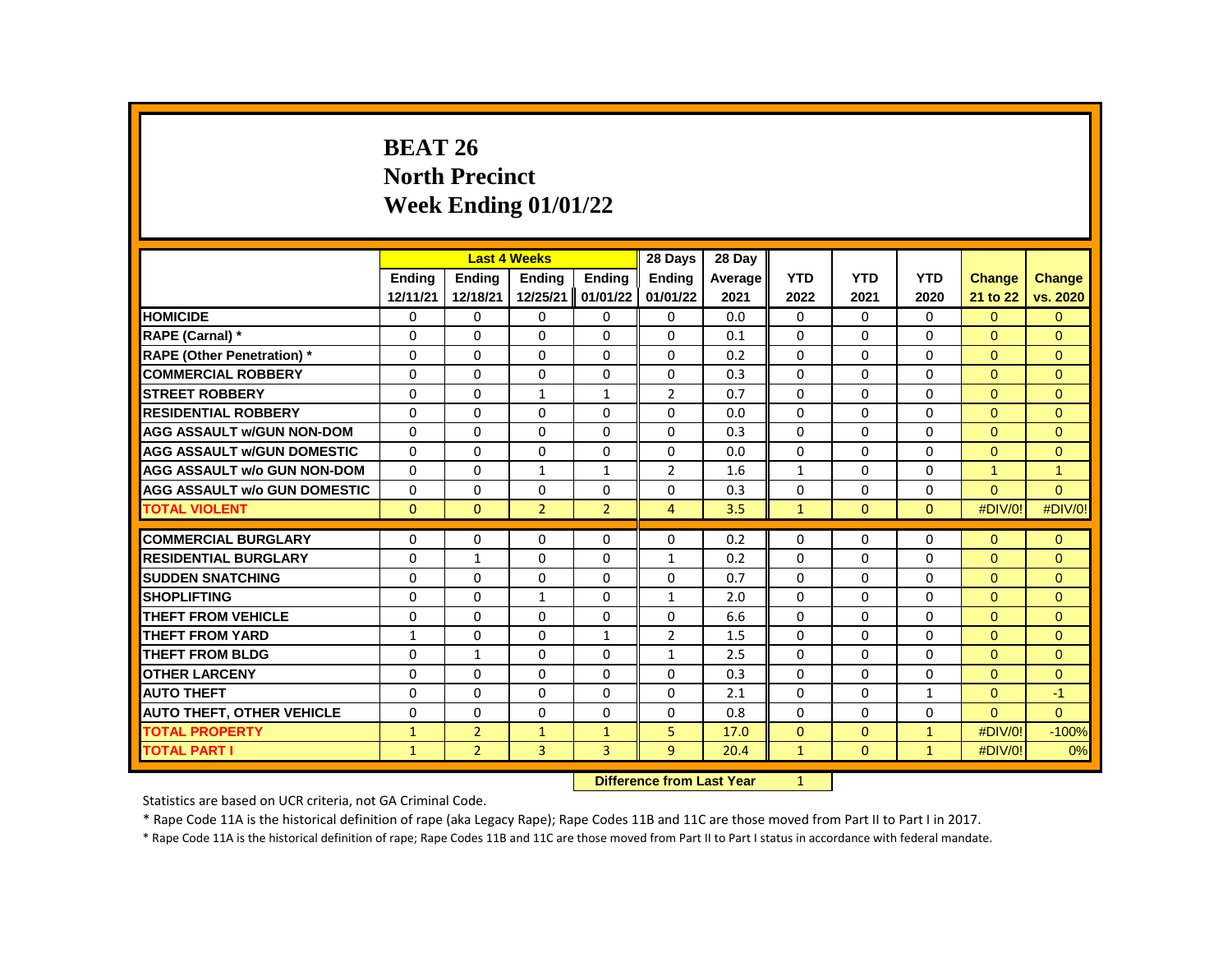# **BEAT 26 North Precinct Week Ending 01/01/22**

|                                     |               |                | <b>Last 4 Weeks</b> |                | 28 Days        | 28 Day  |              |              |              |              |               |
|-------------------------------------|---------------|----------------|---------------------|----------------|----------------|---------|--------------|--------------|--------------|--------------|---------------|
|                                     | <b>Endina</b> | <b>Endina</b>  | <b>Endina</b>       | <b>Endina</b>  | <b>Endina</b>  | Average | <b>YTD</b>   | <b>YTD</b>   | <b>YTD</b>   | Change       | <b>Change</b> |
|                                     | 12/11/21      | 12/18/21       | 12/25/21            | 01/01/22       | 01/01/22       | 2021    | 2022         | 2021         | 2020         | 21 to 22     | vs. 2020      |
| <b>HOMICIDE</b>                     | 0             | 0              | 0                   | 0              | 0              | 0.0     | 0            | 0            | 0            | $\Omega$     | $\mathbf{0}$  |
| RAPE (Carnal) *                     | $\Omega$      | $\Omega$       | $\Omega$            | $\Omega$       | 0              | 0.1     | $\Omega$     | $\Omega$     | $\Omega$     | $\Omega$     | $\Omega$      |
| <b>RAPE (Other Penetration)</b> *   | $\Omega$      | $\Omega$       | $\Omega$            | $\Omega$       | $\Omega$       | 0.2     | $\Omega$     | $\Omega$     | $\Omega$     | $\Omega$     | $\Omega$      |
| <b>COMMERCIAL ROBBERY</b>           | 0             | 0              | 0                   | 0              | 0              | 0.3     | 0            | 0            | 0            | $\mathbf{0}$ | $\mathbf{0}$  |
| <b>STREET ROBBERY</b>               | 0             | 0              | $\mathbf{1}$        | $\mathbf{1}$   | $\overline{2}$ | 0.7     | $\Omega$     | $\mathbf{0}$ | 0            | $\Omega$     | $\Omega$      |
| <b>RESIDENTIAL ROBBERY</b>          | $\Omega$      | $\Omega$       | $\Omega$            | $\Omega$       | $\Omega$       | 0.0     | $\Omega$     | $\Omega$     | $\Omega$     | $\Omega$     | $\Omega$      |
| <b>AGG ASSAULT w/GUN NON-DOM</b>    | $\Omega$      | $\Omega$       | $\Omega$            | $\Omega$       | $\Omega$       | 0.3     | $\Omega$     | $\Omega$     | $\Omega$     | $\Omega$     | $\Omega$      |
| <b>AGG ASSAULT w/GUN DOMESTIC</b>   | $\Omega$      | $\Omega$       | $\Omega$            | $\Omega$       | 0              | 0.0     | 0            | 0            | $\Omega$     | $\Omega$     | $\Omega$      |
| <b>AGG ASSAULT w/o GUN NON-DOM</b>  | $\Omega$      | $\Omega$       | 1                   | $\mathbf{1}$   | $\overline{2}$ | 1.6     | $\mathbf{1}$ | $\Omega$     | $\Omega$     | $\mathbf{1}$ | $\mathbf{1}$  |
| <b>AGG ASSAULT w/o GUN DOMESTIC</b> | $\Omega$      | 0              | $\Omega$            | $\Omega$       | 0              | 0.3     | $\Omega$     | $\mathbf{0}$ | $\Omega$     | $\Omega$     | $\Omega$      |
| <b>TOTAL VIOLENT</b>                | $\Omega$      | $\mathbf{0}$   | $\overline{2}$      | $\overline{2}$ | $\overline{4}$ | 3.5     | $\mathbf{1}$ | $\mathbf{0}$ | $\mathbf{0}$ | #DIV/0!      | #DIV/0!       |
|                                     |               |                |                     |                |                |         |              |              |              |              |               |
| <b>COMMERCIAL BURGLARY</b>          | $\Omega$      | $\Omega$       | $\Omega$            | $\Omega$       | 0              | 0.2     | 0            | 0            | $\Omega$     | $\Omega$     | $\mathbf{0}$  |
| <b>RESIDENTIAL BURGLARY</b>         | $\Omega$      | $\mathbf{1}$   | $\Omega$            | 0              | $\mathbf{1}$   | 0.2     | 0            | 0            | $\Omega$     | $\Omega$     | $\mathbf{0}$  |
| <b>SUDDEN SNATCHING</b>             | $\Omega$      | $\Omega$       | $\Omega$            | $\Omega$       | $\Omega$       | 0.7     | $\Omega$     | $\Omega$     | $\Omega$     | $\Omega$     | $\Omega$      |
| <b>SHOPLIFTING</b>                  | $\Omega$      | $\Omega$       | $\mathbf{1}$        | $\Omega$       | $\mathbf{1}$   | 2.0     | $\Omega$     | $\Omega$     | $\Omega$     | $\Omega$     | $\Omega$      |
| THEFT FROM VEHICLE                  | $\Omega$      | $\Omega$       | $\Omega$            | $\Omega$       | 0              | 6.6     | 0            | 0            | $\Omega$     | $\Omega$     | $\Omega$      |
| <b>THEFT FROM YARD</b>              | $\mathbf{1}$  | $\Omega$       | $\Omega$            | $\mathbf{1}$   | $\overline{2}$ | 1.5     | $\Omega$     | $\Omega$     | $\Omega$     | $\Omega$     | $\Omega$      |
| <b>THEFT FROM BLDG</b>              | $\Omega$      | $\mathbf{1}$   | $\Omega$            | $\Omega$       | 1              | 2.5     | $\Omega$     | $\Omega$     | $\Omega$     | $\Omega$     | $\Omega$      |
| <b>OTHER LARCENY</b>                | $\Omega$      | $\Omega$       | $\Omega$            | $\Omega$       | 0              | 0.3     | $\Omega$     | 0            | $\Omega$     | $\Omega$     | $\Omega$      |
| <b>AUTO THEFT</b>                   | $\Omega$      | $\Omega$       | $\Omega$            | $\Omega$       | $\Omega$       | 2.1     | $\Omega$     | $\Omega$     | $\mathbf{1}$ | $\Omega$     | $-1$          |
| <b>AUTO THEFT, OTHER VEHICLE</b>    | $\Omega$      | $\Omega$       | $\Omega$            | $\Omega$       | 0              | 0.8     | $\Omega$     | $\Omega$     | $\Omega$     | $\Omega$     | $\Omega$      |
| <b>TOTAL PROPERTY</b>               | $\mathbf{1}$  | $\overline{2}$ | $\mathbf{1}$        | $\mathbf{1}$   | 5              | 17.0    | $\Omega$     | $\Omega$     | $\mathbf{1}$ | #DIV/0!      | $-100%$       |
| <b>TOTAL PART I</b>                 | $\mathbf{1}$  | $\overline{2}$ | 3                   | 3              | 9              | 20.4    | $\mathbf{1}$ | $\mathbf{0}$ | $\mathbf{1}$ | #DIV/0!      | 0%            |
|                                     |               |                |                     |                |                |         |              |              |              |              |               |

**Difference from Last Year** 1

Statistics are based on UCR criteria, not GA Criminal Code.

\* Rape Code 11A is the historical definition of rape (aka Legacy Rape); Rape Codes 11B and 11C are those moved from Part II to Part I in 2017.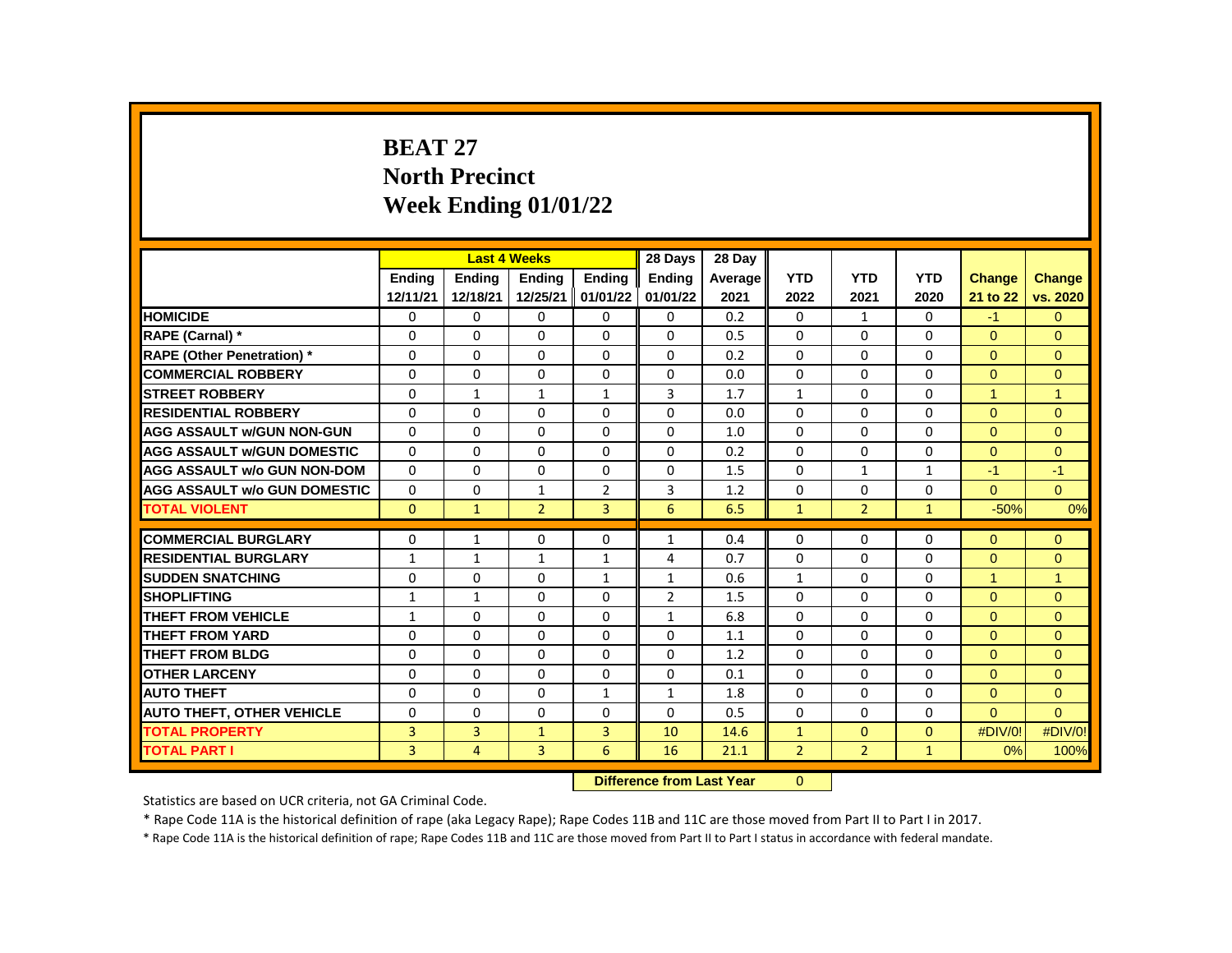# **BEAT 27 North Precinct Week Ending 01/01/22**

|                                     |               |                | <b>Last 4 Weeks</b> |                | 28 Days        | 28 Day  |                |                |              |               |                      |
|-------------------------------------|---------------|----------------|---------------------|----------------|----------------|---------|----------------|----------------|--------------|---------------|----------------------|
|                                     | <b>Endina</b> | <b>Endina</b>  | <b>Endina</b>       | <b>Endina</b>  | <b>Endina</b>  | Average | <b>YTD</b>     | <b>YTD</b>     | <b>YTD</b>   | <b>Change</b> | <b>Change</b>        |
|                                     | 12/11/21      | 12/18/21       | 12/25/21            | 01/01/22       | 01/01/22       | 2021    | 2022           | 2021           | 2020         | 21 to 22      | vs. 2020             |
| <b>HOMICIDE</b>                     | 0             | 0              | 0                   | 0              | 0              | 0.2     | 0              | $\mathbf{1}$   | 0            | $-1$          | $\Omega$             |
| RAPE (Carnal) *                     | 0             | $\Omega$       | $\Omega$            | $\Omega$       | $\Omega$       | 0.5     | $\Omega$       | $\Omega$       | $\Omega$     | $\Omega$      | $\Omega$             |
| RAPE (Other Penetration) *          | $\Omega$      | $\Omega$       | $\Omega$            | $\Omega$       | $\Omega$       | 0.2     | $\Omega$       | $\Omega$       | $\Omega$     | $\Omega$      | $\Omega$             |
| <b>COMMERCIAL ROBBERY</b>           | 0             | 0              | 0                   | 0              | 0              | 0.0     | 0              | 0              | 0            | $\mathbf{0}$  | $\mathbf{0}$         |
| <b>STREET ROBBERY</b>               | 0             | $\mathbf{1}$   | $\mathbf{1}$        | $\mathbf{1}$   | 3              | 1.7     | $\mathbf{1}$   | 0              | 0            | 1             | $\blacktriangleleft$ |
| <b>RESIDENTIAL ROBBERY</b>          | $\Omega$      | $\Omega$       | $\mathbf 0$         | $\Omega$       | $\Omega$       | 0.0     | $\Omega$       | $\Omega$       | $\mathbf 0$  | $\Omega$      | $\Omega$             |
| <b>AGG ASSAULT w/GUN NON-GUN</b>    | $\Omega$      | $\Omega$       | $\Omega$            | $\Omega$       | $\Omega$       | 1.0     | $\Omega$       | $\Omega$       | $\Omega$     | $\Omega$      | $\Omega$             |
| <b>AGG ASSAULT w/GUN DOMESTIC</b>   | $\Omega$      | 0              | $\Omega$            | $\Omega$       | $\Omega$       | 0.2     | $\Omega$       | $\Omega$       | 0            | $\Omega$      | $\Omega$             |
| <b>AGG ASSAULT w/o GUN NON-DOM</b>  | $\Omega$      | $\Omega$       | $\Omega$            | 0              | $\Omega$       | 1.5     | $\Omega$       | $\mathbf{1}$   | $\mathbf{1}$ | $-1$          | $-1$                 |
| <b>AGG ASSAULT w/o GUN DOMESTIC</b> | $\Omega$      | $\Omega$       | 1                   | $\overline{2}$ | 3              | 1.2     | $\Omega$       | 0              | 0            | $\Omega$      | $\Omega$             |
| <b>TOTAL VIOLENT</b>                | $\Omega$      | $\mathbf{1}$   | $\overline{2}$      | 3              | 6              | 6.5     | $\mathbf{1}$   | $\overline{2}$ | $\mathbf{1}$ | $-50%$        | 0%                   |
|                                     |               |                |                     |                |                |         |                |                |              |               |                      |
| <b>COMMERCIAL BURGLARY</b>          | $\Omega$      | $\mathbf{1}$   | 0                   | $\Omega$       | $\mathbf{1}$   | 0.4     | $\Omega$       | 0              | 0            | $\Omega$      | $\mathbf{0}$         |
| <b>RESIDENTIAL BURGLARY</b>         | $\mathbf{1}$  | $\mathbf{1}$   | $\mathbf{1}$        | $\mathbf{1}$   | 4              | 0.7     | $\Omega$       | 0              | 0            | $\Omega$      | $\Omega$             |
| <b>SUDDEN SNATCHING</b>             | $\Omega$      | $\Omega$       | $\Omega$            | $\mathbf{1}$   | $\mathbf{1}$   | 0.6     | $\mathbf{1}$   | $\Omega$       | $\Omega$     | $\mathbf{1}$  | $\blacktriangleleft$ |
| <b>SHOPLIFTING</b>                  | $\mathbf{1}$  | $\mathbf{1}$   | 0                   | $\Omega$       | $\overline{2}$ | 1.5     | $\Omega$       | $\Omega$       | $\Omega$     | $\Omega$      | $\Omega$             |
| THEFT FROM VEHICLE                  | $\mathbf{1}$  | $\Omega$       | $\Omega$            | $\Omega$       | $\mathbf{1}$   | 6.8     | $\Omega$       | $\Omega$       | $\Omega$     | $\Omega$      | $\Omega$             |
| <b>THEFT FROM YARD</b>              | $\Omega$      | $\Omega$       | $\Omega$            | $\Omega$       | $\Omega$       | 1.1     | $\Omega$       | $\Omega$       | $\Omega$     | $\Omega$      | $\Omega$             |
| <b>THEFT FROM BLDG</b>              | $\Omega$      | $\Omega$       | $\Omega$            | $\Omega$       | $\Omega$       | 1.2     | $\Omega$       | $\Omega$       | $\Omega$     | $\Omega$      | $\Omega$             |
| <b>OTHER LARCENY</b>                | $\Omega$      | $\Omega$       | $\Omega$            | $\Omega$       | $\Omega$       | 0.1     | $\Omega$       | $\Omega$       | $\Omega$     | $\Omega$      | $\Omega$             |
| <b>AUTO THEFT</b>                   | $\Omega$      | $\Omega$       | $\Omega$            | $\mathbf{1}$   | $\mathbf{1}$   | 1.8     | $\Omega$       | $\Omega$       | $\Omega$     | $\Omega$      | $\Omega$             |
| <b>AUTO THEFT, OTHER VEHICLE</b>    | $\Omega$      | $\Omega$       | 0                   | $\Omega$       | $\Omega$       | 0.5     | $\Omega$       | $\Omega$       | $\Omega$     | $\Omega$      | $\Omega$             |
| <b>TOTAL PROPERTY</b>               | 3             | 3              | $\mathbf{1}$        | 3              | 10             | 14.6    | $\mathbf{1}$   | $\Omega$       | $\Omega$     | #DIV/0!       | #DIV/0!              |
| <b>TOTAL PART I</b>                 | 3             | $\overline{4}$ | 3                   | 6              | 16             | 21.1    | $\overline{2}$ | $\overline{2}$ | $\mathbf{1}$ | 0%            | 100%                 |
|                                     |               |                |                     |                |                |         |                |                |              |               |                      |

**Difference from Last Year** 0

Statistics are based on UCR criteria, not GA Criminal Code.

\* Rape Code 11A is the historical definition of rape (aka Legacy Rape); Rape Codes 11B and 11C are those moved from Part II to Part I in 2017.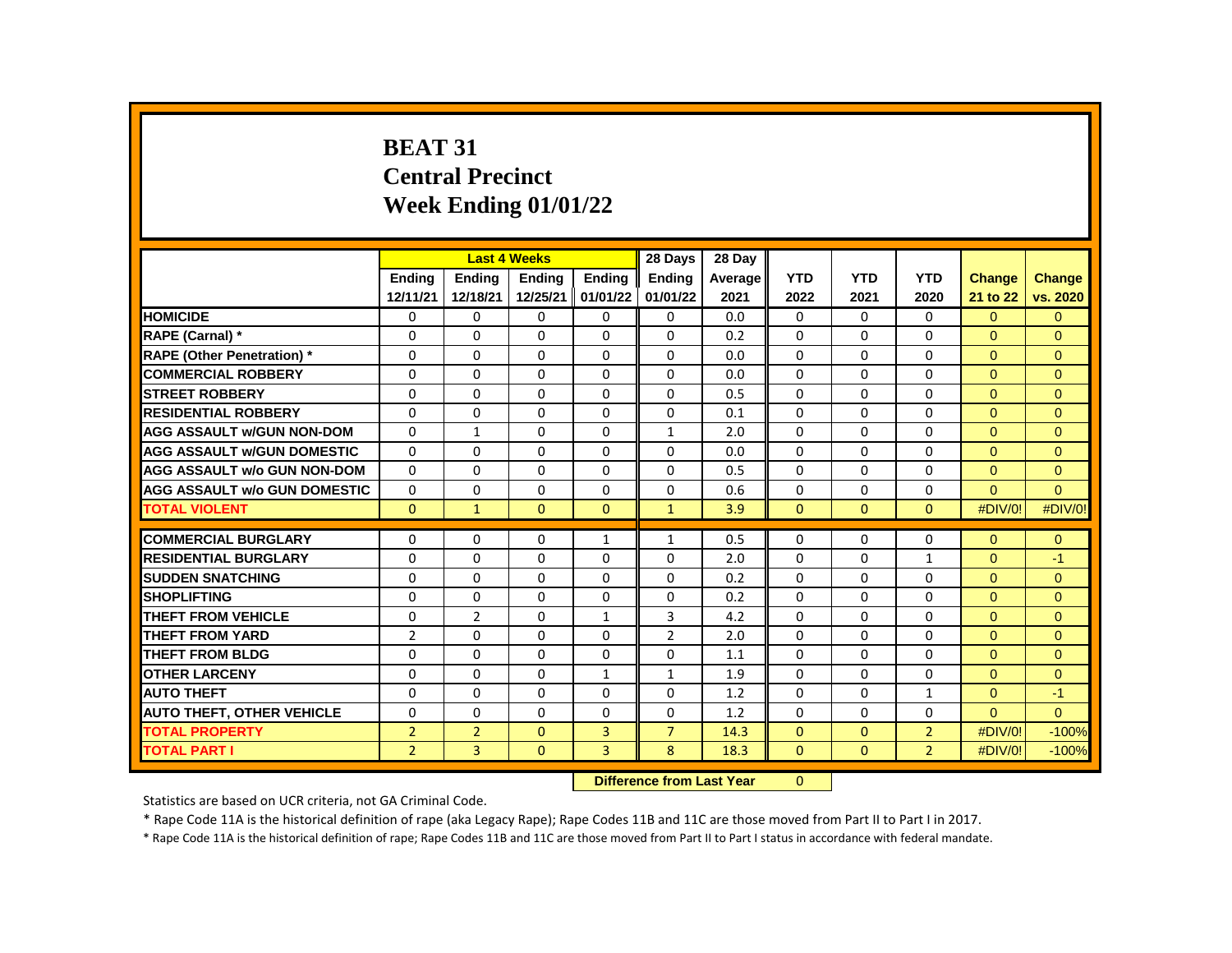# **BEAT 31 Central Precinct Week Ending 01/01/22**

|                                     |                |                | <b>Last 4 Weeks</b> |               | 28 Days        | 28 Day  |              |              |                |                |                |
|-------------------------------------|----------------|----------------|---------------------|---------------|----------------|---------|--------------|--------------|----------------|----------------|----------------|
|                                     | <b>Endina</b>  | <b>Endina</b>  | Ending              | <b>Endina</b> | <b>Endina</b>  | Average | <b>YTD</b>   | <b>YTD</b>   | <b>YTD</b>     | <b>Change</b>  | <b>Change</b>  |
|                                     | 12/11/21       | 12/18/21       | 12/25/21            | 01/01/22      | 01/01/22       | 2021    | 2022         | 2021         | 2020           | 21 to 22       | vs. 2020       |
| <b>HOMICIDE</b>                     | 0              | 0              | 0                   | 0             | $\mathbf{0}$   | 0.0     | 0            | $\mathbf{0}$ | $\mathbf{0}$   | $\overline{0}$ | $\mathbf{0}$   |
| RAPE (Carnal) *                     | 0              | $\Omega$       | $\Omega$            | 0             | $\Omega$       | 0.2     | $\Omega$     | 0            | $\Omega$       | $\Omega$       | $\Omega$       |
| <b>RAPE (Other Penetration) *</b>   | $\Omega$       | $\Omega$       | $\Omega$            | $\Omega$      | $\Omega$       | 0.0     | $\Omega$     | $\Omega$     | $\Omega$       | $\Omega$       | $\Omega$       |
| <b>COMMERCIAL ROBBERY</b>           | $\Omega$       | $\Omega$       | 0                   | $\Omega$      | $\Omega$       | 0.0     | $\Omega$     | $\Omega$     | $\Omega$       | $\Omega$       | $\Omega$       |
| <b>STREET ROBBERY</b>               | $\Omega$       | $\Omega$       | 0                   | $\Omega$      | 0              | 0.5     | $\Omega$     | $\Omega$     | $\Omega$       | $\Omega$       | $\Omega$       |
| <b>RESIDENTIAL ROBBERY</b>          | $\Omega$       | 0              | $\Omega$            | 0             | $\Omega$       | 0.1     | $\Omega$     | $\Omega$     | $\Omega$       | $\Omega$       | $\overline{0}$ |
| <b>AGG ASSAULT w/GUN NON-DOM</b>    | $\Omega$       | $\mathbf{1}$   | $\Omega$            | $\Omega$      | $\mathbf{1}$   | 2.0     | $\Omega$     | $\Omega$     | $\Omega$       | $\Omega$       | $\Omega$       |
| <b>AGG ASSAULT W/GUN DOMESTIC</b>   | $\Omega$       | $\Omega$       | 0                   | $\Omega$      | 0              | 0.0     | $\Omega$     | $\mathbf{0}$ | $\Omega$       | $\Omega$       | $\Omega$       |
| <b>AGG ASSAULT w/o GUN NON-DOM</b>  | $\Omega$       | 0              | $\Omega$            | 0             | 0              | 0.5     | $\Omega$     | $\Omega$     | $\Omega$       | $\Omega$       | $\Omega$       |
| <b>AGG ASSAULT w/o GUN DOMESTIC</b> | $\Omega$       | 0              | 0                   | $\Omega$      | 0              | 0.6     | $\Omega$     | $\Omega$     | $\Omega$       | $\Omega$       | $\Omega$       |
| <b>TOTAL VIOLENT</b>                | $\Omega$       | $\mathbf{1}$   | $\Omega$            | $\Omega$      | $\mathbf{1}$   | 3.9     | $\Omega$     | $\mathbf{0}$ | $\Omega$       | #DIV/0!        | #DIV/0!        |
|                                     |                |                |                     |               |                |         |              |              |                |                |                |
| <b>COMMERCIAL BURGLARY</b>          | $\Omega$       | 0              | 0                   | $\mathbf{1}$  | 1              | 0.5     | $\Omega$     | 0            | $\Omega$       | $\Omega$       | $\mathbf{0}$   |
| <b>RESIDENTIAL BURGLARY</b>         | $\Omega$       | $\Omega$       | 0                   | $\Omega$      | 0              | 2.0     | $\Omega$     | $\mathbf{0}$ | 1              | $\Omega$       | $-1$           |
| <b>SUDDEN SNATCHING</b>             | 0              | 0              | $\Omega$            | 0             | $\Omega$       | 0.2     | $\Omega$     | $\Omega$     | $\Omega$       | $\Omega$       | $\mathbf{0}$   |
| <b>SHOPLIFTING</b>                  | $\Omega$       | $\Omega$       | $\Omega$            | 0             | $\Omega$       | 0.2     | $\Omega$     | $\Omega$     | $\Omega$       | $\Omega$       | $\Omega$       |
| THEFT FROM VEHICLE                  | 0              | $\overline{2}$ | 0                   | $\mathbf{1}$  | 3              | 4.2     | 0            | $\mathbf{0}$ | 0              | $\Omega$       | $\mathbf{0}$   |
| <b>THEFT FROM YARD</b>              | $\overline{2}$ | 0              | $\Omega$            | $\Omega$      | $\overline{2}$ | 2.0     | $\Omega$     | $\Omega$     | $\Omega$       | $\Omega$       | $\Omega$       |
| <b>THEFT FROM BLDG</b>              | $\Omega$       | $\Omega$       | $\Omega$            | $\Omega$      | 0              | 1.1     | $\Omega$     | $\Omega$     | $\Omega$       | $\Omega$       | $\Omega$       |
| <b>OTHER LARCENY</b>                | $\Omega$       | $\Omega$       | $\Omega$            | 1             | $\mathbf{1}$   | 1.9     | 0            | $\mathbf{0}$ | $\Omega$       | $\Omega$       | $\Omega$       |
| <b>AUTO THEFT</b>                   | $\Omega$       | $\Omega$       | $\Omega$            | $\Omega$      | 0              | 1.2     | $\Omega$     | $\Omega$     | $\mathbf{1}$   | $\Omega$       | $\overline{1}$ |
| <b>AUTO THEFT, OTHER VEHICLE</b>    | $\Omega$       | $\Omega$       | $\Omega$            | $\Omega$      | $\Omega$       | 1.2     | $\Omega$     | $\Omega$     | $\Omega$       | $\Omega$       | $\Omega$       |
| <b>TOTAL PROPERTY</b>               | $\overline{2}$ | $\overline{2}$ | $\mathbf{0}$        | 3             | $\overline{7}$ | 14.3    | $\mathbf{0}$ | $\mathbf{0}$ | $\overline{2}$ | #DIV/0!        | $-100%$        |
| <b>TOTAL PART I</b>                 | $\overline{2}$ | 3              | $\mathbf{0}$        | 3             | 8              | 18.3    | $\mathbf{0}$ | $\Omega$     | $\overline{2}$ | #DIV/0!        | $-100%$        |

**Difference from Last Year** 0

Statistics are based on UCR criteria, not GA Criminal Code.

\* Rape Code 11A is the historical definition of rape (aka Legacy Rape); Rape Codes 11B and 11C are those moved from Part II to Part I in 2017.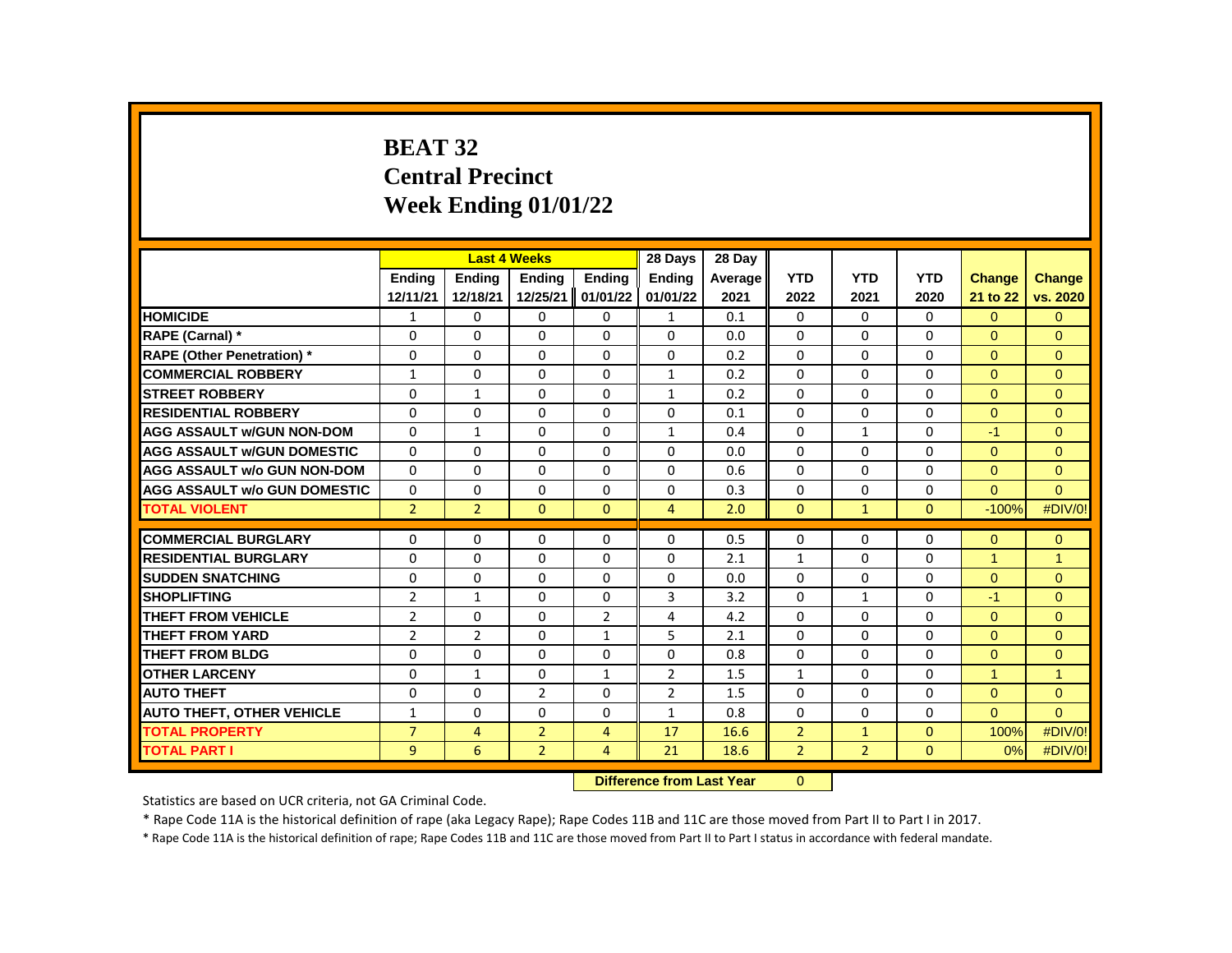# **BEAT 32 Central Precinct Week Ending 01/01/22**

|                                     |                |                | <b>Last 4 Weeks</b> |                   | 28 Days        | 28 Day                        |                |                |              |                      |                |
|-------------------------------------|----------------|----------------|---------------------|-------------------|----------------|-------------------------------|----------------|----------------|--------------|----------------------|----------------|
|                                     | Ending         | Ending         | Ending              | Ending            | <b>Ending</b>  | Average                       | <b>YTD</b>     | <b>YTD</b>     | <b>YTD</b>   | <b>Change</b>        | <b>Change</b>  |
|                                     | 12/11/21       | 12/18/21       | 12/25/21            | 01/01/22          | 01/01/22       | 2021                          | 2022           | 2021           | 2020         | 21 to 22             | vs. 2020       |
| <b>HOMICIDE</b>                     | $\mathbf{1}$   | 0              | 0                   | 0                 | $\mathbf{1}$   | 0.1                           | 0              | 0              | 0            | $\Omega$             | $\mathbf{0}$   |
| RAPE (Carnal) *                     | $\Omega$       | $\Omega$       | $\Omega$            | $\Omega$          | $\Omega$       | 0.0                           | $\Omega$       | $\Omega$       | $\Omega$     | $\Omega$             | $\Omega$       |
| <b>RAPE (Other Penetration)</b> *   | $\Omega$       | $\Omega$       | $\Omega$            | $\Omega$          | 0              | 0.2                           | $\Omega$       | $\Omega$       | $\Omega$     | $\Omega$             | $\Omega$       |
| <b>COMMERCIAL ROBBERY</b>           | $\mathbf{1}$   | 0              | $\Omega$            | $\Omega$          | $\mathbf{1}$   | 0.2                           | $\Omega$       | 0              | $\Omega$     | $\Omega$             | $\mathbf{0}$   |
| <b>STREET ROBBERY</b>               | 0              | $\mathbf{1}$   | $\Omega$            | 0                 | $\mathbf{1}$   | 0.2                           | $\Omega$       | $\mathbf{0}$   | 0            | $\Omega$             | $\Omega$       |
| <b>RESIDENTIAL ROBBERY</b>          | $\Omega$       | $\Omega$       | $\Omega$            | $\Omega$          | $\Omega$       | 0.1                           | $\Omega$       | $\Omega$       | $\Omega$     | $\Omega$             | $\mathbf{0}$   |
| <b>AGG ASSAULT w/GUN NON-DOM</b>    | $\Omega$       | $\mathbf{1}$   | $\Omega$            | 0                 | $\mathbf{1}$   | 0.4                           | $\Omega$       | $\mathbf{1}$   | 0            | $-1$                 | $\mathbf{0}$   |
| <b>AGG ASSAULT w/GUN DOMESTIC</b>   | $\Omega$       | $\Omega$       | $\Omega$            | $\Omega$          | 0              | 0.0                           | $\Omega$       | $\Omega$       | $\Omega$     | $\Omega$             | $\Omega$       |
| <b>AGG ASSAULT w/o GUN NON-DOM</b>  | $\Omega$       | $\Omega$       | $\Omega$            | $\Omega$          | $\Omega$       | 0.6                           | $\Omega$       | $\Omega$       | $\Omega$     | $\Omega$             | $\mathbf{0}$   |
| <b>AGG ASSAULT w/o GUN DOMESTIC</b> | $\Omega$       | 0              | $\Omega$            | 0                 | 0              | 0.3                           | $\Omega$       | $\mathbf{0}$   | $\Omega$     | $\Omega$             | $\Omega$       |
| <b>TOTAL VIOLENT</b>                | $\overline{2}$ | $\overline{2}$ | $\Omega$            | $\Omega$          | $\overline{4}$ | 2.0                           | $\Omega$       | $\mathbf{1}$   | $\Omega$     | $-100%$              | #DIV/0!        |
|                                     |                |                |                     |                   |                |                               |                |                |              |                      |                |
| <b>COMMERCIAL BURGLARY</b>          | 0              | 0              | 0                   | 0                 | 0              | 0.5                           | 0              | 0              | 0            | $\Omega$             | $\mathbf{0}$   |
| <b>RESIDENTIAL BURGLARY</b>         | 0              | 0              | $\Omega$            | 0                 | 0              | 2.1                           | $\mathbf{1}$   | 0              | 0            | $\blacktriangleleft$ | $\overline{1}$ |
| <b>SUDDEN SNATCHING</b>             | $\Omega$       | $\Omega$       | $\Omega$            | $\Omega$          | $\Omega$       | 0.0                           | $\Omega$       | $\Omega$       | $\Omega$     | $\Omega$             | $\Omega$       |
| <b>SHOPLIFTING</b>                  | $\overline{2}$ | 1              | 0                   | 0                 | 3              | 3.2                           | 0              | $\mathbf{1}$   | 0            | $-1$                 | $\mathbf{0}$   |
| THEFT FROM VEHICLE                  | $\overline{2}$ | 0              | $\Omega$            | $\overline{2}$    | 4              | 4.2                           | $\Omega$       | $\mathbf{0}$   | 0            | $\Omega$             | $\mathbf{0}$   |
| <b>THEFT FROM YARD</b>              | $\overline{2}$ | 2              | $\Omega$            | $\mathbf{1}$      | 5              | 2.1                           | $\Omega$       | $\Omega$       | $\Omega$     | $\Omega$             | $\Omega$       |
| <b>THEFT FROM BLDG</b>              | $\Omega$       | $\Omega$       | $\Omega$            | $\Omega$          | 0              | 0.8                           | $\Omega$       | 0              | $\Omega$     | $\Omega$             | $\mathbf{0}$   |
| <b>OTHER LARCENY</b>                | 0              | $\mathbf{1}$   | $\Omega$            | $\mathbf{1}$      | $\overline{2}$ | 1.5                           | $\mathbf{1}$   | $\mathbf{0}$   | $\Omega$     | $\blacktriangleleft$ | $\overline{1}$ |
| <b>AUTO THEFT</b>                   | $\Omega$       | $\Omega$       | $\overline{2}$      | $\Omega$          | $\overline{2}$ | 1.5                           | $\Omega$       | $\Omega$       | $\Omega$     | $\Omega$             | $\mathbf{0}$   |
| <b>AUTO THEFT, OTHER VEHICLE</b>    | $\mathbf{1}$   | 0              | $\Omega$            | 0                 | $\mathbf{1}$   | 0.8                           | 0              | 0              | 0            | $\Omega$             | $\Omega$       |
| <b>TOTAL PROPERTY</b>               | $\overline{7}$ | 4              | $\overline{2}$      | 4                 | 17             | 16.6                          | $\overline{2}$ | $\mathbf{1}$   | $\mathbf{0}$ | 100%                 | #DIV/0!        |
| <b>TOTAL PART I</b>                 | 9              | 6              | $\overline{2}$      | 4                 | 21             | 18.6                          | $\overline{2}$ | $\overline{2}$ | $\mathbf{0}$ | 0%                   | #DIV/0!        |
|                                     |                |                |                     | <b>CONTRACTOR</b> |                | and the state of the state of | $\sim$         |                |              |                      |                |

#### **Difference from Last Year** 0

Statistics are based on UCR criteria, not GA Criminal Code.

\* Rape Code 11A is the historical definition of rape (aka Legacy Rape); Rape Codes 11B and 11C are those moved from Part II to Part I in 2017.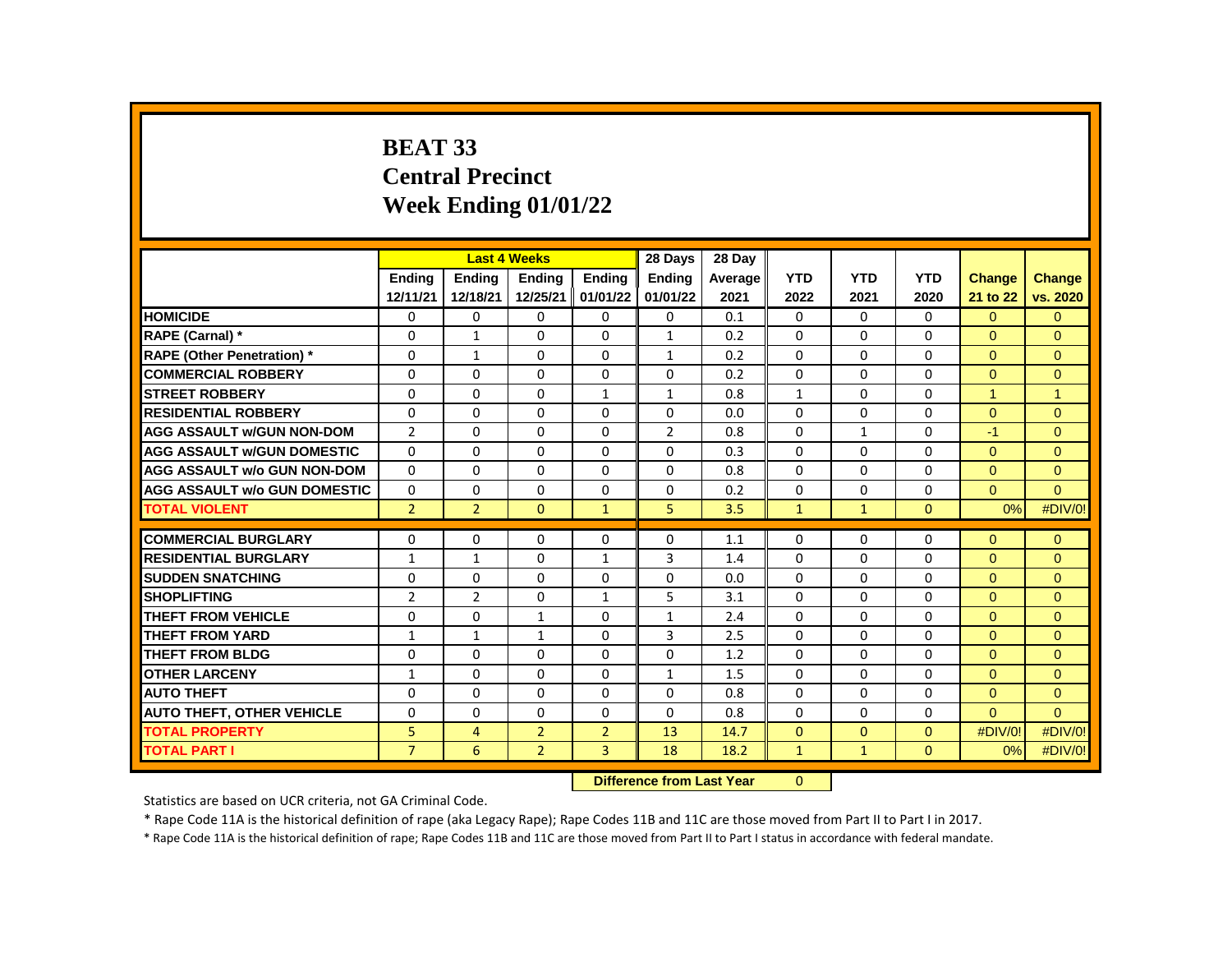# **BEAT 33 Central Precinct Week Ending 01/01/22**

|                                     |                | <b>Last 4 Weeks</b> |                |                | 28 Days        | 28 Day  |                |              |              |                      |                      |
|-------------------------------------|----------------|---------------------|----------------|----------------|----------------|---------|----------------|--------------|--------------|----------------------|----------------------|
|                                     | <b>Endina</b>  | <b>Endina</b>       | <b>Endina</b>  | <b>Endina</b>  | <b>Endina</b>  | Average | <b>YTD</b>     | <b>YTD</b>   | <b>YTD</b>   | <b>Change</b>        | <b>Change</b>        |
|                                     | 12/11/21       | 12/18/21            | 12/25/21       | 01/01/22       | 01/01/22       | 2021    | 2022           | 2021         | 2020         | 21 to 22             | vs. 2020             |
| <b>HOMICIDE</b>                     | 0              | 0                   | 0              | 0              | 0              | 0.1     | 0              | 0            | 0            | $\Omega$             | $\mathbf{0}$         |
| RAPE (Carnal) *                     | 0              | $\mathbf{1}$        | $\Omega$       | $\Omega$       | $\mathbf{1}$   | 0.2     | $\Omega$       | 0            | $\Omega$     | $\Omega$             | $\Omega$             |
| <b>RAPE (Other Penetration)*</b>    | $\Omega$       | $\mathbf{1}$        | $\Omega$       | $\Omega$       | $\mathbf{1}$   | 0.2     | $\Omega$       | $\Omega$     | $\Omega$     | $\Omega$             | $\Omega$             |
| <b>COMMERCIAL ROBBERY</b>           | 0              | 0                   | 0              | 0              | 0              | 0.2     | $\Omega$       | 0            | 0            | $\mathbf{0}$         | $\mathbf{0}$         |
| <b>STREET ROBBERY</b>               | 0              | $\Omega$            | $\Omega$       | $\mathbf{1}$   | $\mathbf{1}$   | 0.8     | $\mathbf{1}$   | $\Omega$     | $\Omega$     | $\blacktriangleleft$ | $\blacktriangleleft$ |
| <b>RESIDENTIAL ROBBERY</b>          | $\Omega$       | $\mathbf 0$         | $\mathbf{0}$   | $\Omega$       | $\Omega$       | 0.0     | $\Omega$       | $\Omega$     | $\Omega$     | $\Omega$             | $\Omega$             |
| <b>AGG ASSAULT w/GUN NON-DOM</b>    | $\overline{2}$ | $\Omega$            | 0              | 0              | $\overline{2}$ | 0.8     | $\Omega$       | $\mathbf{1}$ | $\Omega$     | $-1$                 | $\Omega$             |
| <b>AGG ASSAULT W/GUN DOMESTIC</b>   | $\Omega$       | 0                   | $\Omega$       | 0              | 0              | 0.3     | 0              | 0            | 0            | $\Omega$             | $\Omega$             |
| <b>AGG ASSAULT w/o GUN NON-DOM</b>  | $\Omega$       | 0                   | $\Omega$       | $\mathbf 0$    | 0              | 0.8     | $\Omega$       | $\Omega$     | $\Omega$     | $\mathbf{0}$         | $\mathbf{0}$         |
| <b>AGG ASSAULT w/o GUN DOMESTIC</b> | $\Omega$       | $\Omega$            | 0              | 0              | 0              | 0.2     | $\Omega$       | $\Omega$     | $\Omega$     | $\Omega$             | $\Omega$             |
| <b>TOTAL VIOLENT</b>                | $\overline{2}$ | $\overline{2}$      | $\mathbf{0}$   | $\mathbf{1}$   | 5              | 3.5     | $\mathbf{1}$   | $\mathbf{1}$ | $\mathbf{0}$ | 0%                   | #DIV/0!              |
|                                     |                |                     |                |                |                |         |                |              |              |                      |                      |
| <b>COMMERCIAL BURGLARY</b>          | 0              | 0                   | 0              | 0              | 0              | 1.1     | $\Omega$       | 0            | 0            | $\Omega$             | $\mathbf{0}$         |
| <b>RESIDENTIAL BURGLARY</b>         | $\mathbf{1}$   | $\mathbf{1}$        | $\Omega$       | $\mathbf{1}$   | 3              | 1.4     | 0              | 0            | 0            | $\Omega$             | $\mathbf{0}$         |
| <b>SUDDEN SNATCHING</b>             | $\Omega$       | $\Omega$            | $\Omega$       | $\Omega$       | 0              | 0.0     | $\Omega$       | $\Omega$     | $\Omega$     | $\Omega$             | $\Omega$             |
| <b>SHOPLIFTING</b>                  | $\overline{2}$ | $\overline{2}$      | $\Omega$       | $\mathbf{1}$   | 5              | 3.1     | $\Omega$       | $\Omega$     | $\Omega$     | $\Omega$             | $\Omega$             |
| THEFT FROM VEHICLE                  | $\Omega$       | $\Omega$            | $\mathbf{1}$   | $\Omega$       | $\mathbf{1}$   | 2.4     | $\Omega$       | $\Omega$     | $\Omega$     | $\Omega$             | $\Omega$             |
| <b>THEFT FROM YARD</b>              | $\mathbf{1}$   | $\mathbf{1}$        | $\mathbf{1}$   | $\Omega$       | 3              | 2.5     | $\Omega$       | $\Omega$     | $\Omega$     | $\Omega$             | $\Omega$             |
| <b>THEFT FROM BLDG</b>              | $\Omega$       | $\Omega$            | $\Omega$       | $\Omega$       | $\Omega$       | 1.2     | $\Omega$       | $\Omega$     | $\Omega$     | $\Omega$             | $\Omega$             |
| <b>OTHER LARCENY</b>                | $\mathbf{1}$   | $\Omega$            | $\Omega$       | $\Omega$       | $\mathbf{1}$   | 1.5     | $\Omega$       | $\Omega$     | 0            | $\Omega$             | $\Omega$             |
| <b>AUTO THEFT</b>                   | $\Omega$       | $\Omega$            | $\Omega$       | $\Omega$       | $\Omega$       | 0.8     | $\Omega$       | $\Omega$     | $\Omega$     | $\Omega$             | $\mathbf{0}$         |
| <b>AUTO THEFT, OTHER VEHICLE</b>    | $\Omega$       | $\Omega$            | $\Omega$       | 0              | $\Omega$       | 0.8     | $\Omega$       | $\Omega$     | $\Omega$     | $\Omega$             | $\Omega$             |
| <b>TOTAL PROPERTY</b>               | 5              | 4                   | $\overline{2}$ | $\overline{2}$ | 13             | 14.7    | $\overline{0}$ | $\Omega$     | $\Omega$     | #DIV/0!              | #DIV/0!              |
| <b>TOTAL PART I</b>                 | $\overline{7}$ | 6                   | $\overline{2}$ | 3              | 18             | 18.2    | $\mathbf{1}$   | $\mathbf{1}$ | $\mathbf{0}$ | 0%                   | #DIV/0!              |
|                                     |                |                     |                |                |                |         |                |              |              |                      |                      |

**Difference from Last Year** 0

Statistics are based on UCR criteria, not GA Criminal Code.

\* Rape Code 11A is the historical definition of rape (aka Legacy Rape); Rape Codes 11B and 11C are those moved from Part II to Part I in 2017.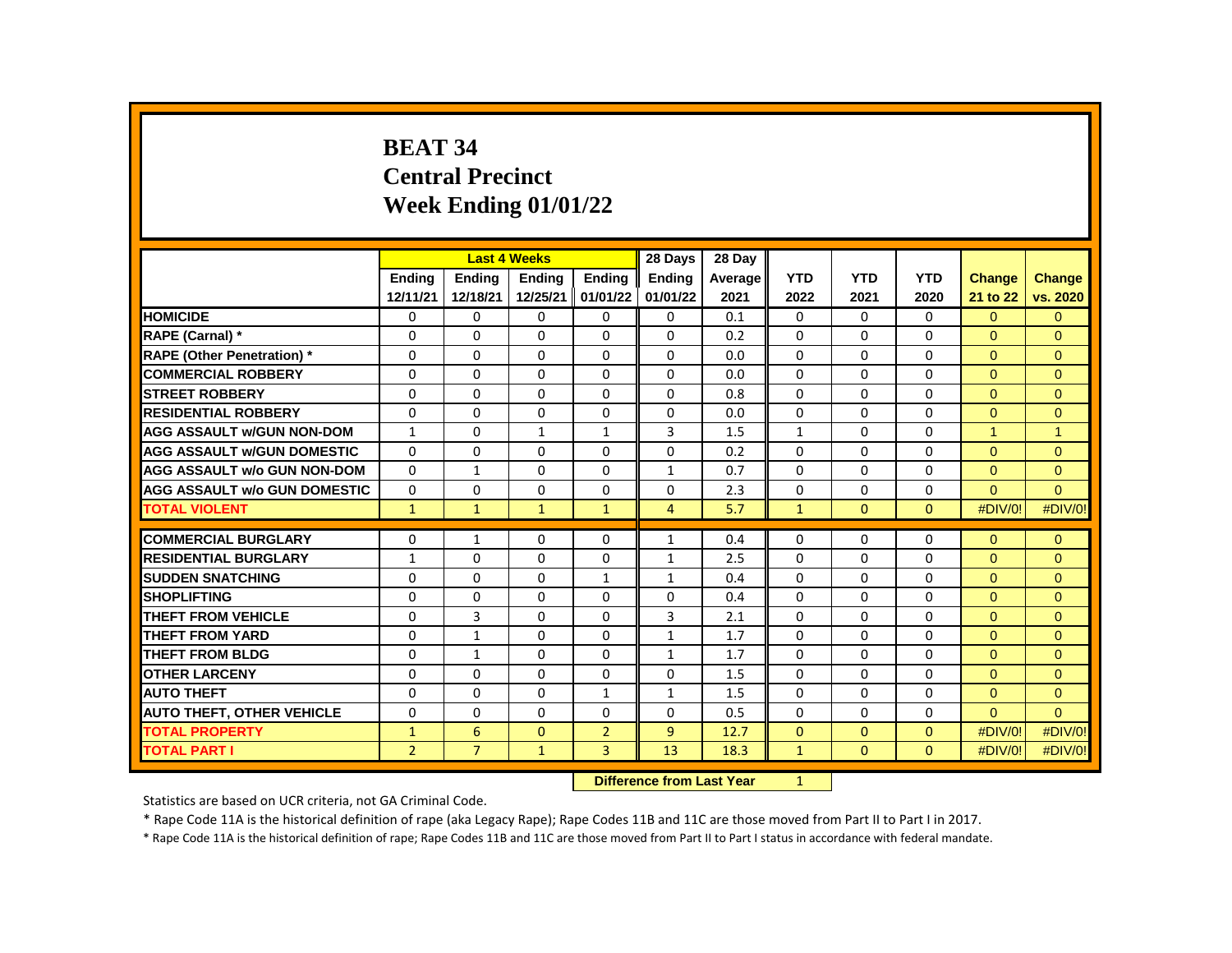# **BEAT 34 Central Precinct Week Ending 01/01/22**

|                                     |                |                | <b>Last 4 Weeks</b> |                | 28 Days       | 28 Day  |              |              |              |                      |                |
|-------------------------------------|----------------|----------------|---------------------|----------------|---------------|---------|--------------|--------------|--------------|----------------------|----------------|
|                                     | <b>Endina</b>  | <b>Endina</b>  | <b>Endina</b>       | <b>Endina</b>  | <b>Endina</b> | Average | <b>YTD</b>   | <b>YTD</b>   | <b>YTD</b>   | <b>Change</b>        | <b>Change</b>  |
|                                     | 12/11/21       | 12/18/21       | 12/25/21            | 01/01/22       | 01/01/22      | 2021    | 2022         | 2021         | 2020         | 21 to 22             | vs. 2020       |
| <b>HOMICIDE</b>                     | 0              | 0              | 0                   | 0              | $\mathbf{0}$  | 0.1     | 0            | $\mathbf{0}$ | $\mathbf{0}$ | $\Omega$             | $\mathbf{0}$   |
| RAPE (Carnal) *                     | $\Omega$       | $\Omega$       | 0                   | $\Omega$       | 0             | 0.2     | $\Omega$     | $\Omega$     | $\Omega$     | $\Omega$             | $\Omega$       |
| <b>RAPE (Other Penetration) *</b>   | $\Omega$       | $\Omega$       | $\Omega$            | $\Omega$       | $\Omega$      | 0.0     | $\Omega$     | $\Omega$     | $\Omega$     | $\Omega$             | $\Omega$       |
| <b>COMMERCIAL ROBBERY</b>           | $\Omega$       | $\Omega$       | $\Omega$            | $\Omega$       | 0             | 0.0     | $\Omega$     | $\Omega$     | $\Omega$     | $\Omega$             | $\Omega$       |
| <b>STREET ROBBERY</b>               | $\Omega$       | 0              | 0                   | 0              | 0             | 0.8     | $\Omega$     | 0            | $\Omega$     | $\Omega$             | $\Omega$       |
| <b>RESIDENTIAL ROBBERY</b>          | $\Omega$       | 0              | $\Omega$            | 0              | $\Omega$      | 0.0     | $\Omega$     | $\mathbf{0}$ | $\Omega$     | $\Omega$             | $\mathbf{0}$   |
| <b>AGG ASSAULT w/GUN NON-DOM</b>    | $\mathbf{1}$   | $\Omega$       | $\mathbf{1}$        | $\mathbf{1}$   | 3             | 1.5     | $\mathbf{1}$ | 0            | $\Omega$     | $\blacktriangleleft$ | $\overline{1}$ |
| <b>AGG ASSAULT w/GUN DOMESTIC</b>   | $\Omega$       | 0              | 0                   | 0              | 0             | 0.2     | $\Omega$     | $\mathbf{0}$ | $\Omega$     | $\Omega$             | $\Omega$       |
| <b>AGG ASSAULT w/o GUN NON-DOM</b>  | $\Omega$       | $\mathbf{1}$   | 0                   | 0              | $\mathbf{1}$  | 0.7     | $\Omega$     | $\Omega$     | $\Omega$     | $\Omega$             | $\mathbf{0}$   |
| <b>AGG ASSAULT w/o GUN DOMESTIC</b> | $\Omega$       | $\Omega$       | 0                   | 0              | 0             | 2.3     | $\Omega$     | 0            | $\Omega$     | $\Omega$             | $\Omega$       |
| <b>TOTAL VIOLENT</b>                | $\mathbf{1}$   | $\mathbf{1}$   | $\mathbf{1}$        | $\mathbf{1}$   | 4             | 5.7     | $\mathbf{1}$ | $\mathbf{0}$ | $\Omega$     | #DIV/0!              | #DIV/0!        |
|                                     |                |                |                     |                |               |         |              |              |              |                      |                |
| <b>COMMERCIAL BURGLARY</b>          | 0              | $\mathbf{1}$   | 0                   | 0              | $\mathbf{1}$  | 0.4     | 0            | 0            | $\Omega$     | $\Omega$             | $\mathbf{0}$   |
| <b>RESIDENTIAL BURGLARY</b>         | $\mathbf{1}$   | $\Omega$       | 0                   | 0              | $\mathbf{1}$  | 2.5     | $\Omega$     | 0            | 0            | $\Omega$             | $\Omega$       |
| <b>SUDDEN SNATCHING</b>             | 0              | 0              | $\Omega$            | $\mathbf{1}$   | $\mathbf{1}$  | 0.4     | 0            | $\mathbf{0}$ | 0            | $\Omega$             | $\Omega$       |
| <b>SHOPLIFTING</b>                  | $\Omega$       | $\Omega$       | $\Omega$            | 0              | $\Omega$      | 0.4     | $\Omega$     | $\Omega$     | $\Omega$     | $\Omega$             | $\Omega$       |
| THEFT FROM VEHICLE                  | $\Omega$       | 3              | 0                   | $\Omega$       | 3             | 2.1     | $\Omega$     | $\mathbf{0}$ | $\Omega$     | $\Omega$             | $\Omega$       |
| <b>THEFT FROM YARD</b>              | $\Omega$       | $\mathbf{1}$   | $\Omega$            | $\Omega$       | $\mathbf{1}$  | 1.7     | $\Omega$     | $\Omega$     | $\Omega$     | $\Omega$             | $\Omega$       |
| <b>THEFT FROM BLDG</b>              | $\Omega$       | $\mathbf{1}$   | $\Omega$            | $\Omega$       | $\mathbf{1}$  | 1.7     | $\Omega$     | $\Omega$     | $\Omega$     | $\Omega$             | $\Omega$       |
| <b>OTHER LARCENY</b>                | $\Omega$       | $\Omega$       | 0                   | $\Omega$       | 0             | 1.5     | 0            | $\mathbf{0}$ | $\Omega$     | $\Omega$             | $\Omega$       |
| <b>AUTO THEFT</b>                   | $\Omega$       | $\Omega$       | $\Omega$            | $\mathbf{1}$   | $\mathbf{1}$  | 1.5     | $\Omega$     | $\Omega$     | $\Omega$     | $\Omega$             | $\Omega$       |
| <b>AUTO THEFT, OTHER VEHICLE</b>    | $\Omega$       | $\Omega$       | $\Omega$            | $\Omega$       | $\Omega$      | 0.5     | $\Omega$     | $\Omega$     | $\Omega$     | $\Omega$             | $\Omega$       |
| <b>TOTAL PROPERTY</b>               | $\mathbf{1}$   | 6              | 0                   | $\overline{2}$ | 9             | 12.7    | $\mathbf{0}$ | $\mathbf{0}$ | $\Omega$     | #DIV/0!              | #DIV/0!        |
| <b>TOTAL PART I</b>                 | $\overline{2}$ | $\overline{7}$ | $\mathbf{1}$        | 3              | 13            | 18.3    | $\mathbf{1}$ | $\Omega$     | $\Omega$     | #DIV/0!              | #DIV/0!        |

**Difference from Last Year** 1

Statistics are based on UCR criteria, not GA Criminal Code.

\* Rape Code 11A is the historical definition of rape (aka Legacy Rape); Rape Codes 11B and 11C are those moved from Part II to Part I in 2017.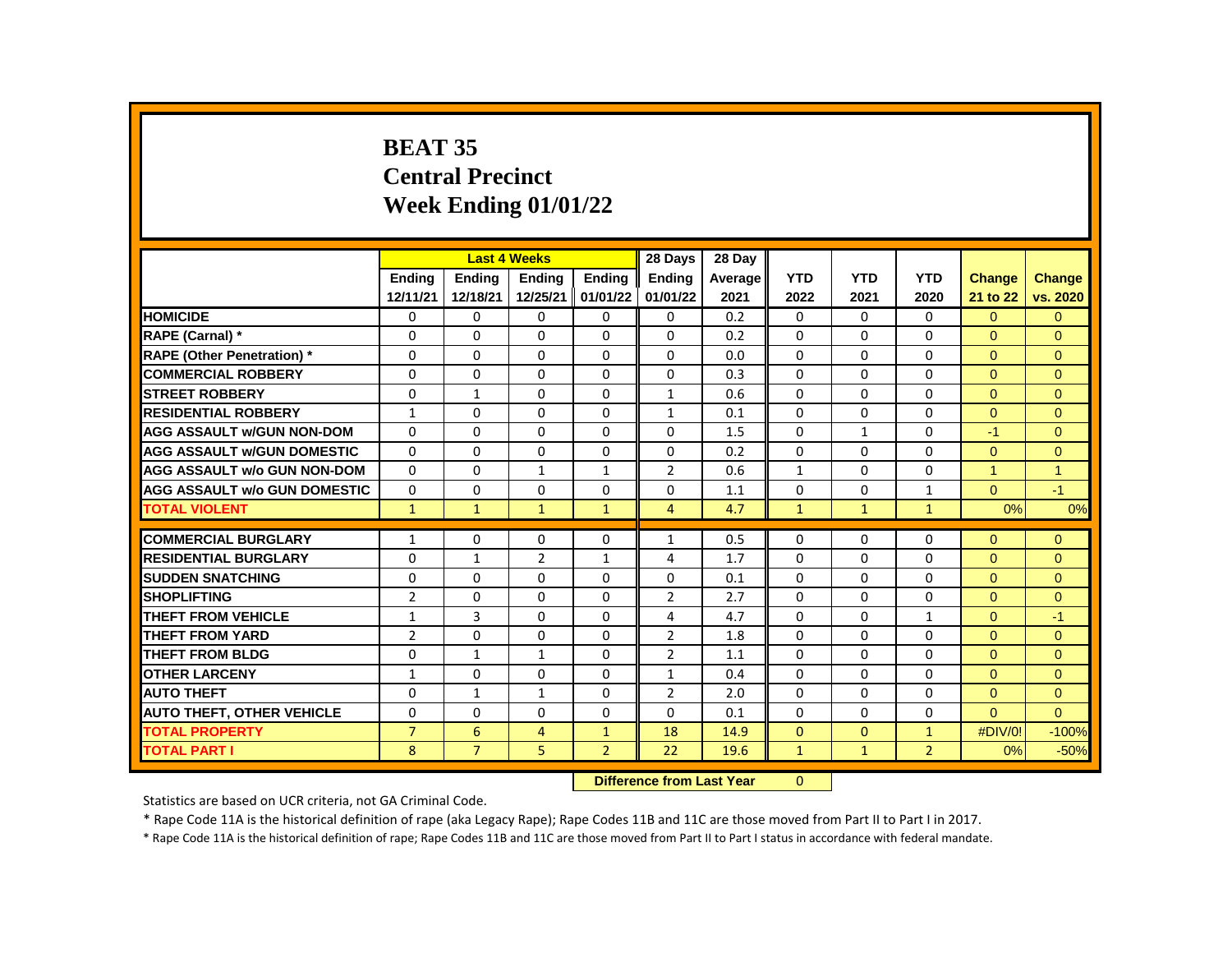# **BEAT 35 Central Precinct Week Ending 01/01/22**

|                                     |                |                | <b>Last 4 Weeks</b> |                | 28 Days        | 28 Day  |              |              |                |                |               |
|-------------------------------------|----------------|----------------|---------------------|----------------|----------------|---------|--------------|--------------|----------------|----------------|---------------|
|                                     | <b>Endina</b>  | <b>Endina</b>  | <b>Endina</b>       | <b>Endina</b>  | <b>Endina</b>  | Average | <b>YTD</b>   | <b>YTD</b>   | <b>YTD</b>     | <b>Change</b>  | <b>Change</b> |
|                                     | 12/11/21       | 12/18/21       | 12/25/21            | 01/01/22       | 01/01/22       | 2021    | 2022         | 2021         | 2020           | 21 to 22       | vs. 2020      |
| <b>HOMICIDE</b>                     | 0              | 0              | 0                   | 0              | 0              | 0.2     | $\mathbf{0}$ | 0            | 0              | $\overline{0}$ | $\Omega$      |
| RAPE (Carnal) *                     | 0              | $\Omega$       | $\Omega$            | $\Omega$       | $\Omega$       | 0.2     | $\Omega$     | $\Omega$     | $\Omega$       | $\Omega$       | $\Omega$      |
| RAPE (Other Penetration) *          | $\Omega$       | $\Omega$       | $\Omega$            | $\Omega$       | $\Omega$       | 0.0     | $\Omega$     | $\Omega$     | $\Omega$       | $\Omega$       | $\Omega$      |
| <b>COMMERCIAL ROBBERY</b>           | 0              | 0              | 0                   | 0              | 0              | 0.3     | 0            | 0            | 0              | $\mathbf{0}$   | $\mathbf{0}$  |
| <b>STREET ROBBERY</b>               | 0              | $\mathbf{1}$   | 0                   | $\Omega$       | $\mathbf{1}$   | 0.6     | $\Omega$     | 0            | 0              | $\Omega$       | $\Omega$      |
| <b>RESIDENTIAL ROBBERY</b>          | $\mathbf{1}$   | $\Omega$       | $\mathbf 0$         | $\Omega$       | $\mathbf{1}$   | 0.1     | $\Omega$     | $\Omega$     | $\mathbf 0$    | $\Omega$       | $\Omega$      |
| <b>AGG ASSAULT w/GUN NON-DOM</b>    | $\Omega$       | $\Omega$       | $\Omega$            | $\Omega$       | $\Omega$       | 1.5     | $\Omega$     | $\mathbf{1}$ | $\Omega$       | $-1$           | $\Omega$      |
| <b>AGG ASSAULT w/GUN DOMESTIC</b>   | $\Omega$       | 0              | $\Omega$            | $\Omega$       | $\Omega$       | 0.2     | $\Omega$     | $\Omega$     | 0              | $\Omega$       | $\Omega$      |
| <b>AGG ASSAULT w/o GUN NON-DOM</b>  | $\Omega$       | 0              | 1                   | $\mathbf{1}$   | $\overline{2}$ | 0.6     | $\mathbf{1}$ | $\Omega$     | $\Omega$       | $\mathbf{1}$   | $\mathbf{1}$  |
| <b>AGG ASSAULT w/o GUN DOMESTIC</b> | $\Omega$       | $\Omega$       | $\Omega$            | $\Omega$       | $\Omega$       | 1.1     | $\Omega$     | 0            | $\mathbf{1}$   | $\Omega$       | $-1$          |
| <b>TOTAL VIOLENT</b>                | $\mathbf{1}$   | $\mathbf{1}$   | $\mathbf{1}$        | $\mathbf{1}$   | 4              | 4.7     | $\mathbf{1}$ | $\mathbf{1}$ | $\mathbf{1}$   | 0%             | 0%            |
|                                     |                |                |                     |                |                |         |              |              |                |                |               |
| <b>COMMERCIAL BURGLARY</b>          | $\mathbf{1}$   | $\Omega$       | 0                   | 0              | $\mathbf{1}$   | 0.5     | $\Omega$     | 0            | 0              | $\Omega$       | $\mathbf{0}$  |
| <b>RESIDENTIAL BURGLARY</b>         | $\Omega$       | $\mathbf{1}$   | $\overline{2}$      | $\mathbf{1}$   | 4              | 1.7     | $\Omega$     | 0            | 0              | $\Omega$       | $\Omega$      |
| <b>SUDDEN SNATCHING</b>             | $\Omega$       | $\Omega$       | $\Omega$            | $\Omega$       | $\Omega$       | 0.1     | $\Omega$     | $\Omega$     | $\Omega$       | $\Omega$       | $\Omega$      |
| <b>SHOPLIFTING</b>                  | $\overline{2}$ | $\Omega$       | 0                   | $\Omega$       | $\overline{2}$ | 2.7     | $\Omega$     | $\Omega$     | $\Omega$       | $\Omega$       | $\Omega$      |
| THEFT FROM VEHICLE                  | $\mathbf{1}$   | 3              | $\Omega$            | $\Omega$       | 4              | 4.7     | $\Omega$     | $\Omega$     | $\mathbf{1}$   | $\Omega$       | $-1$          |
| <b>THEFT FROM YARD</b>              | $\overline{2}$ | $\Omega$       | $\Omega$            | $\Omega$       | $\overline{2}$ | 1.8     | $\Omega$     | $\Omega$     | $\Omega$       | $\Omega$       | $\Omega$      |
| <b>THEFT FROM BLDG</b>              | $\Omega$       | 1              | $\mathbf{1}$        | $\Omega$       | $\overline{2}$ | 1.1     | $\Omega$     | $\Omega$     | $\Omega$       | $\Omega$       | $\Omega$      |
| <b>OTHER LARCENY</b>                | $\mathbf{1}$   | $\Omega$       | $\Omega$            | $\Omega$       | $\mathbf{1}$   | 0.4     | $\Omega$     | $\Omega$     | $\Omega$       | $\Omega$       | $\Omega$      |
| <b>AUTO THEFT</b>                   | $\Omega$       | $\mathbf{1}$   | $\mathbf{1}$        | $\Omega$       | $\overline{2}$ | 2.0     | $\Omega$     | $\Omega$     | $\Omega$       | $\Omega$       | $\Omega$      |
| <b>AUTO THEFT, OTHER VEHICLE</b>    | $\Omega$       | $\Omega$       | 0                   | $\Omega$       | 0              | 0.1     | $\Omega$     | $\Omega$     | 0              | $\Omega$       | $\Omega$      |
| <b>TOTAL PROPERTY</b>               | $\overline{7}$ | 6              | 4                   | $\mathbf{1}$   | 18             | 14.9    | $\Omega$     | $\Omega$     | $\mathbf{1}$   | #DIV/0!        | $-100%$       |
| <b>TOTAL PART I</b>                 | 8              | $\overline{7}$ | 5                   | $\overline{2}$ | 22             | 19.6    | $\mathbf{1}$ | $\mathbf{1}$ | $\overline{2}$ | 0%             | $-50%$        |
|                                     |                |                |                     |                |                |         |              |              |                |                |               |

**Difference from Last Year** 0

Statistics are based on UCR criteria, not GA Criminal Code.

\* Rape Code 11A is the historical definition of rape (aka Legacy Rape); Rape Codes 11B and 11C are those moved from Part II to Part I in 2017.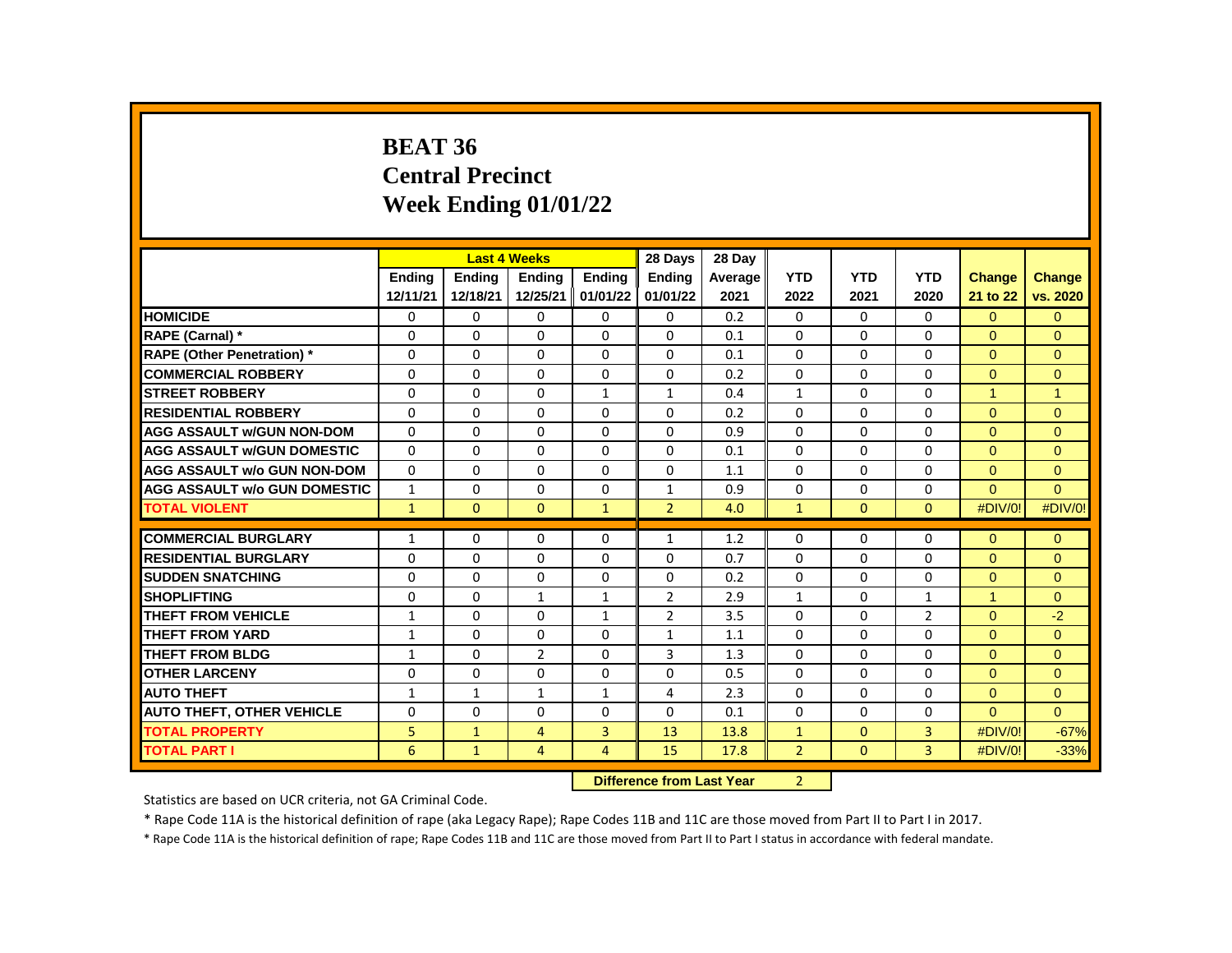#### **BEAT 36 Central Precinct Week Ending 01/01/22**

|                                     |               | <b>Last 4 Weeks</b> |                |                                                  | 28 Days        | 28 Day  |                |              |                |               |                |
|-------------------------------------|---------------|---------------------|----------------|--------------------------------------------------|----------------|---------|----------------|--------------|----------------|---------------|----------------|
|                                     | <b>Ending</b> | <b>Ending</b>       | <b>Ending</b>  | <b>Endina</b>                                    | <b>Endina</b>  | Average | <b>YTD</b>     | <b>YTD</b>   | <b>YTD</b>     | <b>Change</b> | Change         |
|                                     | 12/11/21      | 12/18/21            | 12/25/21       | 01/01/22                                         | 01/01/22       | 2021    | 2022           | 2021         | 2020           | 21 to 22      | vs. 2020       |
| <b>HOMICIDE</b>                     | 0             | $\Omega$            | 0              | 0                                                | 0              | 0.2     | 0              | 0            | 0              | $\Omega$      | $\mathbf{0}$   |
| RAPE (Carnal) *                     | 0             | 0                   | $\mathbf 0$    | $\mathbf 0$                                      | $\Omega$       | 0.1     | $\Omega$       | $\Omega$     | $\Omega$       | $\Omega$      | $\overline{0}$ |
| <b>RAPE (Other Penetration) *</b>   | $\Omega$      | $\Omega$            | $\Omega$       | $\Omega$                                         | $\Omega$       | 0.1     | $\Omega$       | $\Omega$     | $\Omega$       | $\Omega$      | $\Omega$       |
| <b>COMMERCIAL ROBBERY</b>           | $\Omega$      | $\mathbf 0$         | $\Omega$       | $\Omega$                                         | 0              | 0.2     | $\Omega$       | 0            | $\Omega$       | $\Omega$      | $\Omega$       |
| <b>STREET ROBBERY</b>               | $\Omega$      | 0                   | $\Omega$       | $\mathbf{1}$                                     | $\mathbf{1}$   | 0.4     | $\mathbf{1}$   | $\Omega$     | $\Omega$       | $\mathbf{1}$  | $\overline{1}$ |
| <b>RESIDENTIAL ROBBERY</b>          | $\Omega$      | $\Omega$            | $\Omega$       | $\Omega$                                         | $\Omega$       | 0.2     | $\Omega$       | $\Omega$     | $\Omega$       | $\Omega$      | $\Omega$       |
| <b>AGG ASSAULT w/GUN NON-DOM</b>    | 0             | $\Omega$            | $\Omega$       | 0                                                | 0              | 0.9     | 0              | 0            | 0              | $\Omega$      | $\Omega$       |
| <b>AGG ASSAULT w/GUN DOMESTIC</b>   | $\Omega$      | 0                   | $\mathbf 0$    | $\mathbf 0$                                      | 0              | 0.1     | $\Omega$       | 0            | $\Omega$       | $\Omega$      | $\overline{0}$ |
| <b>AGG ASSAULT w/o GUN NON-DOM</b>  | $\Omega$      | $\Omega$            | $\Omega$       | $\Omega$                                         | $\Omega$       | 1.1     | $\Omega$       | $\Omega$     | $\Omega$       | $\Omega$      | $\Omega$       |
| <b>AGG ASSAULT w/o GUN DOMESTIC</b> | $\mathbf{1}$  | 0                   | 0              | 0                                                | 1              | 0.9     | 0              | 0            | 0              | $\Omega$      | $\mathbf{0}$   |
| <b>TOTAL VIOLENT</b>                | $\mathbf{1}$  | $\mathbf{0}$        | $\mathbf{0}$   | $\mathbf{1}$                                     | $\overline{2}$ | 4.0     | $\mathbf{1}$   | $\Omega$     | $\Omega$       | #DIV/0!       | #DIV/0!        |
|                                     |               |                     |                |                                                  |                |         |                |              |                |               |                |
| <b>COMMERCIAL BURGLARY</b>          | $\mathbf{1}$  | 0                   | 0              | 0                                                | 1              | 1.2     | 0              | 0            | 0              | $\Omega$      | $\Omega$       |
| <b>RESIDENTIAL BURGLARY</b>         | 0             | 0                   | 0              | $\mathbf 0$                                      | 0              | 0.7     | 0              | $\Omega$     | $\Omega$       | $\mathbf{0}$  | $\overline{0}$ |
| <b>SUDDEN SNATCHING</b>             | $\Omega$      | $\Omega$            | $\Omega$       | $\Omega$                                         | $\Omega$       | 0.2     | $\Omega$       | $\Omega$     | $\Omega$       | $\Omega$      | $\Omega$       |
| <b>SHOPLIFTING</b>                  | $\Omega$      | $\Omega$            | $\mathbf{1}$   | 1                                                | $\overline{2}$ | 2.9     | 1              | 0            | 1              | $\mathbf{1}$  | $\Omega$       |
| <b>THEFT FROM VEHICLE</b>           | $\mathbf{1}$  | 0                   | $\Omega$       | $\mathbf{1}$                                     | $\overline{2}$ | 3.5     | $\Omega$       | $\Omega$     | $\overline{2}$ | $\Omega$      | $-2$           |
| <b>THEFT FROM YARD</b>              | $\mathbf{1}$  | $\Omega$            | $\Omega$       | $\Omega$                                         | $\mathbf{1}$   | 1.1     | $\Omega$       | $\Omega$     | $\Omega$       | $\Omega$      | $\Omega$       |
| <b>THEFT FROM BLDG</b>              | $\mathbf{1}$  | $\Omega$            | $\overline{2}$ | $\Omega$                                         | 3              | 1.3     | $\Omega$       | $\Omega$     | $\Omega$       | $\Omega$      | $\Omega$       |
| <b>OTHER LARCENY</b>                | $\Omega$      | $\Omega$            | $\Omega$       | $\Omega$                                         | $\Omega$       | 0.5     | $\Omega$       | $\Omega$     | $\Omega$       | $\Omega$      | $\Omega$       |
| <b>AUTO THEFT</b>                   | $\mathbf{1}$  | $\mathbf{1}$        | $\mathbf{1}$   | $\mathbf{1}$                                     | 4              | 2.3     | $\Omega$       | $\Omega$     | $\Omega$       | $\Omega$      | $\Omega$       |
| <b>AUTO THEFT, OTHER VEHICLE</b>    | $\Omega$      | 0                   | 0              | 0                                                | 0              | 0.1     | $\Omega$       | 0            | 0              | $\Omega$      | $\Omega$       |
| <b>TOTAL PROPERTY</b>               | 5             | $\mathbf{1}$        | 4              | 3                                                | 13             | 13.8    | $\mathbf{1}$   | $\mathbf{0}$ | 3              | #DIV/0!       | $-67%$         |
| <b>TOTAL PART I</b>                 | 6             | $\mathbf{1}$        | $\overline{4}$ | 4                                                | 15             | 17.8    | $\overline{2}$ | $\Omega$     | 3              | #DIV/0!       | $-33%$         |
|                                     |               |                     |                | <b>INSTEAD</b><br>an dan an India Mana<br>$\sim$ |                |         |                |              |                |               |                |

**Difference from Last Year** 2

Statistics are based on UCR criteria, not GA Criminal Code.

\* Rape Code 11A is the historical definition of rape (aka Legacy Rape); Rape Codes 11B and 11C are those moved from Part II to Part I in 2017.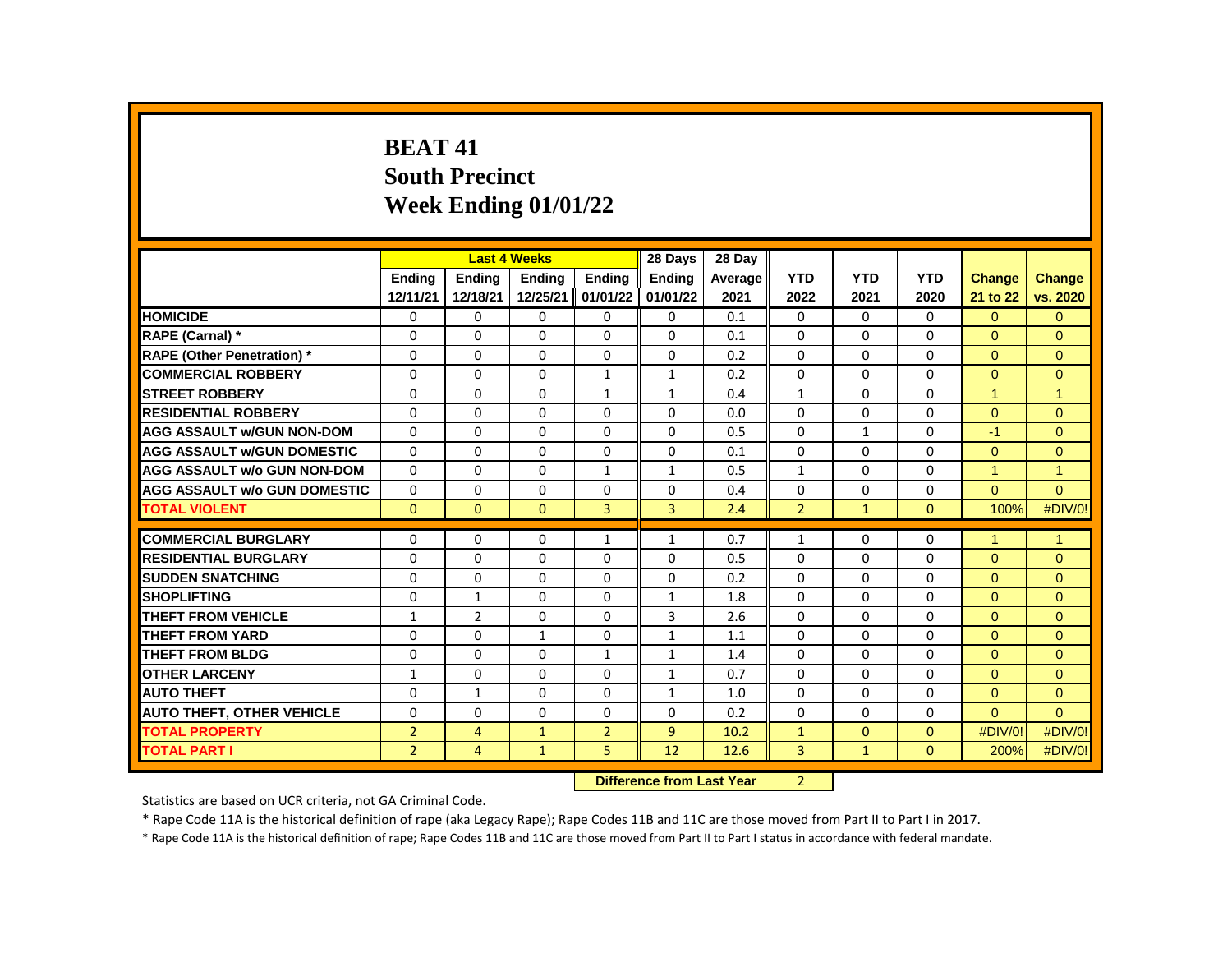# **BEAT 41 South Precinct Week Ending 01/01/22**

|                                     |                |                | <b>Last 4 Weeks</b> |                | 28 Days        | 28 Day  |                |              |              |                      |                      |
|-------------------------------------|----------------|----------------|---------------------|----------------|----------------|---------|----------------|--------------|--------------|----------------------|----------------------|
|                                     | <b>Endina</b>  | <b>Endina</b>  | <b>Endina</b>       | <b>Endina</b>  | <b>Endina</b>  | Average | <b>YTD</b>     | <b>YTD</b>   | <b>YTD</b>   | <b>Change</b>        | <b>Change</b>        |
|                                     | 12/11/21       | 12/18/21       | 12/25/21            | 01/01/22       | 01/01/22       | 2021    | 2022           | 2021         | 2020         | 21 to 22             | vs. 2020             |
| <b>HOMICIDE</b>                     | 0              | $\Omega$       | $\Omega$            | $\Omega$       | 0              | 0.1     | 0              | $\Omega$     | 0            | $\overline{0}$       | $\overline{0}$       |
| RAPE (Carnal) *                     | $\Omega$       | $\Omega$       | $\Omega$            | $\Omega$       | $\Omega$       | 0.1     | $\Omega$       | $\Omega$     | $\Omega$     | $\Omega$             | $\Omega$             |
| <b>RAPE (Other Penetration) *</b>   | 0              | $\Omega$       | $\Omega$            | $\Omega$       | $\Omega$       | 0.2     | $\Omega$       | $\Omega$     | $\Omega$     | $\Omega$             | $\Omega$             |
| <b>COMMERCIAL ROBBERY</b>           | $\Omega$       | $\Omega$       | $\Omega$            | $\mathbf{1}$   | $\mathbf{1}$   | 0.2     | $\Omega$       | $\Omega$     | $\Omega$     | $\Omega$             | $\Omega$             |
| <b>STREET ROBBERY</b>               | $\Omega$       | $\Omega$       | $\Omega$            | $\mathbf{1}$   | $\mathbf{1}$   | 0.4     | $\mathbf{1}$   | $\Omega$     | $\Omega$     | $\overline{1}$       | $\blacktriangleleft$ |
| <b>RESIDENTIAL ROBBERY</b>          | $\Omega$       | $\Omega$       | $\Omega$            | $\Omega$       | $\Omega$       | 0.0     | $\Omega$       | $\Omega$     | $\Omega$     | $\Omega$             | $\Omega$             |
| <b>AGG ASSAULT W/GUN NON-DOM</b>    | $\Omega$       | $\Omega$       | $\Omega$            | $\Omega$       | $\Omega$       | 0.5     | $\Omega$       | $\mathbf{1}$ | $\Omega$     | $-1$                 | $\Omega$             |
| <b>AGG ASSAULT W/GUN DOMESTIC</b>   | 0              | $\Omega$       | $\Omega$            | $\Omega$       | 0              | 0.1     | $\Omega$       | 0            | 0            | $\Omega$             | $\Omega$             |
| <b>AGG ASSAULT w/o GUN NON-DOM</b>  | $\Omega$       | $\Omega$       | $\Omega$            | $\mathbf{1}$   | $\mathbf{1}$   | 0.5     | $\mathbf{1}$   | $\Omega$     | $\Omega$     | $\blacktriangleleft$ | $\overline{1}$       |
| <b>AGG ASSAULT w/o GUN DOMESTIC</b> | $\Omega$       | $\Omega$       | $\Omega$            | $\Omega$       | $\Omega$       | 0.4     | $\Omega$       | $\Omega$     | $\Omega$     | $\Omega$             | $\Omega$             |
| <b>TOTAL VIOLENT</b>                | $\mathbf{0}$   | $\mathbf{0}$   | $\Omega$            | $\overline{3}$ | $\overline{3}$ | 2.4     | $\overline{2}$ | $\mathbf{1}$ | $\mathbf{0}$ | 100%                 | #DIV/0!              |
|                                     |                |                |                     |                |                |         |                |              |              |                      |                      |
| <b>COMMERCIAL BURGLARY</b>          | 0              | $\Omega$       | $\Omega$            | $\mathbf{1}$   | $\mathbf{1}$   | 0.7     | $\mathbf{1}$   | $\Omega$     | $\Omega$     | $\overline{1}$       | $\overline{1}$       |
| <b>RESIDENTIAL BURGLARY</b>         | $\Omega$       | $\Omega$       | $\Omega$            | $\Omega$       | $\Omega$       | 0.5     | $\Omega$       | $\Omega$     | $\Omega$     | $\Omega$             | $\Omega$             |
| <b>SUDDEN SNATCHING</b>             | $\Omega$       | $\Omega$       | $\Omega$            | $\Omega$       | $\Omega$       | 0.2     | $\Omega$       | $\Omega$     | $\Omega$     | $\Omega$             | $\Omega$             |
| <b>SHOPLIFTING</b>                  | $\Omega$       | $\mathbf{1}$   | $\Omega$            | $\Omega$       | $\mathbf{1}$   | 1.8     | $\Omega$       | $\Omega$     | $\Omega$     | $\Omega$             | $\Omega$             |
| <b>THEFT FROM VEHICLE</b>           | $\mathbf{1}$   | $\overline{2}$ | $\Omega$            | $\Omega$       | 3              | 2.6     | $\Omega$       | $\Omega$     | $\Omega$     | $\Omega$             | $\mathbf{0}$         |
| <b>THEFT FROM YARD</b>              | $\Omega$       | $\Omega$       | $\mathbf{1}$        | $\Omega$       | $\mathbf{1}$   | 1.1     | $\Omega$       | $\Omega$     | $\Omega$     | $\Omega$             | $\Omega$             |
| <b>THEFT FROM BLDG</b>              | $\Omega$       | $\Omega$       | $\Omega$            | $\mathbf{1}$   | $\mathbf{1}$   | 1.4     | $\Omega$       | $\Omega$     | $\Omega$     | $\Omega$             | $\Omega$             |
| <b>OTHER LARCENY</b>                | $\mathbf{1}$   | $\Omega$       | $\Omega$            | $\Omega$       | $\mathbf{1}$   | 0.7     | $\Omega$       | $\Omega$     | $\Omega$     | $\Omega$             | $\Omega$             |
| <b>AUTO THEFT</b>                   | $\Omega$       | $\mathbf{1}$   | $\Omega$            | $\Omega$       | $\mathbf{1}$   | 1.0     | $\Omega$       | $\Omega$     | $\Omega$     | $\Omega$             | $\Omega$             |
| <b>AUTO THEFT, OTHER VEHICLE</b>    | $\Omega$       | $\Omega$       | $\Omega$            | $\Omega$       | $\Omega$       | 0.2     | $\Omega$       | $\Omega$     | $\Omega$     | $\Omega$             | $\Omega$             |
| <b>TOTAL PROPERTY</b>               | $\overline{2}$ | $\overline{4}$ | $\mathbf 1$         | $\overline{2}$ | 9              | 10.2    | $\mathbf{1}$   | $\Omega$     | $\Omega$     | #DIV/0!              | #DIV/0!              |
| <b>TOTAL PART I</b>                 | $\overline{2}$ | $\overline{4}$ | $\mathbf{1}$        | 5              | 12             | 12.6    | 3              | $\mathbf{1}$ | $\mathbf{0}$ | 200%                 | #DIV/0!              |
|                                     |                |                |                     |                |                |         |                |              |              |                      |                      |

**Difference from Last Year** 2

Statistics are based on UCR criteria, not GA Criminal Code.

\* Rape Code 11A is the historical definition of rape (aka Legacy Rape); Rape Codes 11B and 11C are those moved from Part II to Part I in 2017.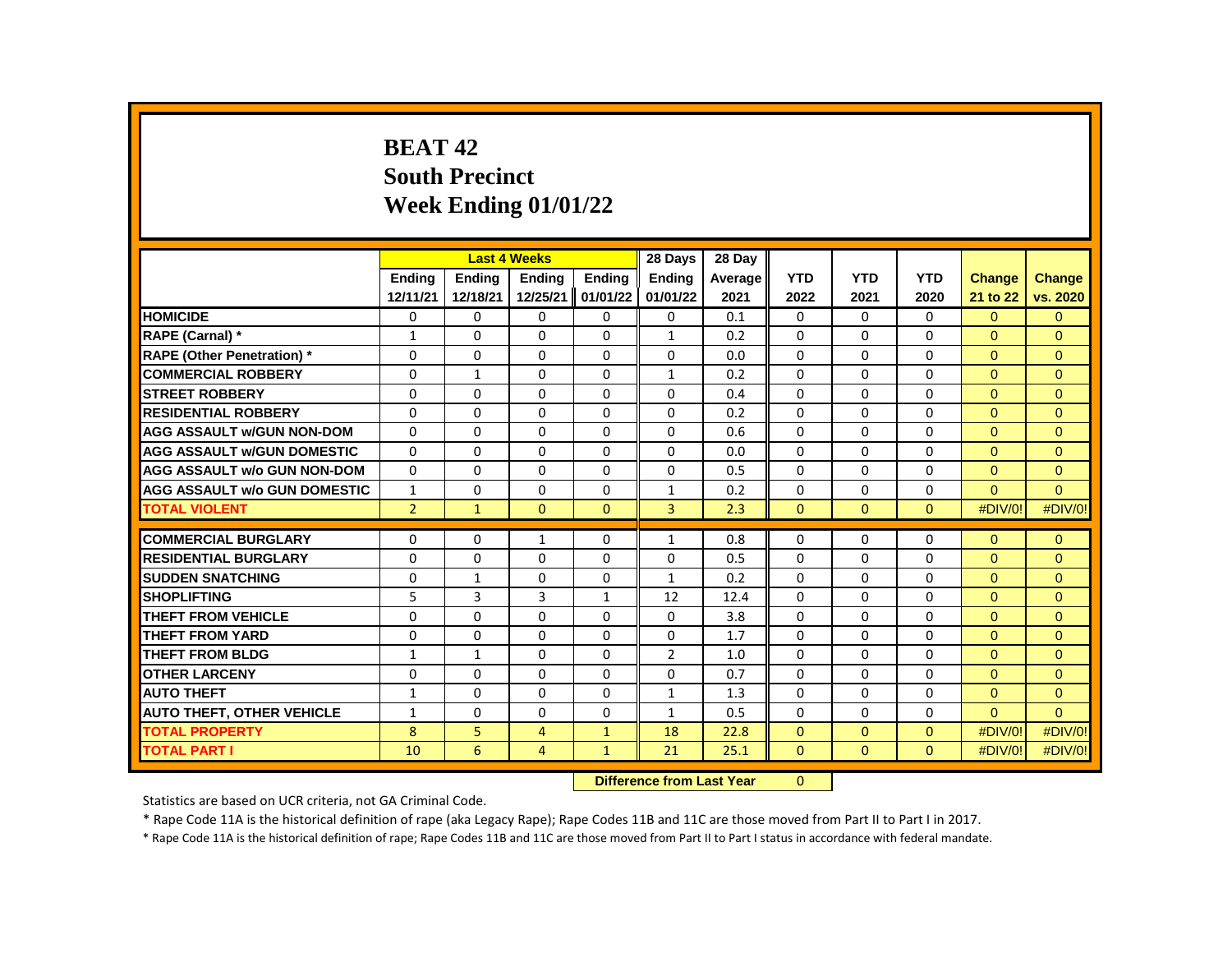# **BEAT 42 South Precinct Week Ending 01/01/22**

|                                     |                | <b>Last 4 Weeks</b> |                |               | 28 Days        | 28 Day  |              |              |              |               |               |
|-------------------------------------|----------------|---------------------|----------------|---------------|----------------|---------|--------------|--------------|--------------|---------------|---------------|
|                                     | <b>Endina</b>  | <b>Endina</b>       | <b>Endina</b>  | <b>Endina</b> | <b>Endina</b>  | Average | <b>YTD</b>   | <b>YTD</b>   | <b>YTD</b>   | <b>Change</b> | <b>Change</b> |
|                                     | 12/11/21       | 12/18/21            | 12/25/21       | 01/01/22      | 01/01/22       | 2021    | 2022         | 2021         | 2020         | 21 to 22      | vs. 2020      |
| <b>HOMICIDE</b>                     | 0              | 0                   | 0              | 0             | 0              | 0.1     | 0            | $\mathbf{0}$ | $\mathbf{0}$ | $\mathbf{0}$  | $\mathbf{0}$  |
| RAPE (Carnal) *                     | $\mathbf{1}$   | $\Omega$            | $\Omega$       | $\Omega$      | $\mathbf{1}$   | 0.2     | $\Omega$     | 0            | $\Omega$     | $\Omega$      | $\Omega$      |
| <b>RAPE (Other Penetration) *</b>   | $\Omega$       | $\Omega$            | $\Omega$       | $\Omega$      | $\Omega$       | 0.0     | $\Omega$     | $\Omega$     | $\Omega$     | $\Omega$      | $\Omega$      |
| <b>COMMERCIAL ROBBERY</b>           | 0              | $\mathbf{1}$        | $\Omega$       | 0             | $\mathbf{1}$   | 0.2     | $\Omega$     | 0            | 0            | $\Omega$      | $\Omega$      |
| <b>STREET ROBBERY</b>               | $\Omega$       | $\Omega$            | $\Omega$       | 0             | 0              | 0.4     | $\Omega$     | 0            | $\Omega$     | $\Omega$      | $\Omega$      |
| <b>RESIDENTIAL ROBBERY</b>          | $\Omega$       | $\Omega$            | $\Omega$       | $\Omega$      | $\Omega$       | 0.2     | $\Omega$     | $\Omega$     | $\Omega$     | $\Omega$      | $\mathbf{0}$  |
| <b>AGG ASSAULT W/GUN NON-DOM</b>    | $\Omega$       | $\Omega$            | $\Omega$       | 0             | $\Omega$       | 0.6     | $\Omega$     | $\Omega$     | $\Omega$     | $\Omega$      | $\Omega$      |
| <b>AGG ASSAULT W/GUN DOMESTIC</b>   | $\Omega$       | $\Omega$            | $\Omega$       | $\Omega$      | $\Omega$       | 0.0     | $\Omega$     | $\Omega$     | $\Omega$     | $\Omega$      | $\Omega$      |
| <b>AGG ASSAULT w/o GUN NON-DOM</b>  | $\Omega$       | $\Omega$            | $\Omega$       | $\Omega$      | $\Omega$       | 0.5     | $\Omega$     | $\Omega$     | $\Omega$     | $\mathbf{0}$  | $\mathbf{0}$  |
| <b>AGG ASSAULT w/o GUN DOMESTIC</b> | $\mathbf{1}$   | 0                   | $\Omega$       | $\Omega$      | $\mathbf{1}$   | 0.2     | $\Omega$     | $\Omega$     | $\Omega$     | $\Omega$      | $\Omega$      |
| <b>TOTAL VIOLENT</b>                | $\overline{2}$ | $\mathbf{1}$        | $\Omega$       | $\Omega$      | 3              | 2.3     | $\mathbf{0}$ | $\mathbf{0}$ | $\mathbf{0}$ | #DIV/0!       | #DIV/0!       |
|                                     |                |                     |                |               |                |         |              |              |              |               |               |
| <b>COMMERCIAL BURGLARY</b>          | 0              | 0                   | $\mathbf{1}$   | 0             | $\mathbf{1}$   | 0.8     | $\Omega$     | 0            | $\Omega$     | $\Omega$      | $\Omega$      |
| <b>RESIDENTIAL BURGLARY</b>         | $\Omega$       | 0                   | 0              | 0             | 0              | 0.5     | 0            | 0            | 0            | $\Omega$      | $\Omega$      |
| <b>SUDDEN SNATCHING</b>             | 0              | $\mathbf{1}$        | 0              | $\Omega$      | $\mathbf{1}$   | 0.2     | $\Omega$     | 0            | $\Omega$     | $\Omega$      | $\mathbf{0}$  |
| <b>SHOPLIFTING</b>                  | 5              | 3                   | 3              | $\mathbf{1}$  | 12             | 12.4    | $\Omega$     | $\Omega$     | $\Omega$     | $\Omega$      | $\Omega$      |
| THEFT FROM VEHICLE                  | $\Omega$       | 0                   | $\Omega$       | 0             | 0              | 3.8     | $\Omega$     | 0            | 0            | $\Omega$      | $\Omega$      |
| <b>THEFT FROM YARD</b>              | $\Omega$       | $\Omega$            | $\Omega$       | $\Omega$      | $\Omega$       | 1.7     | $\Omega$     | $\Omega$     | $\Omega$     | $\Omega$      | $\mathbf{0}$  |
| <b>THEFT FROM BLDG</b>              | $\mathbf{1}$   | $\mathbf{1}$        | $\Omega$       | 0             | $\overline{2}$ | 1.0     | $\Omega$     | $\Omega$     | $\Omega$     | $\Omega$      | $\Omega$      |
| <b>OTHER LARCENY</b>                | $\Omega$       | 0                   | $\Omega$       | 0             | $\Omega$       | 0.7     | $\Omega$     | 0            | 0            | $\Omega$      | $\Omega$      |
| <b>AUTO THEFT</b>                   | $\mathbf{1}$   | $\Omega$            | $\Omega$       | $\Omega$      | $\mathbf{1}$   | 1.3     | $\Omega$     | $\Omega$     | $\Omega$     | $\mathbf{0}$  | $\mathbf{0}$  |
| <b>AUTO THEFT, OTHER VEHICLE</b>    | $\mathbf{1}$   | $\Omega$            | $\Omega$       | $\Omega$      | $\mathbf{1}$   | 0.5     | $\Omega$     | $\Omega$     | $\Omega$     | $\Omega$      | $\Omega$      |
| <b>TOTAL PROPERTY</b>               | 8              | 5                   | 4              | $\mathbf{1}$  | 18             | 22.8    | $\Omega$     | $\Omega$     | $\Omega$     | #DIV/0!       | #DIV/0!       |
| <b>TOTAL PART I</b>                 | 10             | 6                   | $\overline{4}$ | $\mathbf{1}$  | 21             | 25.1    | $\mathbf{0}$ | $\mathbf{0}$ | $\mathbf{0}$ | #DIV/0!       | #DIV/0!       |
|                                     |                |                     |                |               |                |         |              |              |              |               |               |

**Difference from Last Year** 0

Statistics are based on UCR criteria, not GA Criminal Code.

\* Rape Code 11A is the historical definition of rape (aka Legacy Rape); Rape Codes 11B and 11C are those moved from Part II to Part I in 2017.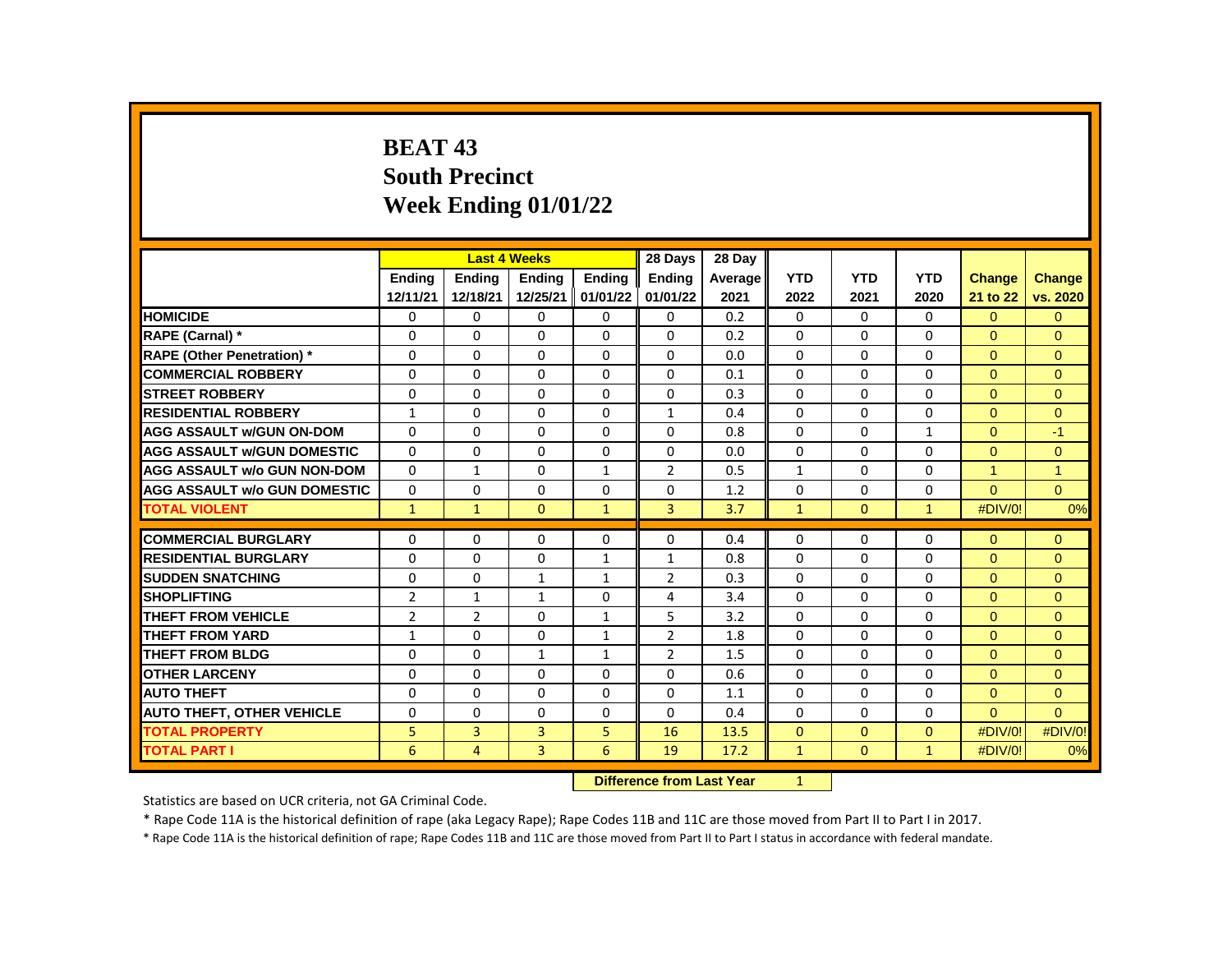# **BEAT 43 South Precinct Week Ending 01/01/22**

|                                     |                |                | <b>Last 4 Weeks</b> |               | 28 Days        | 28 Day  |              |              |              |               |                |
|-------------------------------------|----------------|----------------|---------------------|---------------|----------------|---------|--------------|--------------|--------------|---------------|----------------|
|                                     | <b>Endina</b>  | <b>Endina</b>  | <b>Endina</b>       | <b>Endina</b> | <b>Endina</b>  | Average | <b>YTD</b>   | <b>YTD</b>   | <b>YTD</b>   | <b>Change</b> | <b>Change</b>  |
|                                     | 12/11/21       | 12/18/21       | 12/25/21            | 01/01/22      | 01/01/22       | 2021    | 2022         | 2021         | 2020         | 21 to 22      | vs. 2020       |
| <b>HOMICIDE</b>                     | 0              | 0              | 0                   | 0             | $\mathbf{0}$   | 0.2     | $\mathbf{0}$ | $\mathbf{0}$ | $\mathbf{0}$ | $\Omega$      | $\mathbf{0}$   |
| RAPE (Carnal) *                     | $\Omega$       | $\Omega$       | 0                   | $\Omega$      | 0              | 0.2     | $\Omega$     | $\Omega$     | $\Omega$     | $\Omega$      | $\Omega$       |
| <b>RAPE (Other Penetration) *</b>   | $\Omega$       | $\Omega$       | $\Omega$            | $\Omega$      | $\Omega$       | 0.0     | $\Omega$     | $\Omega$     | $\Omega$     | $\Omega$      | $\Omega$       |
| <b>COMMERCIAL ROBBERY</b>           | $\Omega$       | $\Omega$       | $\Omega$            | $\Omega$      | 0              | 0.1     | $\Omega$     | $\Omega$     | $\Omega$     | $\Omega$      | $\Omega$       |
| <b>STREET ROBBERY</b>               | $\Omega$       | 0              | 0                   | 0             | 0              | 0.3     | $\Omega$     | 0            | $\Omega$     | $\Omega$      | $\Omega$       |
| <b>RESIDENTIAL ROBBERY</b>          | $\mathbf{1}$   | 0              | $\Omega$            | 0             | $\mathbf{1}$   | 0.4     | $\Omega$     | $\mathbf{0}$ | $\Omega$     | $\Omega$      | $\mathbf{0}$   |
| <b>AGG ASSAULT w/GUN ON-DOM</b>     | $\Omega$       | $\Omega$       | 0                   | $\Omega$      | 0              | 0.8     | $\Omega$     | $\Omega$     | $\mathbf{1}$ | $\Omega$      | $-1$           |
| <b>AGG ASSAULT w/GUN DOMESTIC</b>   | $\Omega$       | 0              | 0                   | $\Omega$      | 0              | 0.0     | $\Omega$     | $\mathbf{0}$ | $\Omega$     | $\Omega$      | $\Omega$       |
| <b>AGG ASSAULT w/o GUN NON-DOM</b>  | $\Omega$       | $\mathbf{1}$   | 0                   | $\mathbf{1}$  | $\overline{2}$ | 0.5     | $\mathbf{1}$ | $\Omega$     | $\Omega$     | $\mathbf{1}$  | $\overline{1}$ |
| <b>AGG ASSAULT w/o GUN DOMESTIC</b> | $\Omega$       | $\Omega$       | 0                   | 0             | 0              | 1.2     | 0            | 0            | $\Omega$     | $\Omega$      | $\Omega$       |
| <b>TOTAL VIOLENT</b>                | $\mathbf{1}$   | $\mathbf{1}$   | $\mathbf{0}$        | $\mathbf{1}$  | $\overline{3}$ | 3.7     | $\mathbf{1}$ | $\mathbf{0}$ | $\mathbf{1}$ | #DIV/0!       | 0%             |
|                                     |                |                |                     |               |                |         |              |              |              |               |                |
| <b>COMMERCIAL BURGLARY</b>          | 0              | 0              | 0                   | 0             | 0              | 0.4     | 0            | 0            | $\Omega$     | $\Omega$      | $\mathbf{0}$   |
| <b>RESIDENTIAL BURGLARY</b>         | $\Omega$       | $\Omega$       | 0                   | $\mathbf{1}$  | $\mathbf{1}$   | 0.8     | $\Omega$     | 0            | 0            | $\Omega$      | $\Omega$       |
| <b>SUDDEN SNATCHING</b>             | 0              | 0              | $\mathbf{1}$        | $\mathbf{1}$  | 2              | 0.3     | 0            | $\mathbf{0}$ | 0            | $\Omega$      | $\Omega$       |
| <b>SHOPLIFTING</b>                  | $\overline{2}$ | $\mathbf{1}$   | $\mathbf{1}$        | 0             | 4              | 3.4     | $\Omega$     | $\Omega$     | $\Omega$     | $\Omega$      | $\Omega$       |
| THEFT FROM VEHICLE                  | $\overline{2}$ | $\overline{2}$ | 0                   | $\mathbf{1}$  | 5              | 3.2     | $\Omega$     | $\mathbf{0}$ | $\Omega$     | $\Omega$      | $\Omega$       |
| <b>THEFT FROM YARD</b>              | $\mathbf{1}$   | $\Omega$       | $\Omega$            | $\mathbf{1}$  | $\overline{2}$ | 1.8     | $\Omega$     | $\Omega$     | $\Omega$     | $\Omega$      | $\Omega$       |
| <b>THEFT FROM BLDG</b>              | $\Omega$       | $\Omega$       | $\mathbf{1}$        | $\mathbf{1}$  | $\overline{2}$ | 1.5     | $\Omega$     | $\Omega$     | $\Omega$     | $\Omega$      | $\Omega$       |
| <b>OTHER LARCENY</b>                | $\Omega$       | $\Omega$       | $\Omega$            | $\Omega$      | 0              | 0.6     | $\Omega$     | $\mathbf{0}$ | $\Omega$     | $\Omega$      | $\Omega$       |
| <b>AUTO THEFT</b>                   | $\Omega$       | $\Omega$       | $\Omega$            | $\Omega$      | $\Omega$       | 1.1     | $\Omega$     | $\Omega$     | $\Omega$     | $\Omega$      | $\Omega$       |
| <b>AUTO THEFT, OTHER VEHICLE</b>    | $\Omega$       | $\Omega$       | $\Omega$            | $\Omega$      | $\Omega$       | 0.4     | $\Omega$     | $\Omega$     | $\Omega$     | $\Omega$      | $\Omega$       |
| <b>TOTAL PROPERTY</b>               | 5              | 3              | 3                   | 5             | 16             | 13.5    | $\mathbf{0}$ | $\mathbf{0}$ | $\Omega$     | #DIV/0!       | #DIV/0!        |
| <b>TOTAL PART I</b>                 | 6              | $\overline{4}$ | $\overline{3}$      | 6             | 19             | 17.2    | $\mathbf{1}$ | $\Omega$     | $\mathbf{1}$ | #DIV/0!       | 0%             |

**Difference from Last Year** 1

Statistics are based on UCR criteria, not GA Criminal Code.

\* Rape Code 11A is the historical definition of rape (aka Legacy Rape); Rape Codes 11B and 11C are those moved from Part II to Part I in 2017.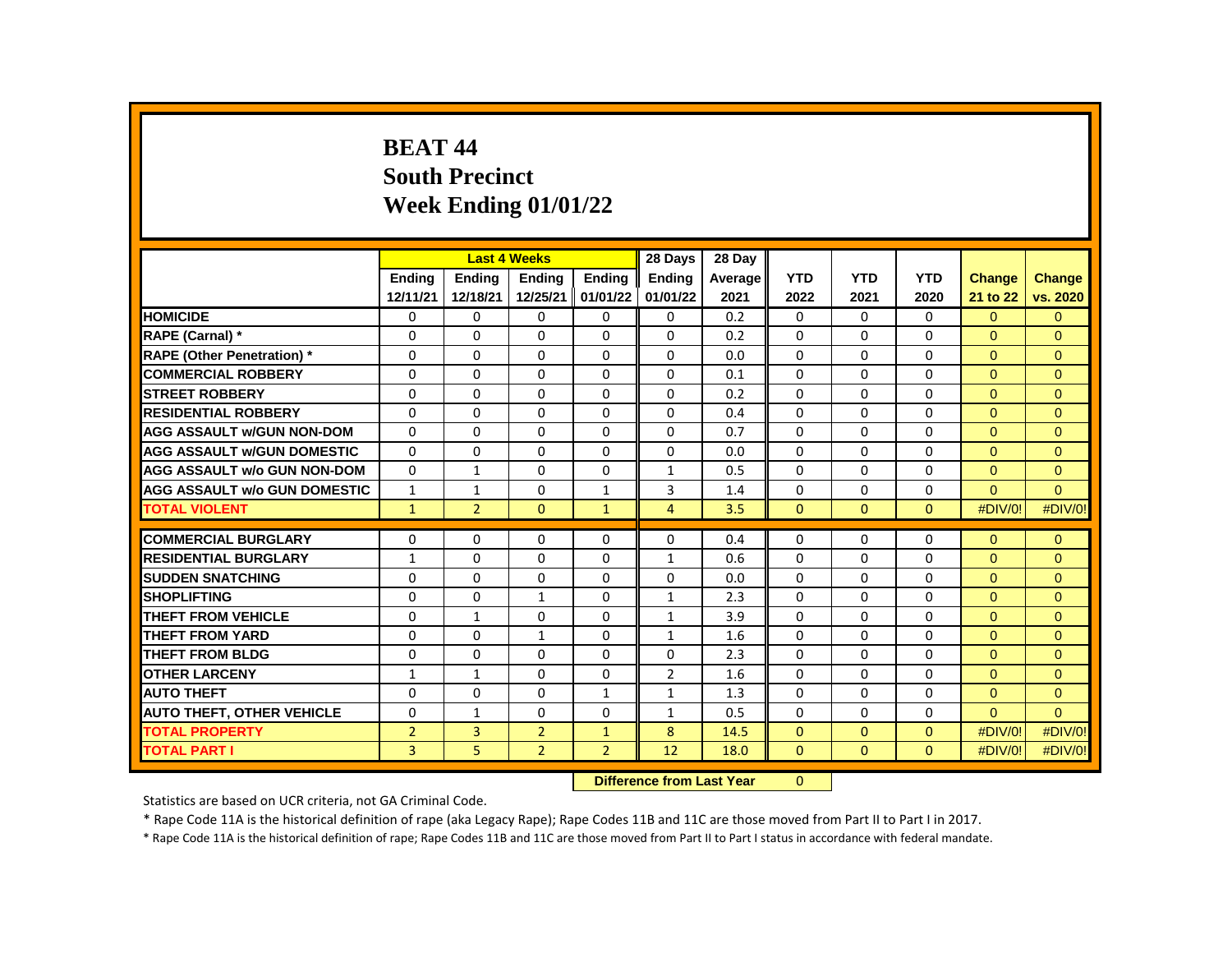# **BEAT 44 South Precinct Week Ending 01/01/22**

|                                     |                |                | <b>Last 4 Weeks</b> |                | 28 Days        | 28 Day  |              |              |              |               |               |
|-------------------------------------|----------------|----------------|---------------------|----------------|----------------|---------|--------------|--------------|--------------|---------------|---------------|
|                                     | <b>Endina</b>  | <b>Endina</b>  | <b>Endina</b>       | <b>Endina</b>  | <b>Endina</b>  | Average | <b>YTD</b>   | <b>YTD</b>   | <b>YTD</b>   | <b>Change</b> | <b>Change</b> |
|                                     | 12/11/21       | 12/18/21       | 12/25/21            | 01/01/22       | 01/01/22       | 2021    | 2022         | 2021         | 2020         | 21 to 22      | vs. 2020      |
| <b>HOMICIDE</b>                     | 0              | 0              | 0                   | 0              | 0              | 0.2     | 0            | 0            | 0            | $\Omega$      | $\mathbf{0}$  |
| RAPE (Carnal) *                     | 0              | 0              | $\Omega$            | $\Omega$       | $\Omega$       | 0.2     | $\Omega$     | $\mathbf{0}$ | $\Omega$     | $\Omega$      | $\Omega$      |
| <b>RAPE (Other Penetration) *</b>   | $\Omega$       | $\Omega$       | $\Omega$            | $\Omega$       | 0              | 0.0     | $\Omega$     | $\Omega$     | $\Omega$     | $\Omega$      | $\Omega$      |
| <b>COMMERCIAL ROBBERY</b>           | 0              | 0              | $\Omega$            | 0              | 0              | 0.1     | 0            | 0            | 0            | $\Omega$      | $\Omega$      |
| <b>STREET ROBBERY</b>               | $\Omega$       | $\Omega$       | $\Omega$            | $\Omega$       | $\Omega$       | 0.2     | $\Omega$     | $\mathbf{0}$ | $\Omega$     | $\Omega$      | $\Omega$      |
| <b>RESIDENTIAL ROBBERY</b>          | $\Omega$       | $\Omega$       | $\Omega$            | $\Omega$       | $\Omega$       | 0.4     | $\Omega$     | $\Omega$     | $\Omega$     | $\Omega$      | $\Omega$      |
| <b>AGG ASSAULT w/GUN NON-DOM</b>    | $\Omega$       | $\Omega$       | $\Omega$            | $\Omega$       | 0              | 0.7     | $\Omega$     | $\Omega$     | $\Omega$     | $\Omega$      | $\Omega$      |
| <b>AGG ASSAULT w/GUN DOMESTIC</b>   | $\Omega$       | $\Omega$       | 0                   | 0              | 0              | 0.0     | $\Omega$     | 0            | $\Omega$     | $\Omega$      | $\Omega$      |
| <b>AGG ASSAULT w/o GUN NON-DOM</b>  | $\Omega$       | $\mathbf{1}$   | $\Omega$            | $\mathbf 0$    | $\mathbf{1}$   | 0.5     | $\Omega$     | $\Omega$     | $\Omega$     | $\Omega$      | $\mathbf{0}$  |
| <b>AGG ASSAULT w/o GUN DOMESTIC</b> | $\mathbf{1}$   | $\mathbf{1}$   | 0                   | $\mathbf{1}$   | 3              | 1.4     | $\Omega$     | 0            | $\Omega$     | $\Omega$      | $\Omega$      |
| <b>TOTAL VIOLENT</b>                | $\mathbf{1}$   | $\overline{2}$ | $\mathbf{0}$        | $\mathbf{1}$   | 4              | 3.5     | $\mathbf{0}$ | $\mathbf{0}$ | $\mathbf{0}$ | #DIV/0!       | #DIV/0!       |
|                                     |                |                |                     |                |                |         |              |              |              |               |               |
| <b>COMMERCIAL BURGLARY</b>          | 0              | 0              | 0                   | 0              | 0              | 0.4     | 0            | 0            | 0            | $\Omega$      | $\mathbf{0}$  |
| <b>RESIDENTIAL BURGLARY</b>         | 1              | 0              | 0                   | 0              | $\mathbf{1}$   | 0.6     | 0            | 0            | 0            | $\Omega$      | $\mathbf{0}$  |
| <b>SUDDEN SNATCHING</b>             | $\Omega$       | 0              | $\Omega$            | 0              | 0              | 0.0     | $\Omega$     | $\Omega$     | $\Omega$     | $\Omega$      | $\mathbf{0}$  |
| <b>SHOPLIFTING</b>                  | $\Omega$       | 0              | $\mathbf{1}$        | 0              | $\mathbf{1}$   | 2.3     | $\Omega$     | 0            | $\Omega$     | $\Omega$      | $\Omega$      |
| <b>THEFT FROM VEHICLE</b>           | $\Omega$       | $\mathbf{1}$   | $\Omega$            | $\Omega$       | $\mathbf{1}$   | 3.9     | $\Omega$     | $\mathbf{0}$ | 0            | $\Omega$      | $\Omega$      |
| <b>THEFT FROM YARD</b>              | 0              | 0              | $\mathbf{1}$        | 0              | $\mathbf{1}$   | 1.6     | 0            | $\mathbf{0}$ | 0            | $\Omega$      | $\mathbf{0}$  |
| <b>THEFT FROM BLDG</b>              | $\Omega$       | $\Omega$       | $\Omega$            | 0              | $\Omega$       | 2.3     | $\Omega$     | $\Omega$     | $\Omega$     | $\Omega$      | $\Omega$      |
| <b>OTHER LARCENY</b>                | $\mathbf{1}$   | $\mathbf{1}$   | $\Omega$            | $\Omega$       | $\overline{2}$ | 1.6     | 0            | $\mathbf{0}$ | 0            | $\Omega$      | $\Omega$      |
| <b>AUTO THEFT</b>                   | $\Omega$       | $\Omega$       | $\Omega$            | $\mathbf{1}$   | $\mathbf{1}$   | 1.3     | $\Omega$     | $\Omega$     | $\Omega$     | $\Omega$      | $\Omega$      |
| <b>AUTO THEFT, OTHER VEHICLE</b>    | $\Omega$       | $\mathbf{1}$   | 0                   | 0              | $\mathbf{1}$   | 0.5     | $\Omega$     | 0            | $\Omega$     | $\Omega$      | $\Omega$      |
| <b>TOTAL PROPERTY</b>               | $\overline{2}$ | 3              | $\overline{2}$      | $\mathbf{1}$   | 8              | 14.5    | $\Omega$     | $\Omega$     | $\Omega$     | #DIV/0!       | #DIV/0!       |
| <b>TOTAL PART I</b>                 | 3              | 5              | $\overline{2}$      | $\overline{2}$ | 12             | 18.0    | $\mathbf{0}$ | $\mathbf{0}$ | $\Omega$     | #DIV/0!       | #DIV/0!       |
|                                     |                |                |                     |                |                |         |              |              |              |               |               |

**Difference from Last Year** 0

Statistics are based on UCR criteria, not GA Criminal Code.

\* Rape Code 11A is the historical definition of rape (aka Legacy Rape); Rape Codes 11B and 11C are those moved from Part II to Part I in 2017.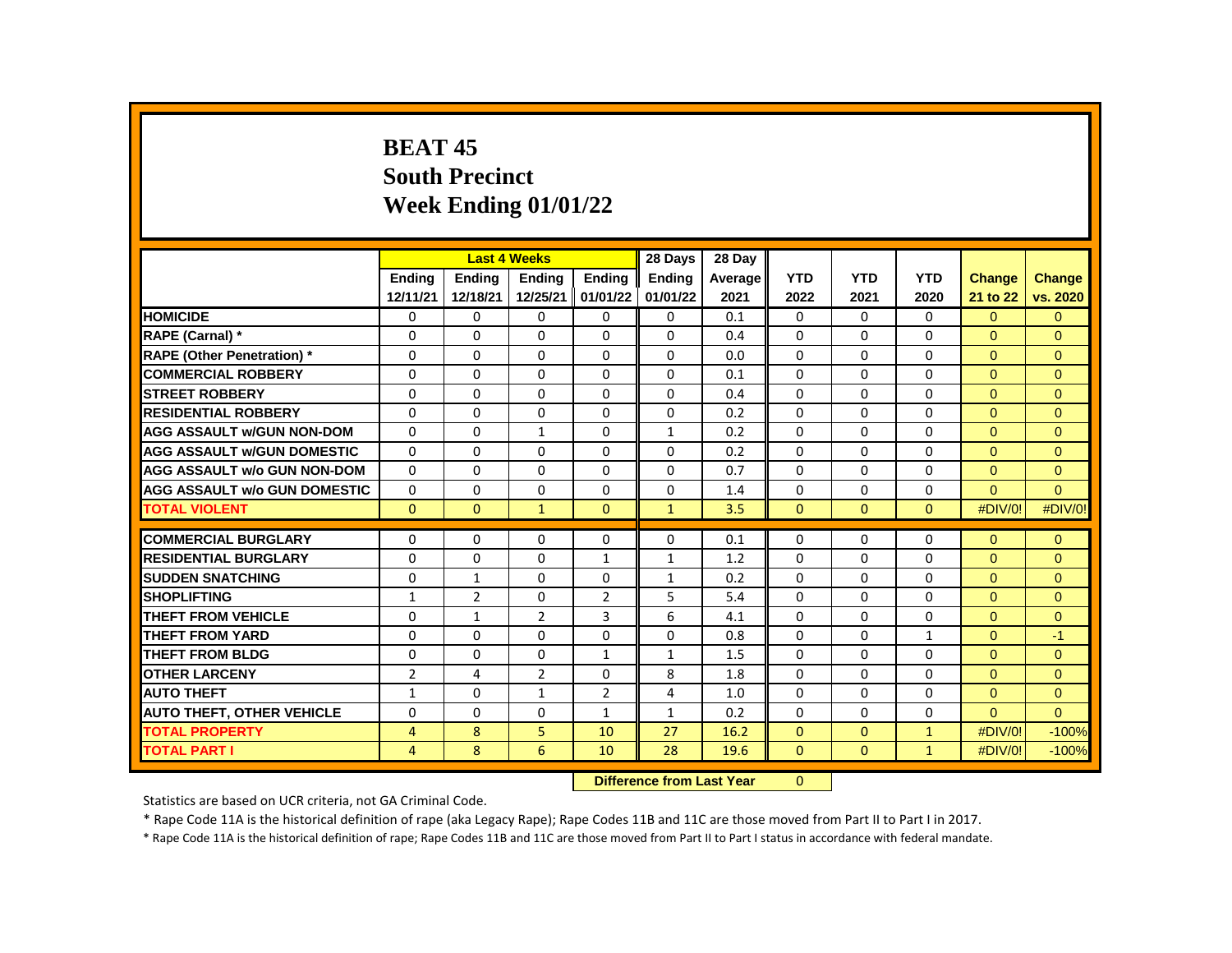# **BEAT 45 South Precinct Week Ending 01/01/22**

|                                     |                |                | <b>Last 4 Weeks</b> |                | 28 Days       | 28 Day  |              |              |              |                |               |
|-------------------------------------|----------------|----------------|---------------------|----------------|---------------|---------|--------------|--------------|--------------|----------------|---------------|
|                                     | <b>Endina</b>  | <b>Endina</b>  | Ending              | <b>Endina</b>  | <b>Ending</b> | Average | <b>YTD</b>   | <b>YTD</b>   | <b>YTD</b>   | <b>Change</b>  | <b>Change</b> |
|                                     | 12/11/21       | 12/18/21       | 12/25/21            | 01/01/22       | 01/01/22      | 2021    | 2022         | 2021         | 2020         | 21 to 22       | vs. 2020      |
| <b>HOMICIDE</b>                     | 0              | 0              | 0                   | 0              | $\mathbf{0}$  | 0.1     | 0            | $\mathbf{0}$ | $\mathbf{0}$ | $\overline{0}$ | $\mathbf{0}$  |
| RAPE (Carnal) *                     | $\Omega$       | $\Omega$       | $\Omega$            | 0              | $\Omega$      | 0.4     | $\Omega$     | 0            | $\Omega$     | $\Omega$       | $\Omega$      |
| <b>RAPE (Other Penetration) *</b>   | $\Omega$       | $\Omega$       | $\Omega$            | $\Omega$       | $\Omega$      | 0.0     | $\Omega$     | $\Omega$     | $\Omega$     | $\Omega$       | $\Omega$      |
| <b>COMMERCIAL ROBBERY</b>           | $\Omega$       | $\Omega$       | 0                   | $\Omega$       | $\Omega$      | 0.1     | $\Omega$     | $\Omega$     | $\Omega$     | $\Omega$       | $\Omega$      |
| <b>STREET ROBBERY</b>               | $\Omega$       | $\Omega$       | 0                   | $\Omega$       | 0             | 0.4     | $\Omega$     | $\Omega$     | $\Omega$     | $\Omega$       | $\Omega$      |
| <b>RESIDENTIAL ROBBERY</b>          | $\Omega$       | 0              | $\Omega$            | 0              | $\Omega$      | 0.2     | $\Omega$     | $\Omega$     | $\Omega$     | $\Omega$       | $\mathbf{0}$  |
| <b>AGG ASSAULT w/GUN NON-DOM</b>    | $\Omega$       | $\Omega$       | $\mathbf{1}$        | $\Omega$       | $\mathbf{1}$  | 0.2     | $\Omega$     | $\Omega$     | $\Omega$     | $\Omega$       | $\Omega$      |
| <b>AGG ASSAULT W/GUN DOMESTIC</b>   | $\Omega$       | 0              | 0                   | $\Omega$       | 0             | 0.2     | 0            | $\mathbf{0}$ | $\Omega$     | $\Omega$       | $\Omega$      |
| <b>AGG ASSAULT w/o GUN NON-DOM</b>  | $\Omega$       | 0              | $\Omega$            | 0              | 0             | 0.7     | $\Omega$     | $\Omega$     | $\Omega$     | $\Omega$       | $\Omega$      |
| <b>AGG ASSAULT w/o GUN DOMESTIC</b> | $\Omega$       | $\Omega$       | 0                   | $\Omega$       | 0             | 1.4     | $\Omega$     | $\Omega$     | $\Omega$     | $\Omega$       | $\Omega$      |
| <b>TOTAL VIOLENT</b>                | $\Omega$       | $\mathbf{0}$   | 1                   | $\Omega$       | $\mathbf{1}$  | 3.5     | $\Omega$     | $\mathbf{0}$ | $\Omega$     | #DIV/0!        | #DIV/0!       |
|                                     |                |                |                     |                |               |         |              |              |              |                |               |
| <b>COMMERCIAL BURGLARY</b>          | $\Omega$       | 0              | $\Omega$            | 0              | $\Omega$      | 0.1     | $\Omega$     | 0            | $\Omega$     | $\Omega$       | $\mathbf{0}$  |
| <b>RESIDENTIAL BURGLARY</b>         | $\Omega$       | $\Omega$       | 0                   | $\mathbf{1}$   | $\mathbf{1}$  | 1.2     | $\Omega$     | $\mathbf{0}$ | $\Omega$     | $\Omega$       | $\Omega$      |
| <b>SUDDEN SNATCHING</b>             | 0              | $\mathbf{1}$   | $\Omega$            | 0              | $\mathbf{1}$  | 0.2     | $\Omega$     | $\Omega$     | $\Omega$     | $\Omega$       | $\Omega$      |
| <b>SHOPLIFTING</b>                  | $\mathbf{1}$   | $\overline{2}$ | $\Omega$            | $\overline{2}$ | 5             | 5.4     | $\Omega$     | $\Omega$     | $\Omega$     | $\Omega$       | $\Omega$      |
| THEFT FROM VEHICLE                  | 0              | $\mathbf{1}$   | $\overline{2}$      | 3              | 6             | 4.1     | 0            | 0            | 0            | $\Omega$       | $\mathbf{0}$  |
| <b>THEFT FROM YARD</b>              | 0              | 0              | $\Omega$            | $\Omega$       | $\Omega$      | 0.8     | $\Omega$     | $\Omega$     | $\mathbf{1}$ | $\Omega$       | $-1$          |
| <b>THEFT FROM BLDG</b>              | $\Omega$       | $\Omega$       | $\Omega$            | $\mathbf{1}$   | $\mathbf{1}$  | 1.5     | $\Omega$     | $\Omega$     | $\Omega$     | $\Omega$       | $\Omega$      |
| <b>OTHER LARCENY</b>                | $\overline{2}$ | 4              | $\overline{2}$      | 0              | 8             | 1.8     | 0            | $\mathbf{0}$ | 0            | $\Omega$       | $\Omega$      |
| <b>AUTO THEFT</b>                   | $\mathbf{1}$   | $\Omega$       | $\mathbf{1}$        | $\overline{2}$ | 4             | 1.0     | $\Omega$     | $\Omega$     | $\Omega$     | $\Omega$       | $\Omega$      |
| <b>AUTO THEFT, OTHER VEHICLE</b>    | $\Omega$       | $\Omega$       | $\mathbf{0}$        | $\mathbf{1}$   | $\mathbf{1}$  | 0.2     | $\Omega$     | $\Omega$     | $\Omega$     | $\Omega$       | $\Omega$      |
| <b>TOTAL PROPERTY</b>               | 4              | 8              | 5                   | 10             | 27            | 16.2    | $\mathbf{0}$ | $\mathbf{0}$ | $\mathbf{1}$ | #DIV/0!        | $-100%$       |
| <b>TOTAL PART I</b>                 | 4              | 8              | 6                   | 10             | 28            | 19.6    | $\mathbf{0}$ | $\Omega$     | $\mathbf{1}$ | #DIV/0!        | $-100%$       |

**Difference from Last Year** 0

Statistics are based on UCR criteria, not GA Criminal Code.

\* Rape Code 11A is the historical definition of rape (aka Legacy Rape); Rape Codes 11B and 11C are those moved from Part II to Part I in 2017.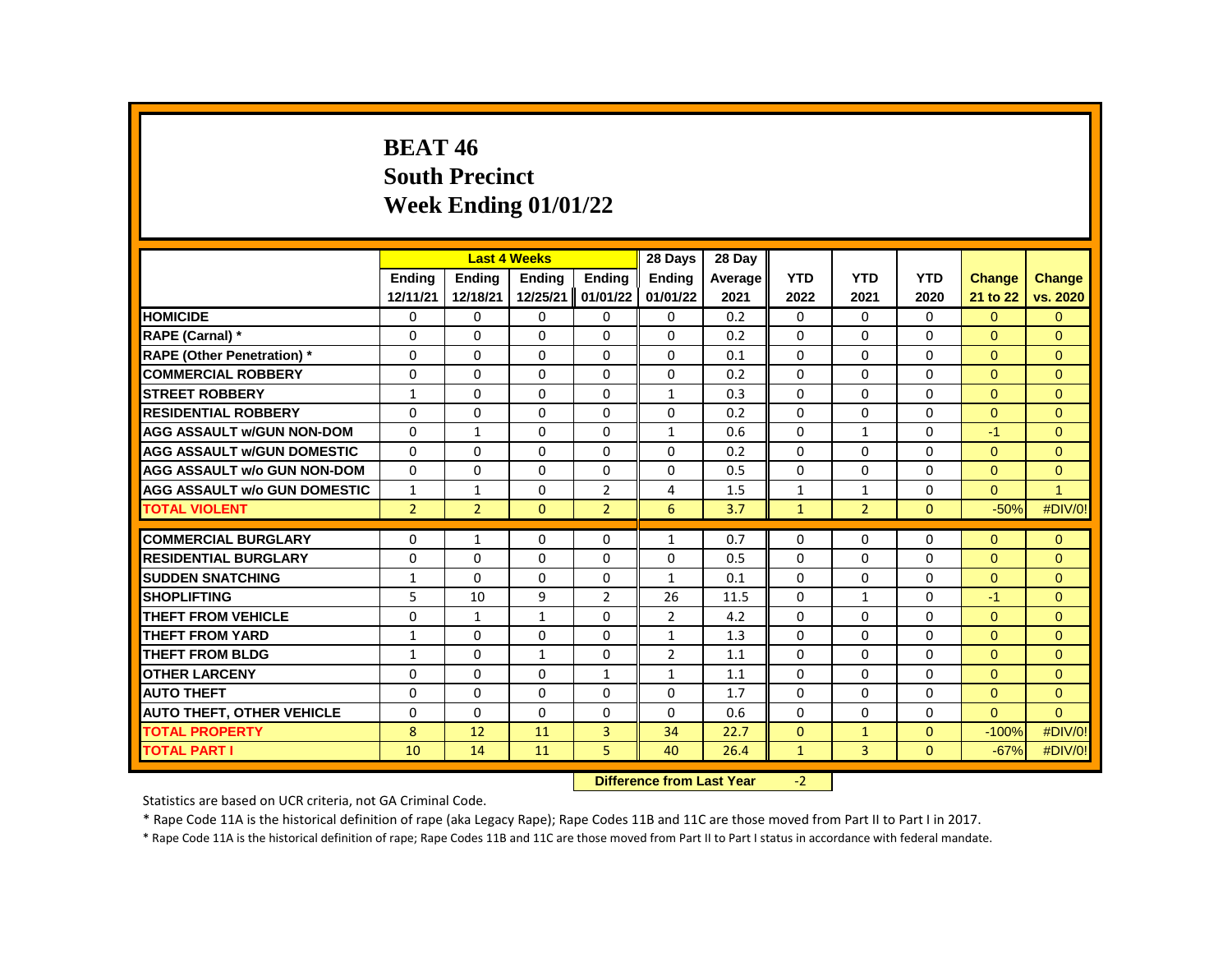# **BEAT 46 South Precinct Week Ending 01/01/22**

|                                     |                |                | <b>Last 4 Weeks</b> |                | 28 Days                           | 28 Day  |              |                |              |               |                |
|-------------------------------------|----------------|----------------|---------------------|----------------|-----------------------------------|---------|--------------|----------------|--------------|---------------|----------------|
|                                     | <b>Endina</b>  | Ending         | Ending              | Ending         | Ending                            | Average | <b>YTD</b>   | <b>YTD</b>     | <b>YTD</b>   | <b>Change</b> | <b>Change</b>  |
|                                     | 12/11/21       | 12/18/21       | 12/25/21            | 01/01/22       | 01/01/22                          | 2021    | 2022         | 2021           | 2020         | 21 to 22      | vs. 2020       |
| <b>HOMICIDE</b>                     | 0              | 0              | 0                   | 0              | $\mathbf{0}$                      | 0.2     | 0            | 0              | 0            | $\Omega$      | $\Omega$       |
| RAPE (Carnal) *                     | $\Omega$       | $\Omega$       | $\Omega$            | $\Omega$       | $\Omega$                          | 0.2     | $\Omega$     | $\Omega$       | $\Omega$     | $\Omega$      | $\Omega$       |
| <b>RAPE (Other Penetration)</b> *   | $\Omega$       | $\Omega$       | $\Omega$            | $\Omega$       | 0                                 | 0.1     | $\Omega$     | $\Omega$       | $\Omega$     | $\Omega$      | $\Omega$       |
| <b>COMMERCIAL ROBBERY</b>           | $\Omega$       | $\Omega$       | $\Omega$            | $\Omega$       | 0                                 | 0.2     | $\Omega$     | 0              | $\Omega$     | $\Omega$      | $\mathbf{0}$   |
| <b>STREET ROBBERY</b>               | $\mathbf{1}$   | 0              | $\Omega$            | 0              | $\mathbf{1}$                      | 0.3     | $\Omega$     | $\mathbf{0}$   | 0            | $\Omega$      | $\Omega$       |
| <b>RESIDENTIAL ROBBERY</b>          | $\Omega$       | $\Omega$       | $\Omega$            | $\Omega$       | $\Omega$                          | 0.2     | $\Omega$     | $\Omega$       | $\Omega$     | $\Omega$      | $\mathbf{0}$   |
| <b>AGG ASSAULT w/GUN NON-DOM</b>    | $\Omega$       | $\mathbf{1}$   | $\Omega$            | 0              | $\mathbf{1}$                      | 0.6     | $\Omega$     | $\mathbf{1}$   | 0            | $-1$          | $\mathbf{0}$   |
| <b>AGG ASSAULT w/GUN DOMESTIC</b>   | $\Omega$       | $\Omega$       | $\Omega$            | $\Omega$       | 0                                 | 0.2     | $\Omega$     | $\Omega$       | $\Omega$     | $\Omega$      | $\Omega$       |
| <b>AGG ASSAULT w/o GUN NON-DOM</b>  | $\Omega$       | $\Omega$       | $\Omega$            | $\Omega$       | $\Omega$                          | 0.5     | $\Omega$     | $\Omega$       | $\Omega$     | $\Omega$      | $\mathbf{0}$   |
| <b>AGG ASSAULT w/o GUN DOMESTIC</b> | $\mathbf{1}$   | $\mathbf{1}$   | $\Omega$            | $\overline{2}$ | 4                                 | 1.5     | $\mathbf{1}$ | $\mathbf{1}$   | $\Omega$     | $\Omega$      | $\overline{1}$ |
| <b>TOTAL VIOLENT</b>                | $\overline{2}$ | $\overline{2}$ | $\Omega$            | $\overline{2}$ | 6                                 | 3.7     | $\mathbf{1}$ | $\overline{2}$ | $\Omega$     | $-50%$        | #DIV/0!        |
|                                     |                |                |                     |                |                                   |         |              |                |              |               |                |
| <b>COMMERCIAL BURGLARY</b>          | 0              | $\mathbf{1}$   | 0                   | 0              | $\mathbf{1}$                      | 0.7     | 0            | 0              | 0            | $\Omega$      | $\Omega$       |
| <b>RESIDENTIAL BURGLARY</b>         | $\Omega$       | 0              | $\Omega$            | 0              | 0                                 | 0.5     | $\Omega$     | 0              | 0            | $\Omega$      | $\mathbf{0}$   |
| <b>SUDDEN SNATCHING</b>             | $\mathbf{1}$   | $\Omega$       | $\Omega$            | $\Omega$       | $\mathbf{1}$                      | 0.1     | $\Omega$     | $\Omega$       | $\Omega$     | $\Omega$      | $\Omega$       |
| <b>SHOPLIFTING</b>                  | 5              | 10             | 9                   | $\overline{2}$ | 26                                | 11.5    | 0            | $\mathbf{1}$   | 0            | $-1$          | $\mathbf{0}$   |
| THEFT FROM VEHICLE                  | 0              | 1              | $\mathbf{1}$        | 0              | $\overline{2}$                    | 4.2     | $\Omega$     | $\mathbf{0}$   | 0            | $\Omega$      | $\mathbf{0}$   |
| <b>THEFT FROM YARD</b>              | $\mathbf{1}$   | $\Omega$       | $\Omega$            | $\Omega$       | $\mathbf{1}$                      | 1.3     | $\Omega$     | $\Omega$       | $\Omega$     | $\Omega$      | $\Omega$       |
| <b>THEFT FROM BLDG</b>              | $\mathbf{1}$   | $\Omega$       | $\mathbf{1}$        | $\Omega$       | $\overline{2}$                    | 1.1     | $\Omega$     | 0              | $\Omega$     | $\Omega$      | $\Omega$       |
| <b>OTHER LARCENY</b>                | 0              | 0              | $\Omega$            | $\mathbf{1}$   | $\mathbf{1}$                      | 1.1     | $\Omega$     | $\mathbf{0}$   | $\Omega$     | $\Omega$      | $\Omega$       |
| <b>AUTO THEFT</b>                   | $\Omega$       | $\Omega$       | $\Omega$            | $\Omega$       | $\Omega$                          | 1.7     | $\Omega$     | $\Omega$       | $\Omega$     | $\Omega$      | $\Omega$       |
| <b>AUTO THEFT, OTHER VEHICLE</b>    | 0              | 0              | $\Omega$            | 0              | 0                                 | 0.6     | 0            | 0              | 0            | $\Omega$      | $\Omega$       |
| <b>TOTAL PROPERTY</b>               | 8              | 12             | 11                  | 3              | 34                                | 22.7    | $\Omega$     | $\mathbf{1}$   | $\Omega$     | $-100%$       | #DIV/0!        |
| <b>TOTAL PART I</b>                 | 10             | 14             | 11                  | 5              | 40                                | 26.4    | $\mathbf{1}$ | 3              | $\mathbf{0}$ | $-67%$        | #DIV/0!        |
|                                     |                |                |                     |                | The company of the control with a |         | $\sim$       |                |              |               |                |

**Difference from Last Year** -2

Statistics are based on UCR criteria, not GA Criminal Code.

\* Rape Code 11A is the historical definition of rape (aka Legacy Rape); Rape Codes 11B and 11C are those moved from Part II to Part I in 2017.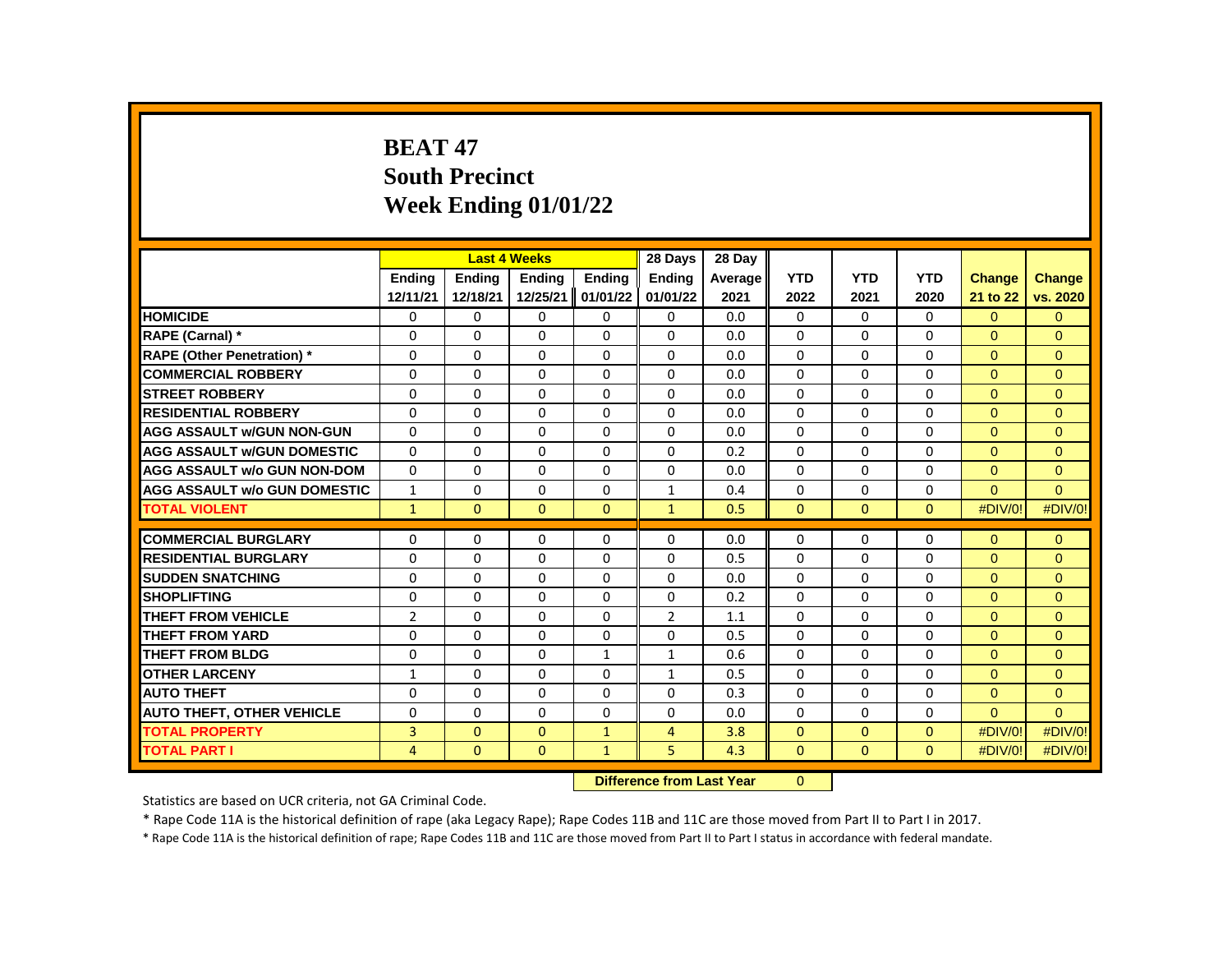# **BEAT 47 South Precinct Week Ending 01/01/22**

|                                     |               | <b>Last 4 Weeks</b> |               |               | 28 Days        | 28 Day  |              |              |              |               |                |
|-------------------------------------|---------------|---------------------|---------------|---------------|----------------|---------|--------------|--------------|--------------|---------------|----------------|
|                                     | <b>Endina</b> | <b>Endina</b>       | <b>Endina</b> | <b>Endina</b> | <b>Ending</b>  | Average | <b>YTD</b>   | <b>YTD</b>   | <b>YTD</b>   | <b>Change</b> | <b>Change</b>  |
|                                     | 12/11/21      | 12/18/21            | 12/25/21      | 01/01/22      | 01/01/22       | 2021    | 2022         | 2021         | 2020         | 21 to 22      | vs. 2020       |
| <b>HOMICIDE</b>                     | 0             | 0                   | 0             | 0             | 0              | 0.0     | 0            | $\Omega$     | $\mathbf{0}$ | $\Omega$      | $\mathbf{0}$   |
| RAPE (Carnal) *                     | $\Omega$      | $\Omega$            | $\Omega$      | $\Omega$      | $\Omega$       | 0.0     | $\Omega$     | $\Omega$     | $\Omega$     | $\Omega$      | $\Omega$       |
| <b>RAPE (Other Penetration) *</b>   | $\Omega$      | $\Omega$            | $\Omega$      | $\Omega$      | $\Omega$       | 0.0     | $\Omega$     | $\Omega$     | $\Omega$     | $\Omega$      | $\mathbf{0}$   |
| <b>COMMERCIAL ROBBERY</b>           | $\Omega$      | $\Omega$            | $\Omega$      | $\Omega$      | $\Omega$       | 0.0     | $\Omega$     | $\Omega$     | $\Omega$     | $\Omega$      | $\Omega$       |
| <b>STREET ROBBERY</b>               | $\Omega$      | $\Omega$            | $\Omega$      | $\Omega$      | $\Omega$       | 0.0     | $\Omega$     | 0            | $\Omega$     | $\Omega$      | $\Omega$       |
| <b>RESIDENTIAL ROBBERY</b>          | $\Omega$      | $\Omega$            | $\Omega$      | $\Omega$      | $\Omega$       | 0.0     | $\Omega$     | $\Omega$     | $\Omega$     | $\Omega$      | $\mathbf{0}$   |
| AGG ASSAULT W/GUN NON-GUN           | $\Omega$      | $\Omega$            | $\Omega$      | $\Omega$      | $\Omega$       | 0.0     | $\Omega$     | $\Omega$     | $\Omega$     | $\Omega$      | $\Omega$       |
| <b>AGG ASSAULT W/GUN DOMESTIC</b>   | 0             | 0                   | 0             | $\Omega$      | 0              | 0.2     | 0            | 0            | 0            | $\Omega$      | $\Omega$       |
| <b>AGG ASSAULT w/o GUN NON-DOM</b>  | $\Omega$      | $\Omega$            | $\Omega$      | $\Omega$      | $\Omega$       | 0.0     | $\Omega$     | $\Omega$     | $\Omega$     | $\Omega$      | $\mathbf{0}$   |
| <b>AGG ASSAULT w/o GUN DOMESTIC</b> | $\mathbf{1}$  | 0                   | $\Omega$      | $\Omega$      | $\mathbf{1}$   | 0.4     | $\Omega$     | $\Omega$     | $\Omega$     | $\Omega$      | $\Omega$       |
| <b>TOTAL VIOLENT</b>                | $\mathbf{1}$  | $\Omega$            | $\Omega$      | $\Omega$      | $\mathbf{1}$   | 0.5     | $\Omega$     | $\mathbf{0}$ | $\Omega$     | #DIV/0!       | #DIV/0!        |
|                                     |               |                     |               |               |                |         |              |              |              |               |                |
| <b>COMMERCIAL BURGLARY</b>          | $\Omega$      | $\Omega$            | $\Omega$      | 0             | $\Omega$       | 0.0     | $\Omega$     | $\Omega$     | $\Omega$     | $\Omega$      | $\Omega$       |
| <b>RESIDENTIAL BURGLARY</b>         | $\Omega$      | 0                   | $\Omega$      | 0             | 0              | 0.5     | $\Omega$     | 0            | $\Omega$     | $\Omega$      | $\Omega$       |
| <b>SUDDEN SNATCHING</b>             | $\Omega$      | $\Omega$            | $\Omega$      | $\Omega$      | $\Omega$       | 0.0     | $\Omega$     | 0            | $\Omega$     | $\Omega$      | $\overline{0}$ |
| <b>SHOPLIFTING</b>                  | $\Omega$      | $\Omega$            | $\Omega$      | $\Omega$      | $\Omega$       | 0.2     | $\Omega$     | $\Omega$     | $\Omega$     | $\Omega$      | $\Omega$       |
| THEFT FROM VEHICLE                  | 2             | 0                   | 0             | 0             | $\overline{2}$ | 1.1     | $\Omega$     | 0            | $\Omega$     | $\mathbf{0}$  | $\mathbf{0}$   |
| <b>THEFT FROM YARD</b>              | $\Omega$      | $\Omega$            | $\Omega$      | $\Omega$      | $\Omega$       | 0.5     | $\Omega$     | $\Omega$     | $\Omega$     | $\Omega$      | $\Omega$       |
| <b>THEFT FROM BLDG</b>              | $\Omega$      | $\Omega$            | $\Omega$      | $\mathbf{1}$  | $\mathbf{1}$   | 0.6     | $\Omega$     | $\Omega$     | $\Omega$     | $\Omega$      | $\Omega$       |
| <b>OTHER LARCENY</b>                | $\mathbf{1}$  | 0                   | 0             | 0             | 1              | 0.5     | $\Omega$     | 0            | $\Omega$     | $\Omega$      | $\Omega$       |
| <b>AUTO THEFT</b>                   | $\Omega$      | 0                   | $\Omega$      | $\Omega$      | $\Omega$       | 0.3     | $\Omega$     | $\Omega$     | $\Omega$     | $\Omega$      | $\Omega$       |
| <b>AUTO THEFT, OTHER VEHICLE</b>    | $\Omega$      | $\Omega$            | $\Omega$      | $\Omega$      | $\Omega$       | 0.0     | $\Omega$     | $\Omega$     | $\Omega$     | $\Omega$      | $\Omega$       |
| <b>TOTAL PROPERTY</b>               | 3             | $\mathbf{0}$        | $\mathbf{0}$  | $\mathbf{1}$  | 4              | 3.8     | $\mathbf{0}$ | $\mathbf{0}$ | $\mathbf{0}$ | #DIV/0!       | #DIV/0!        |
| <b>TOTAL PART I</b>                 | 4             | $\mathbf{0}$        | $\mathbf{0}$  | $\mathbf{1}$  | 5              | 4.3     | $\mathbf{0}$ | $\mathbf{0}$ | $\mathbf{0}$ | #DIV/0!       | #DIV/0!        |

**Difference from Last Year** 0

Statistics are based on UCR criteria, not GA Criminal Code.

\* Rape Code 11A is the historical definition of rape (aka Legacy Rape); Rape Codes 11B and 11C are those moved from Part II to Part I in 2017.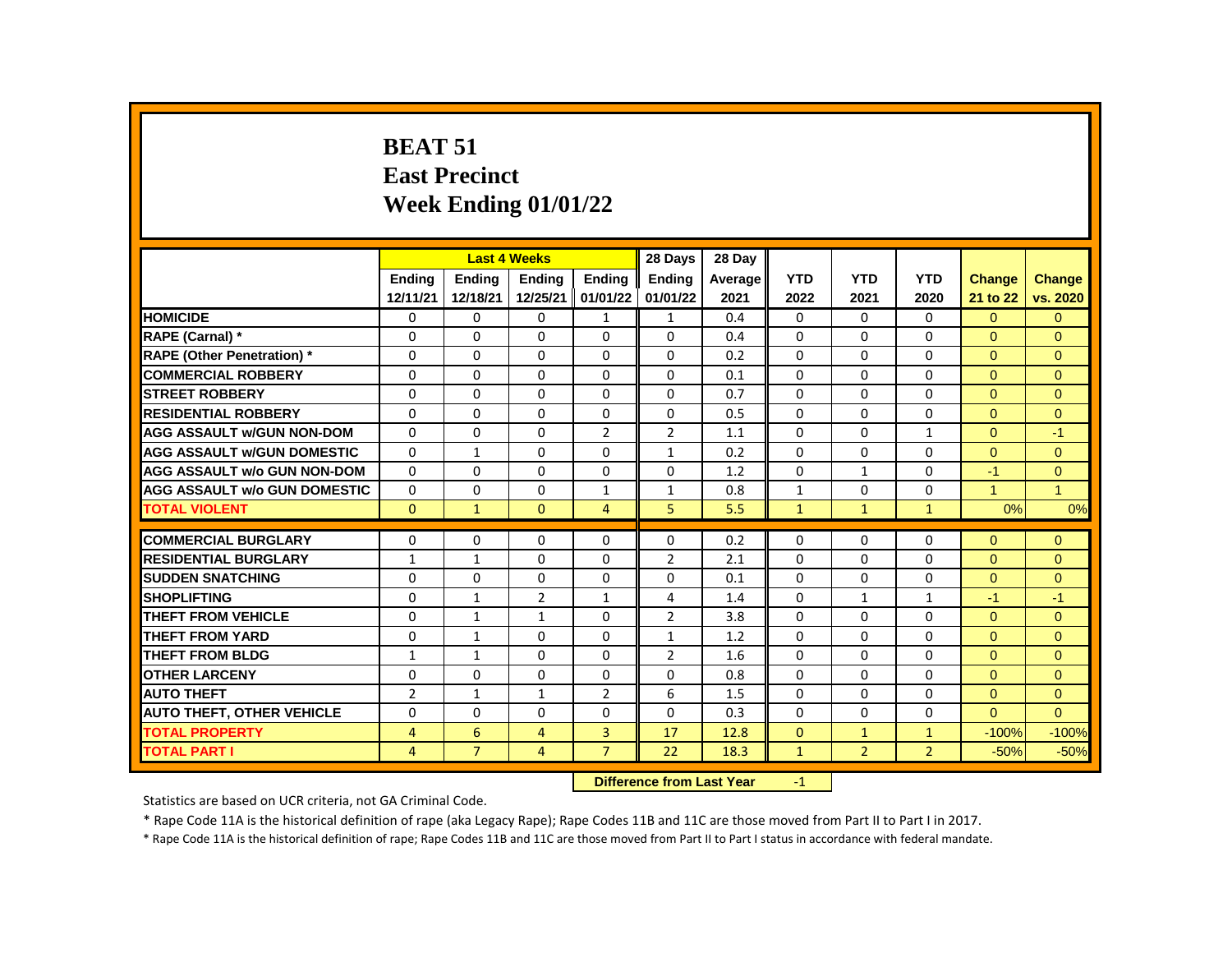#### **BEAT 51 East Precinct Week Ending 01/01/22**

|                                     |                |                | <b>Last 4 Weeks</b> |                                             | 28 Days        | 28 Day  |              |                |                |                |                |
|-------------------------------------|----------------|----------------|---------------------|---------------------------------------------|----------------|---------|--------------|----------------|----------------|----------------|----------------|
|                                     | Ending         | Ending         | Ending              | Ending                                      | <b>Ending</b>  | Average | <b>YTD</b>   | <b>YTD</b>     | <b>YTD</b>     | Change         | <b>Change</b>  |
|                                     | 12/11/21       | 12/18/21       | 12/25/21            | 01/01/22                                    | 01/01/22       | 2021    | 2022         | 2021           | 2020           | 21 to 22       | vs. 2020       |
| <b>HOMICIDE</b>                     | 0              | 0              | 0                   | $\mathbf{1}$                                | $\mathbf{1}$   | 0.4     | $\mathbf{0}$ | $\mathbf{0}$   | 0              | $\Omega$       | $\overline{0}$ |
| RAPE (Carnal) *                     | 0              | 0              | 0                   | $\Omega$                                    | $\Omega$       | 0.4     | $\Omega$     | 0              | 0              | $\Omega$       | $\Omega$       |
| <b>RAPE (Other Penetration) *</b>   | $\Omega$       | $\Omega$       | $\Omega$            | $\Omega$                                    | $\Omega$       | 0.2     | $\Omega$     | $\Omega$       | $\Omega$       | $\Omega$       | $\Omega$       |
| <b>COMMERCIAL ROBBERY</b>           | $\Omega$       | 0              | $\Omega$            | $\mathbf 0$                                 | $\Omega$       | 0.1     | $\Omega$     | $\Omega$       | $\Omega$       | $\Omega$       | $\Omega$       |
| <b>STREET ROBBERY</b>               | $\Omega$       | $\Omega$       | $\Omega$            | $\Omega$                                    | $\Omega$       | 0.7     | $\Omega$     | $\Omega$       | $\Omega$       | $\Omega$       | $\Omega$       |
| <b>RESIDENTIAL ROBBERY</b>          | $\Omega$       | $\Omega$       | $\Omega$            | $\Omega$                                    | $\Omega$       | 0.5     | $\Omega$     | $\Omega$       | $\mathbf 0$    | $\Omega$       | $\overline{0}$ |
| <b>AGG ASSAULT w/GUN NON-DOM</b>    | 0              | 0              | 0                   | $\overline{2}$                              | $\overline{2}$ | 1.1     | $\mathbf 0$  | 0              | $\mathbf{1}$   | $\mathbf{0}$   | $-1$           |
| <b>AGG ASSAULT w/GUN DOMESTIC</b>   | $\Omega$       | $\mathbf{1}$   | 0                   | $\Omega$                                    | $\mathbf{1}$   | 0.2     | $\Omega$     | $\Omega$       | 0              | $\Omega$       | $\Omega$       |
| <b>AGG ASSAULT w/o GUN NON-DOM</b>  | $\Omega$       | $\Omega$       | $\Omega$            | $\Omega$                                    | $\Omega$       | 1.2     | $\Omega$     | $\mathbf{1}$   | $\Omega$       | $-1$           | $\overline{0}$ |
| <b>AGG ASSAULT w/o GUN DOMESTIC</b> | $\Omega$       | $\Omega$       | $\Omega$            | $\mathbf{1}$                                | $\mathbf{1}$   | 0.8     | $\mathbf{1}$ | $\mathbf{0}$   | $\Omega$       | $\mathbf{1}$   | $\mathbf{1}$   |
| <b>TOTAL VIOLENT</b>                | $\Omega$       | $\mathbf{1}$   | $\Omega$            | $\overline{4}$                              | 5              | 5.5     | $\mathbf{1}$ | $\mathbf{1}$   | $\mathbf{1}$   | 0%             | 0%             |
|                                     |                |                |                     |                                             |                |         |              |                |                |                |                |
| <b>COMMERCIAL BURGLARY</b>          | 0              | 0              | 0                   | 0                                           | 0              | 0.2     | 0            | 0              | 0              | $\Omega$       | $\Omega$       |
| <b>RESIDENTIAL BURGLARY</b>         | $\mathbf{1}$   | $\mathbf{1}$   | 0                   | 0                                           | $\overline{2}$ | 2.1     | $\mathbf 0$  | 0              | 0              | $\mathbf{0}$   | $\overline{0}$ |
| <b>SUDDEN SNATCHING</b>             | $\Omega$       | $\Omega$       | $\Omega$            | $\Omega$                                    | $\Omega$       | 0.1     | $\Omega$     | $\Omega$       | $\Omega$       | $\Omega$       | $\overline{0}$ |
| <b>SHOPLIFTING</b>                  | $\Omega$       | $\mathbf{1}$   | $\overline{2}$      | $\mathbf{1}$                                | 4              | 1.4     | $\Omega$     | $\mathbf{1}$   | 1              | $-1$           | $-1$           |
| <b>THEFT FROM VEHICLE</b>           | 0              | $\mathbf{1}$   | 1                   | 0                                           | $\overline{2}$ | 3.8     | 0            | 0              | 0              | $\overline{0}$ | $\overline{0}$ |
| <b>THEFT FROM YARD</b>              | $\Omega$       | $\mathbf{1}$   | $\Omega$            | $\Omega$                                    | $\mathbf{1}$   | 1.2     | $\Omega$     | $\Omega$       | $\Omega$       | $\Omega$       | $\Omega$       |
| <b>THEFT FROM BLDG</b>              | 1              | $\mathbf{1}$   | $\Omega$            | $\Omega$                                    | $\overline{2}$ | 1.6     | $\Omega$     | $\Omega$       | 0              | $\Omega$       | $\Omega$       |
| <b>OTHER LARCENY</b>                | $\Omega$       | 0              | $\Omega$            | 0                                           | $\Omega$       | 0.8     | $\Omega$     | $\Omega$       | $\Omega$       | $\Omega$       | $\Omega$       |
| <b>AUTO THEFT</b>                   | $\overline{2}$ | $\mathbf{1}$   | $\mathbf{1}$        | $\overline{2}$                              | 6              | 1.5     | $\Omega$     | 0              | 0              | $\Omega$       | $\overline{0}$ |
| <b>AUTO THEFT, OTHER VEHICLE</b>    | $\Omega$       | 0              | $\Omega$            | $\Omega$                                    | $\Omega$       | 0.3     | $\Omega$     | 0              | 0              | $\Omega$       | $\Omega$       |
| <b>TOTAL PROPERTY</b>               | $\overline{4}$ | 6              | 4                   | 3                                           | 17             | 12.8    | $\mathbf{0}$ | $\mathbf{1}$   | $\mathbf{1}$   | $-100%$        | $-100%$        |
| <b>TOTAL PART I</b>                 | $\overline{4}$ | $\overline{7}$ | 4                   | $\overline{7}$                              | 22             | 18.3    | $\mathbf{1}$ | $\overline{2}$ | $\overline{2}$ | $-50%$         | $-50%$         |
|                                     |                |                |                     | <b>Difference from Least Vans</b><br>$\sim$ |                |         |              |                |                |                |                |

**Difference from Last Year** -1

Statistics are based on UCR criteria, not GA Criminal Code.

\* Rape Code 11A is the historical definition of rape (aka Legacy Rape); Rape Codes 11B and 11C are those moved from Part II to Part I in 2017.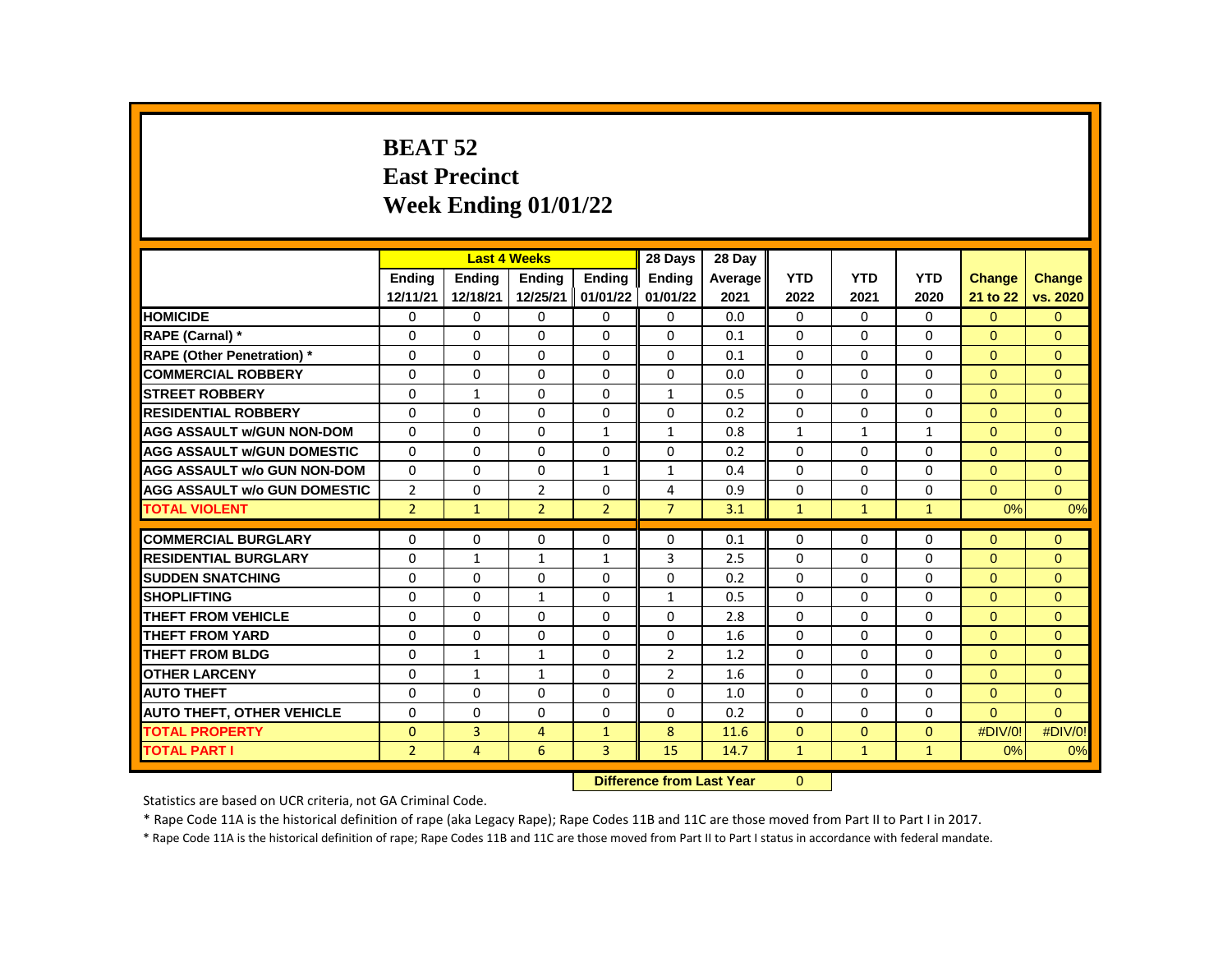# **BEAT 52 East Precinct Week Ending 01/01/22**

|                                     |                | <b>Last 4 Weeks</b> |                |                | 28 Days        | 28 Day  |              |              |              |                |                |
|-------------------------------------|----------------|---------------------|----------------|----------------|----------------|---------|--------------|--------------|--------------|----------------|----------------|
|                                     | <b>Endina</b>  | <b>Endina</b>       | <b>Endina</b>  | <b>Endina</b>  | <b>Ending</b>  | Average | <b>YTD</b>   | <b>YTD</b>   | <b>YTD</b>   | <b>Change</b>  | <b>Change</b>  |
|                                     | 12/11/21       | 12/18/21            | 12/25/21       | 01/01/22       | 01/01/22       | 2021    | 2022         | 2021         | 2020         | 21 to 22       | vs. 2020       |
| <b>HOMICIDE</b>                     | 0              | 0                   | 0              | 0              | 0              | 0.0     | 0            | $\mathbf{0}$ | 0            | $\overline{0}$ | $\overline{0}$ |
| RAPE (Carnal) *                     | 0              | 0                   | $\Omega$       | 0              | $\Omega$       | 0.1     | 0            | 0            | $\Omega$     | $\Omega$       | $\Omega$       |
| <b>RAPE (Other Penetration) *</b>   | $\Omega$       | $\Omega$            | $\mathbf{0}$   | $\Omega$       | $\Omega$       | 0.1     | $\Omega$     | $\Omega$     | $\Omega$     | $\Omega$       | $\Omega$       |
| <b>COMMERCIAL ROBBERY</b>           | $\Omega$       | $\Omega$            | $\Omega$       | $\Omega$       | $\Omega$       | 0.0     | 0            | $\mathbf{0}$ | $\Omega$     | $\Omega$       | $\Omega$       |
| <b>STREET ROBBERY</b>               | 0              | $\mathbf{1}$        | $\Omega$       | $\Omega$       | $\mathbf{1}$   | 0.5     | $\Omega$     | $\Omega$     | $\Omega$     | $\Omega$       | $\Omega$       |
| <b>RESIDENTIAL ROBBERY</b>          | $\Omega$       | $\Omega$            | $\mathbf{0}$   | $\Omega$       | $\Omega$       | 0.2     | $\Omega$     | $\Omega$     | $\Omega$     | $\Omega$       | $\Omega$       |
| <b>AGG ASSAULT w/GUN NON-DOM</b>    | $\Omega$       | 0                   | $\Omega$       | $\mathbf{1}$   | $\mathbf{1}$   | 0.8     | $\mathbf{1}$ | $\mathbf{1}$ | $\mathbf{1}$ | $\Omega$       | $\Omega$       |
| <b>AGG ASSAULT W/GUN DOMESTIC</b>   | $\Omega$       | $\Omega$            | $\Omega$       | $\Omega$       | $\Omega$       | 0.2     | $\Omega$     | $\Omega$     | 0            | $\Omega$       | $\Omega$       |
| <b>AGG ASSAULT w/o GUN NON-DOM</b>  | $\Omega$       | 0                   | $\Omega$       | $\mathbf{1}$   | $\mathbf{1}$   | 0.4     | $\Omega$     | 0            | $\Omega$     | $\overline{0}$ | $\Omega$       |
| <b>AGG ASSAULT w/o GUN DOMESTIC</b> | $\overline{2}$ | $\Omega$            | $\overline{2}$ | $\Omega$       | 4              | 0.9     | $\Omega$     | $\Omega$     | $\Omega$     | $\Omega$       | $\Omega$       |
| <b>TOTAL VIOLENT</b>                | $\overline{2}$ | $\mathbf{1}$        | $\overline{2}$ | $\overline{2}$ | $\overline{7}$ | 3.1     | $\mathbf{1}$ | $\mathbf{1}$ | $\mathbf{1}$ | 0%             | 0%             |
|                                     |                |                     |                |                |                |         |              |              |              |                |                |
| <b>COMMERCIAL BURGLARY</b>          | 0              | 0                   | 0              | 0              | 0              | 0.1     | 0            | 0            | 0            | $\Omega$       | $\Omega$       |
| <b>RESIDENTIAL BURGLARY</b>         | 0              | $\mathbf{1}$        | $\mathbf{1}$   | $\mathbf{1}$   | 3              | 2.5     | 0            | 0            | 0            | $\Omega$       | $\Omega$       |
| <b>SUDDEN SNATCHING</b>             | 0              | 0                   | $\Omega$       | $\Omega$       | $\Omega$       | 0.2     | $\Omega$     | $\Omega$     | $\Omega$     | $\Omega$       | $\Omega$       |
| <b>SHOPLIFTING</b>                  | 0              | $\Omega$            | $\mathbf{1}$   | $\Omega$       | $\mathbf{1}$   | 0.5     | $\Omega$     | $\Omega$     | 0            | $\Omega$       | $\Omega$       |
| <b>THEFT FROM VEHICLE</b>           | 0              | 0                   | $\mathbf 0$    | 0              | $\Omega$       | 2.8     | 0            | $\Omega$     | 0            | $\Omega$       | $\Omega$       |
| <b>THEFT FROM YARD</b>              | $\Omega$       | $\Omega$            | $\Omega$       | $\Omega$       | $\Omega$       | 1.6     | $\Omega$     | $\Omega$     | $\Omega$     | $\Omega$       | $\Omega$       |
| <b>THEFT FROM BLDG</b>              | $\Omega$       | $\mathbf{1}$        | $\mathbf{1}$   | 0              | $\overline{2}$ | 1.2     | $\Omega$     | $\Omega$     | $\Omega$     | $\Omega$       | $\Omega$       |
| <b>OTHER LARCENY</b>                | $\Omega$       | $\mathbf{1}$        | $\mathbf{1}$   | $\Omega$       | $\overline{2}$ | 1.6     | $\Omega$     | $\Omega$     | $\Omega$     | $\Omega$       | $\Omega$       |
| <b>AUTO THEFT</b>                   | $\mathbf 0$    | 0                   | $\mathbf 0$    | $\Omega$       | 0              | 1.0     | $\Omega$     | $\Omega$     | $\Omega$     | $\Omega$       | $\Omega$       |
| <b>AUTO THEFT, OTHER VEHICLE</b>    | $\Omega$       | $\Omega$            | $\Omega$       | $\Omega$       | $\Omega$       | 0.2     | $\Omega$     | $\Omega$     | $\Omega$     | $\Omega$       | $\Omega$       |
| <b>TOTAL PROPERTY</b>               | $\Omega$       | 3                   | 4              | $\mathbf{1}$   | 8              | 11.6    | $\Omega$     | $\mathbf{0}$ | $\Omega$     | #DIV/0!        | #DIV/0!        |
| <b>TOTAL PART I</b>                 | $\overline{2}$ | 4                   | 6              | 3              | 15             | 14.7    | $\mathbf{1}$ | $\mathbf{1}$ | $\mathbf{1}$ | 0%             | 0%             |
|                                     |                |                     |                |                |                |         |              |              |              |                |                |

**Difference from Last Year** 0

Statistics are based on UCR criteria, not GA Criminal Code.

\* Rape Code 11A is the historical definition of rape (aka Legacy Rape); Rape Codes 11B and 11C are those moved from Part II to Part I in 2017.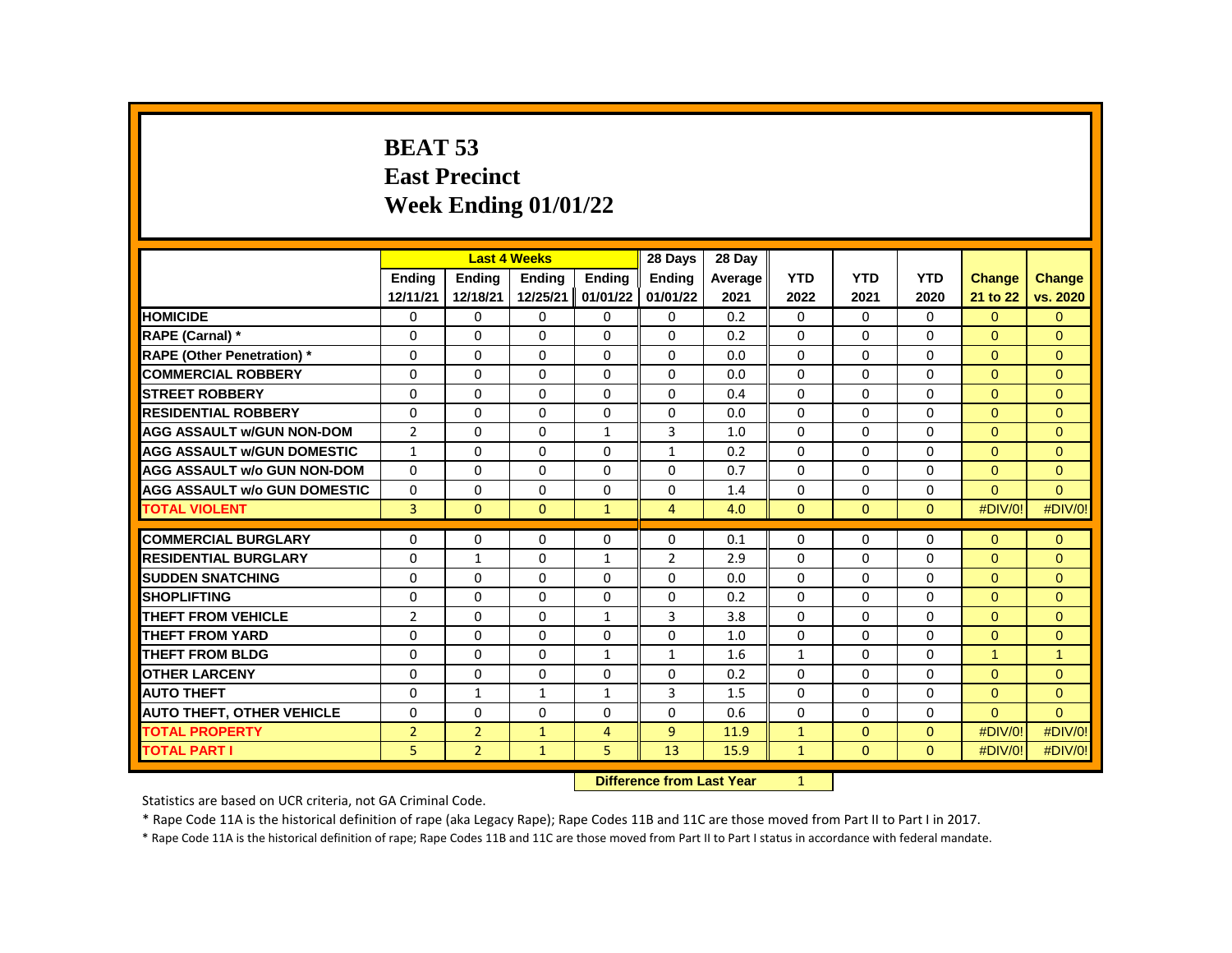# **BEAT 53 East Precinct Week Ending 01/01/22**

|                                     |                |                | <b>Last 4 Weeks</b> |                | 28 Days        | 28 Day  |              |              |              |                      |                      |
|-------------------------------------|----------------|----------------|---------------------|----------------|----------------|---------|--------------|--------------|--------------|----------------------|----------------------|
|                                     | <b>Endina</b>  | Ending         | <b>Endina</b>       | <b>Endina</b>  | <b>Endina</b>  | Average | <b>YTD</b>   | <b>YTD</b>   | <b>YTD</b>   | <b>Change</b>        | <b>Change</b>        |
|                                     | 12/11/21       | 12/18/21       | 12/25/21            | 01/01/22       | 01/01/22       | 2021    | 2022         | 2021         | 2020         | 21 to 22             | vs. 2020             |
| <b>HOMICIDE</b>                     | 0              | $\Omega$       | $\Omega$            | $\mathbf{0}$   | $\mathbf{0}$   | 0.2     | 0            | $\Omega$     | $\mathbf{0}$ | $\overline{0}$       | $\mathbf{0}$         |
| <b>RAPE (Carnal) *</b>              | $\Omega$       | $\Omega$       | $\Omega$            | $\Omega$       | $\Omega$       | 0.2     | $\Omega$     | $\Omega$     | $\Omega$     | $\Omega$             | $\Omega$             |
| <b>RAPE (Other Penetration) *</b>   | $\Omega$       | $\Omega$       | $\Omega$            | $\Omega$       | $\Omega$       | 0.0     | $\Omega$     | $\Omega$     | $\Omega$     | $\Omega$             | $\Omega$             |
| <b>COMMERCIAL ROBBERY</b>           | $\Omega$       | $\Omega$       | $\Omega$            | $\Omega$       | $\Omega$       | 0.0     | $\Omega$     | 0            | 0            | $\Omega$             | $\Omega$             |
| <b>STREET ROBBERY</b>               | $\Omega$       | $\Omega$       | $\Omega$            | $\Omega$       | $\Omega$       | 0.4     | $\Omega$     | 0            | 0            | $\Omega$             | $\Omega$             |
| <b>RESIDENTIAL ROBBERY</b>          | $\Omega$       | $\Omega$       | $\Omega$            | $\Omega$       | $\Omega$       | 0.0     | $\Omega$     | $\Omega$     | $\Omega$     | $\Omega$             | $\overline{0}$       |
| <b>AGG ASSAULT w/GUN NON-DOM</b>    | $\overline{2}$ | $\Omega$       | $\Omega$            | $\mathbf{1}$   | $\overline{3}$ | 1.0     | $\Omega$     | $\Omega$     | $\Omega$     | $\Omega$             | $\Omega$             |
| <b>AGG ASSAULT W/GUN DOMESTIC</b>   | $\mathbf{1}$   | $\Omega$       | $\Omega$            | $\Omega$       | $\mathbf{1}$   | 0.2     | $\Omega$     | $\Omega$     | 0            | $\Omega$             | $\Omega$             |
| <b>AGG ASSAULT w/o GUN NON-DOM</b>  | $\Omega$       | $\Omega$       | $\Omega$            | $\Omega$       | $\Omega$       | 0.7     | $\Omega$     | $\Omega$     | $\Omega$     | $\mathbf{0}$         | $\overline{0}$       |
| <b>AGG ASSAULT w/o GUN DOMESTIC</b> | $\Omega$       | $\Omega$       | $\Omega$            | $\Omega$       | $\Omega$       | 1.4     | $\Omega$     | $\Omega$     | $\Omega$     | $\Omega$             | $\Omega$             |
| <b>TOTAL VIOLENT</b>                | $\overline{3}$ | $\mathbf{0}$   | $\mathbf{0}$        | $\mathbf{1}$   | $\overline{4}$ | 4.0     | $\Omega$     | $\Omega$     | $\mathbf{0}$ | #DIV/0!              | #DIV/0!              |
|                                     |                |                |                     |                |                |         |              |              |              |                      |                      |
| <b>COMMERCIAL BURGLARY</b>          | 0              | $\Omega$       | 0                   | $\mathbf{0}$   | 0              | 0.1     | $\Omega$     | 0            | 0            | $\Omega$             | $\Omega$             |
| <b>RESIDENTIAL BURGLARY</b>         | 0              | $\mathbf{1}$   | $\Omega$            | $\mathbf{1}$   | 2              | 2.9     | $\Omega$     | 0            | 0            | $\Omega$             | $\Omega$             |
| <b>SUDDEN SNATCHING</b>             | 0              | $\Omega$       | $\Omega$            | $\Omega$       | $\Omega$       | 0.0     | $\Omega$     | $\Omega$     | $\Omega$     | $\Omega$             | $\Omega$             |
| <b>SHOPLIFTING</b>                  | $\Omega$       | $\Omega$       | $\Omega$            | $\Omega$       | $\Omega$       | 0.2     | $\Omega$     | $\Omega$     | $\Omega$     | $\Omega$             | $\Omega$             |
| <b>THEFT FROM VEHICLE</b>           | $\overline{2}$ | $\mathbf{0}$   | $\Omega$            | $\mathbf{1}$   | 3              | 3.8     | $\Omega$     | 0            | 0            | $\Omega$             | $\Omega$             |
| <b>THEFT FROM YARD</b>              | 0              | $\Omega$       | $\Omega$            | $\Omega$       | $\Omega$       | 1.0     | $\Omega$     | $\Omega$     | 0            | $\Omega$             | $\overline{0}$       |
| <b>THEFT FROM BLDG</b>              | $\Omega$       | $\Omega$       | $\Omega$            | $\mathbf{1}$   | $\mathbf{1}$   | 1.6     | $\mathbf{1}$ | $\Omega$     | $\Omega$     | $\blacktriangleleft$ | $\blacktriangleleft$ |
| <b>OTHER LARCENY</b>                | $\Omega$       | $\Omega$       | $\Omega$            | $\Omega$       | $\Omega$       | 0.2     | $\Omega$     | $\Omega$     | $\Omega$     | $\Omega$             | $\Omega$             |
| <b>AUTO THEFT</b>                   | $\Omega$       | $\mathbf{1}$   | $\mathbf{1}$        | $\mathbf{1}$   | 3              | 1.5     | $\Omega$     | $\Omega$     | $\Omega$     | $\Omega$             | $\Omega$             |
| <b>AUTO THEFT, OTHER VEHICLE</b>    | $\Omega$       | $\Omega$       | $\Omega$            | $\Omega$       | $\Omega$       | 0.6     | $\Omega$     | $\Omega$     | $\Omega$     | $\Omega$             | $\Omega$             |
| <b>TOTAL PROPERTY</b>               | $\overline{2}$ | $\overline{2}$ | $\mathbf{1}$        | $\overline{4}$ | $\overline{9}$ | 11.9    | $\mathbf{1}$ | $\Omega$     | $\mathbf{0}$ | #DIV/0!              | #DIV/0!              |
| <b>TOTAL PART I</b>                 | 5.             | $\overline{2}$ | $\mathbf{1}$        | 5              | 13             | 15.9    | $\mathbf{1}$ | $\mathbf{0}$ | $\mathbf{0}$ | #DIV/0!              | #DIV/0!              |
|                                     |                |                |                     |                |                |         |              |              |              |                      |                      |

**Difference from Last Year** 1

Statistics are based on UCR criteria, not GA Criminal Code.

\* Rape Code 11A is the historical definition of rape (aka Legacy Rape); Rape Codes 11B and 11C are those moved from Part II to Part I in 2017.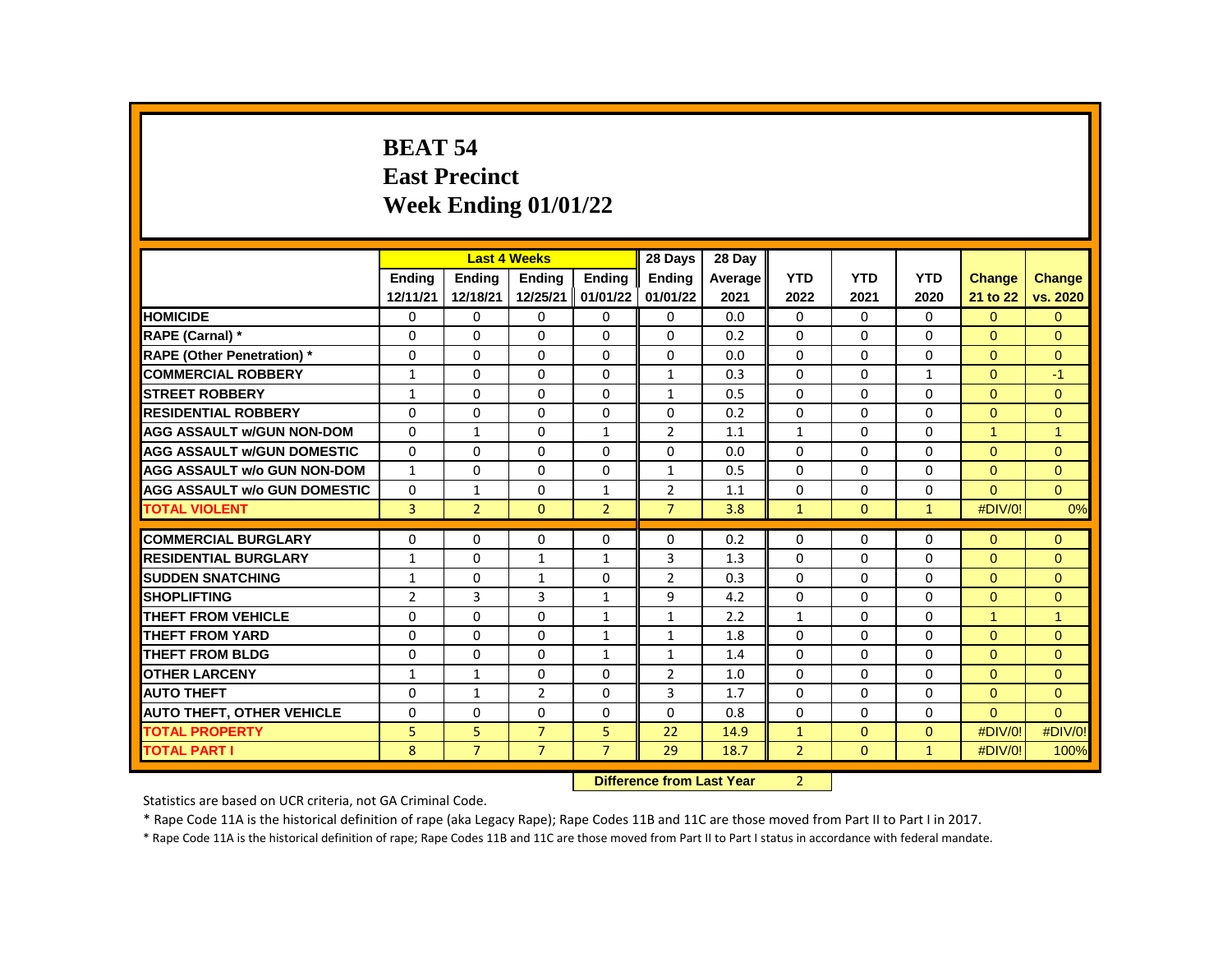# **BEAT 54 East Precinct Week Ending 01/01/22**

|                                     |                |                | <b>Last 4 Weeks</b> |                | 28 Days        | 28 Day  |                |              |                |                |                |
|-------------------------------------|----------------|----------------|---------------------|----------------|----------------|---------|----------------|--------------|----------------|----------------|----------------|
|                                     | <b>Endina</b>  | <b>Endina</b>  | <b>Endina</b>       | <b>Endina</b>  | <b>Ending</b>  | Average | <b>YTD</b>     | <b>YTD</b>   | <b>YTD</b>     | <b>Change</b>  | <b>Change</b>  |
|                                     | 12/11/21       | 12/18/21       | 12/25/21            | 01/01/22       | 01/01/22       | 2021    | 2022           | 2021         | 2020           | 21 to 22       | vs. 2020       |
| <b>HOMICIDE</b>                     | 0              | 0              | 0                   | 0              | 0              | 0.0     | $\mathbf{0}$   | $\Omega$     | 0              | $\overline{0}$ | $\overline{0}$ |
| RAPE (Carnal) *                     | $\Omega$       | 0              | $\Omega$            | 0              | $\Omega$       | 0.2     | $\Omega$       | 0            | $\Omega$       | $\Omega$       | $\Omega$       |
| <b>RAPE (Other Penetration) *</b>   | $\Omega$       | 0              | 0                   | $\Omega$       | $\Omega$       | 0.0     | $\Omega$       | $\Omega$     | $\mathbf 0$    | $\Omega$       | $\Omega$       |
| <b>COMMERCIAL ROBBERY</b>           | $\mathbf{1}$   | $\Omega$       | $\Omega$            | $\Omega$       | $\mathbf{1}$   | 0.3     | $\Omega$       | 0            | $\mathbf{1}$   | $\Omega$       | $-1$           |
| <b>STREET ROBBERY</b>               | $\mathbf{1}$   | 0              | $\Omega$            | $\Omega$       | 1              | 0.5     | $\Omega$       | 0            | $\Omega$       | $\Omega$       | $\Omega$       |
| <b>RESIDENTIAL ROBBERY</b>          | $\Omega$       | $\Omega$       | $\Omega$            | $\Omega$       | $\Omega$       | 0.2     | $\Omega$       | $\Omega$     | $\Omega$       | $\Omega$       | $\overline{0}$ |
| <b>AGG ASSAULT w/GUN NON-DOM</b>    | $\Omega$       | $\mathbf{1}$   | $\Omega$            | $\mathbf{1}$   | $\overline{2}$ | 1.1     | $\mathbf{1}$   | $\Omega$     | $\Omega$       | $\mathbf{1}$   | $\mathbf{1}$   |
| <b>AGG ASSAULT w/GUN DOMESTIC</b>   | $\Omega$       | $\Omega$       | $\Omega$            | $\Omega$       | $\Omega$       | 0.0     | $\Omega$       | $\Omega$     | $\Omega$       | $\Omega$       | $\Omega$       |
| <b>AGG ASSAULT w/o GUN NON-DOM</b>  | $\mathbf{1}$   | 0              | $\Omega$            | $\mathbf 0$    | $\mathbf{1}$   | 0.5     | $\Omega$       | 0            | $\Omega$       | $\mathbf{0}$   | $\overline{0}$ |
| <b>AGG ASSAULT w/o GUN DOMESTIC</b> | $\Omega$       | $\mathbf{1}$   | $\Omega$            | $\mathbf{1}$   | $\overline{2}$ | 1.1     | $\Omega$       | $\Omega$     | $\Omega$       | $\Omega$       | $\Omega$       |
| <b>TOTAL VIOLENT</b>                | 3              | $\overline{2}$ | $\Omega$            | $\overline{2}$ | $\overline{7}$ | 3.8     | $\mathbf{1}$   | $\Omega$     | $\mathbf{1}$   | #DIV/0!        | 0%             |
|                                     |                |                |                     |                |                |         |                |              |                |                |                |
| <b>COMMERCIAL BURGLARY</b>          | 0              | 0              | 0                   | $\Omega$       | 0              | 0.2     | $\Omega$       | 0            | 0              | $\Omega$       | $\Omega$       |
| <b>RESIDENTIAL BURGLARY</b>         | $\mathbf{1}$   | 0              | $\mathbf{1}$        | $\mathbf{1}$   | 3              | 1.3     | 0              | 0            | 0              | $\Omega$       | $\Omega$       |
| <b>SUDDEN SNATCHING</b>             | $\mathbf{1}$   | 0              | 1                   | $\Omega$       | $\overline{2}$ | 0.3     | $\Omega$       | $\Omega$     | $\Omega$       | $\Omega$       | $\Omega$       |
| <b>SHOPLIFTING</b>                  | $\overline{2}$ | 3              | 3                   | $\mathbf{1}$   | 9              | 4.2     | $\Omega$       | 0            | $\Omega$       | $\Omega$       | $\Omega$       |
| THEFT FROM VEHICLE                  | $\Omega$       | 0              | $\Omega$            | 1              | $\mathbf{1}$   | 2.2     | $\mathbf{1}$   | 0            | $\Omega$       | 1              | 1              |
| <b>THEFT FROM YARD</b>              | $\Omega$       | $\Omega$       | $\Omega$            | $\mathbf{1}$   | $\mathbf{1}$   | 1.8     | $\Omega$       | $\Omega$     | $\Omega$       | $\Omega$       | $\Omega$       |
| <b>THEFT FROM BLDG</b>              | $\Omega$       | $\Omega$       | $\Omega$            | $\mathbf{1}$   | 1              | 1.4     | $\Omega$       | $\Omega$     | $\Omega$       | $\Omega$       | $\Omega$       |
| <b>OTHER LARCENY</b>                | $\mathbf{1}$   | $\mathbf{1}$   | $\Omega$            | $\Omega$       | $\overline{2}$ | 1.0     | $\Omega$       | $\Omega$     | $\Omega$       | $\Omega$       | $\Omega$       |
| <b>AUTO THEFT</b>                   | $\Omega$       | $\mathbf{1}$   | $\overline{2}$      | $\Omega$       | 3              | 1.7     | $\Omega$       | 0            | $\Omega$       | $\Omega$       | $\overline{0}$ |
| <b>AUTO THEFT, OTHER VEHICLE</b>    | $\Omega$       | $\Omega$       | 0                   | $\Omega$       | $\Omega$       | 0.8     | $\Omega$       | $\Omega$     | $\Omega$       | $\Omega$       | $\Omega$       |
| <b>TOTAL PROPERTY</b>               | 5              | 5              | $\overline{7}$      | 5              | 22             | 14.9    | $\mathbf{1}$   | $\Omega$     | $\overline{0}$ | #DIV/0!        | #DIV/0!        |
| <b>TOTAL PART I</b>                 | 8              | $\overline{7}$ | $\overline{7}$      | $\overline{7}$ | 29             | 18.7    | $\overline{2}$ | $\mathbf{0}$ | $\mathbf{1}$   | #DIV/0!        | 100%           |
|                                     |                |                |                     |                |                |         |                |              |                |                |                |

**Difference from Last Year** 2

Statistics are based on UCR criteria, not GA Criminal Code.

\* Rape Code 11A is the historical definition of rape (aka Legacy Rape); Rape Codes 11B and 11C are those moved from Part II to Part I in 2017.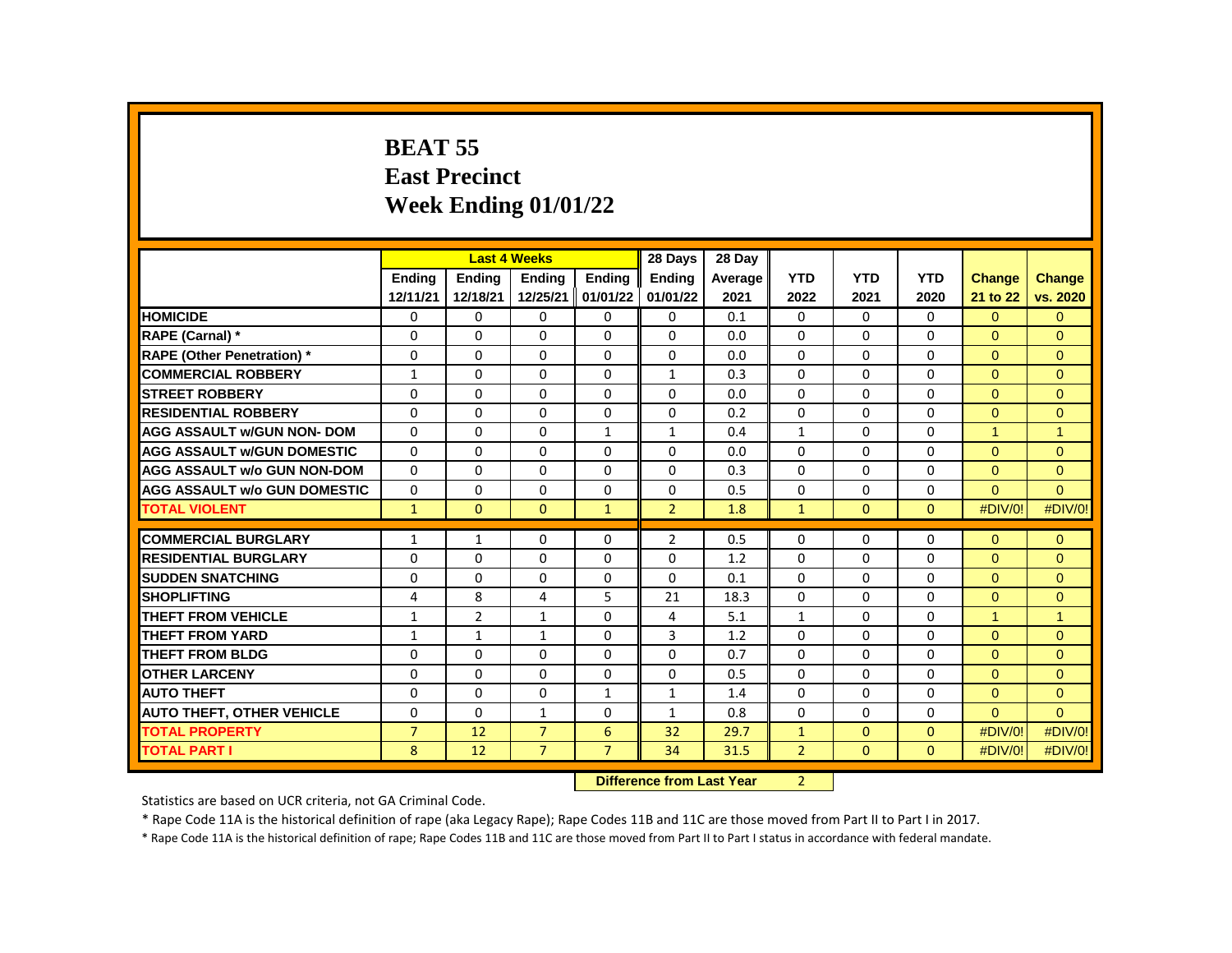# **BEAT 55 East Precinct Week Ending 01/01/22**

|                                     |                |                | <b>Last 4 Weeks</b> |                | 28 Days                         | 28 Day                       |                |              |              |               |                      |
|-------------------------------------|----------------|----------------|---------------------|----------------|---------------------------------|------------------------------|----------------|--------------|--------------|---------------|----------------------|
|                                     | <b>Endina</b>  | <b>Endina</b>  | <b>Endina</b>       | <b>Endina</b>  | <b>Endina</b>                   | Average                      | <b>YTD</b>     | <b>YTD</b>   | <b>YTD</b>   | <b>Change</b> | <b>Change</b>        |
|                                     | 12/11/21       | 12/18/21       | 12/25/21            | 01/01/22       | 01/01/22                        | 2021                         | 2022           | 2021         | 2020         | 21 to 22      | vs. 2020             |
| <b>HOMICIDE</b>                     | 0              | 0              | 0                   | 0              | 0                               | 0.1                          | 0              | $\Omega$     | 0            | $\Omega$      | $\Omega$             |
| RAPE (Carnal) *                     | $\Omega$       | $\Omega$       | $\Omega$            | $\Omega$       | $\Omega$                        | 0.0                          | $\Omega$       | $\Omega$     | $\Omega$     | $\Omega$      | $\Omega$             |
| <b>RAPE (Other Penetration) *</b>   | $\Omega$       | 0              | $\Omega$            | $\mathbf{0}$   | $\Omega$                        | 0.0                          | 0              | $\mathbf{0}$ | $\Omega$     | $\Omega$      | $\Omega$             |
| <b>COMMERCIAL ROBBERY</b>           | $\mathbf{1}$   | $\Omega$       | $\Omega$            | $\Omega$       | $\mathbf{1}$                    | 0.3                          | 0              | $\Omega$     | $\Omega$     | $\Omega$      | $\Omega$             |
| <b>STREET ROBBERY</b>               | $\Omega$       | $\Omega$       | $\Omega$            | $\Omega$       | $\Omega$                        | 0.0                          | $\Omega$       | 0            | $\Omega$     | $\Omega$      | $\Omega$             |
| <b>RESIDENTIAL ROBBERY</b>          | $\Omega$       | 0              | $\Omega$            | $\Omega$       | $\Omega$                        | 0.2                          | 0              | $\mathbf{0}$ | $\Omega$     | $\Omega$      | $\Omega$             |
| <b>AGG ASSAULT w/GUN NON- DOM</b>   | $\Omega$       | $\Omega$       | $\Omega$            | $\mathbf{1}$   | $\mathbf{1}$                    | 0.4                          | $\mathbf{1}$   | $\Omega$     | $\Omega$     | $\mathbf{1}$  | $\blacktriangleleft$ |
| <b>AGG ASSAULT w/GUN DOMESTIC</b>   | $\Omega$       | $\Omega$       | $\Omega$            | $\Omega$       | $\Omega$                        | 0.0                          | $\Omega$       | $\Omega$     | $\Omega$     | $\Omega$      | $\Omega$             |
| <b>AGG ASSAULT w/o GUN NON-DOM</b>  | $\Omega$       | $\Omega$       | $\Omega$            | $\Omega$       | $\Omega$                        | 0.3                          | $\Omega$       | $\Omega$     | $\Omega$     | $\Omega$      | $\Omega$             |
| <b>AGG ASSAULT w/o GUN DOMESTIC</b> | $\Omega$       | $\Omega$       | $\Omega$            | 0              | $\Omega$                        | 0.5                          | 0              | $\Omega$     | $\Omega$     | $\Omega$      | $\Omega$             |
| <b>TOTAL VIOLENT</b>                | $\mathbf{1}$   | $\mathbf{0}$   | $\overline{0}$      | $\mathbf{1}$   | $\overline{2}$                  | 1.8                          | $\mathbf{1}$   | $\mathbf{0}$ | $\mathbf{0}$ | #DIV/0!       | #DIV/0!              |
|                                     |                |                |                     |                |                                 |                              |                |              |              |               |                      |
| <b>COMMERCIAL BURGLARY</b>          | $\mathbf{1}$   | 1              | 0                   | 0              | $\overline{2}$                  | 0.5                          | 0              | 0            | 0            | $\Omega$      | $\overline{0}$       |
| <b>RESIDENTIAL BURGLARY</b>         | 0              | 0              | 0                   | $\Omega$       | 0                               | 1.2                          | $\Omega$       | $\Omega$     | $\Omega$     | $\Omega$      | $\Omega$             |
| <b>SUDDEN SNATCHING</b>             | $\Omega$       | $\Omega$       | $\Omega$            | $\Omega$       | $\Omega$                        | 0.1                          | $\Omega$       | $\Omega$     | $\Omega$     | $\Omega$      | $\Omega$             |
| <b>SHOPLIFTING</b>                  | 4              | 8              | 4                   | 5              | 21                              | 18.3                         | 0              | $\Omega$     | $\Omega$     | $\Omega$      | $\Omega$             |
| <b>THEFT FROM VEHICLE</b>           | $\mathbf{1}$   | $\overline{2}$ | $\mathbf{1}$        | 0              | 4                               | 5.1                          | $\mathbf{1}$   | 0            | 0            | 1             | $\overline{ }$       |
| <b>THEFT FROM YARD</b>              | $\mathbf{1}$   | $\mathbf{1}$   | $\mathbf{1}$        | $\Omega$       | $\overline{3}$                  | 1.2                          | $\Omega$       | $\Omega$     | $\Omega$     | $\Omega$      | $\Omega$             |
| <b>THEFT FROM BLDG</b>              | $\Omega$       | $\Omega$       | $\Omega$            | $\Omega$       | $\Omega$                        | 0.7                          | 0              | $\Omega$     | $\Omega$     | $\Omega$      | $\Omega$             |
| <b>OTHER LARCENY</b>                | $\Omega$       | $\Omega$       | $\Omega$            | $\mathbf{0}$   | $\Omega$                        | 0.5                          | $\Omega$       | $\Omega$     | $\Omega$     | $\Omega$      | $\Omega$             |
| <b>AUTO THEFT</b>                   | $\Omega$       | $\Omega$       | $\Omega$            | $\mathbf{1}$   | $\mathbf{1}$                    | 1.4                          | 0              | $\mathbf{0}$ | $\Omega$     | $\Omega$      | $\Omega$             |
| <b>AUTO THEFT, OTHER VEHICLE</b>    | 0              | 0              | $\mathbf{1}$        | 0              | $\mathbf{1}$                    | 0.8                          | 0              | 0            | 0            | $\Omega$      | $\Omega$             |
| <b>TOTAL PROPERTY</b>               | $\overline{7}$ | 12             | $\overline{7}$      | 6              | 32                              | 29.7                         | $\mathbf{1}$   | $\Omega$     | $\Omega$     | #DIV/0!       | #DIV/0!              |
| <b>TOTAL PART I</b>                 | 8              | 12             | $\overline{7}$      | $\overline{7}$ | 34                              | 31.5                         | $\overline{2}$ | $\mathbf{0}$ | $\mathbf{0}$ | #DIV/0!       | #DIV/0!              |
|                                     |                |                |                     | mann-          | $\mathcal{L}$ and $\mathcal{L}$ | and the search of the search |                |              |              |               |                      |

**Difference from Last Year** 2

Statistics are based on UCR criteria, not GA Criminal Code.

\* Rape Code 11A is the historical definition of rape (aka Legacy Rape); Rape Codes 11B and 11C are those moved from Part II to Part I in 2017.